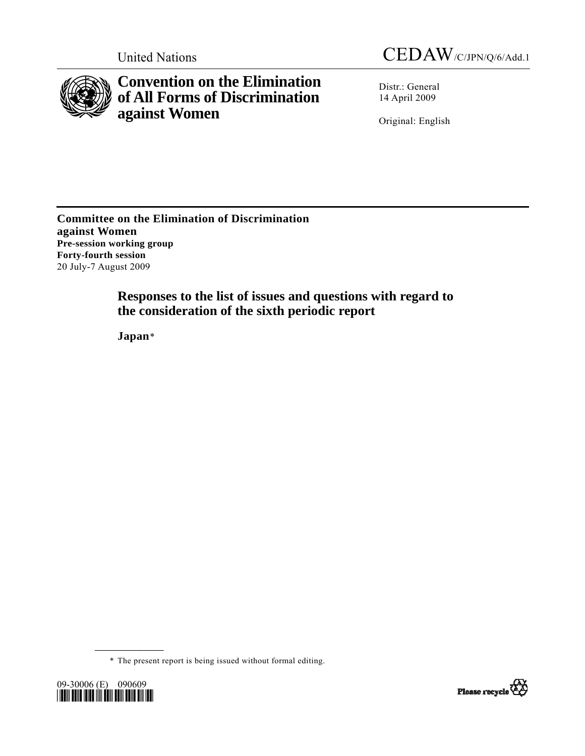

**Convention on the Elimination of All Forms of Discrimination against Women** 

Distr.: General 14 April 2009

Original: English

**Committee on the Elimination of Discrimination against Women Pre-session working group Forty-fourth session**  20 July-7 August 2009

> **Responses to the list of issues and questions with regard to the consideration of the sixth periodic report**

 **Japan**[\\*](#page-0-0)

\* The present report is being issued without formal editing.

<span id="page-0-0"></span>

**\_\_\_\_\_\_\_\_\_\_\_\_\_\_\_\_\_\_** 

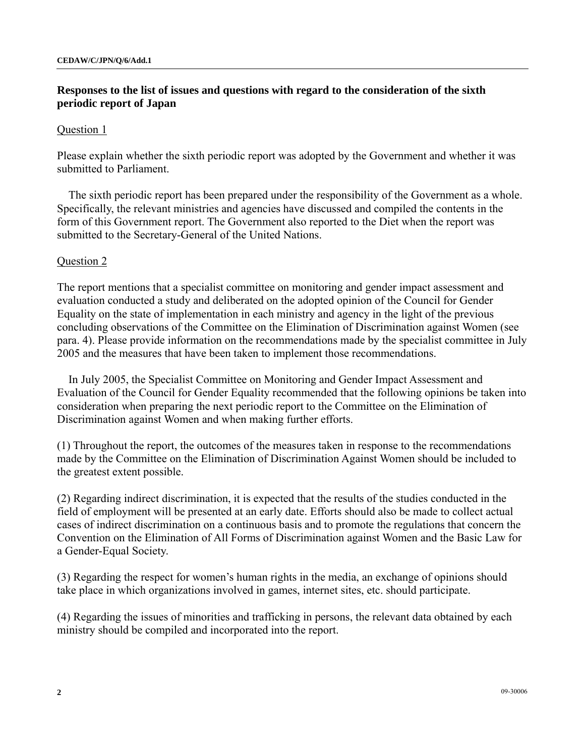## **Responses to the list of issues and questions with regard to the consideration of the sixth periodic report of Japan**

### Question 1

Please explain whether the sixth periodic report was adopted by the Government and whether it was submitted to Parliament.

The sixth periodic report has been prepared under the responsibility of the Government as a whole. Specifically, the relevant ministries and agencies have discussed and compiled the contents in the form of this Government report. The Government also reported to the Diet when the report was submitted to the Secretary-General of the United Nations.

### Question 2

The report mentions that a specialist committee on monitoring and gender impact assessment and evaluation conducted a study and deliberated on the adopted opinion of the Council for Gender Equality on the state of implementation in each ministry and agency in the light of the previous concluding observations of the Committee on the Elimination of Discrimination against Women (see para. 4). Please provide information on the recommendations made by the specialist committee in July 2005 and the measures that have been taken to implement those recommendations.

In July 2005, the Specialist Committee on Monitoring and Gender Impact Assessment and Evaluation of the Council for Gender Equality recommended that the following opinions be taken into consideration when preparing the next periodic report to the Committee on the Elimination of Discrimination against Women and when making further efforts.

(1) Throughout the report, the outcomes of the measures taken in response to the recommendations made by the Committee on the Elimination of Discrimination Against Women should be included to the greatest extent possible.

(2) Regarding indirect discrimination, it is expected that the results of the studies conducted in the field of employment will be presented at an early date. Efforts should also be made to collect actual cases of indirect discrimination on a continuous basis and to promote the regulations that concern the Convention on the Elimination of All Forms of Discrimination against Women and the Basic Law for a Gender-Equal Society.

(3) Regarding the respect for women's human rights in the media, an exchange of opinions should take place in which organizations involved in games, internet sites, etc. should participate.

(4) Regarding the issues of minorities and trafficking in persons, the relevant data obtained by each ministry should be compiled and incorporated into the report.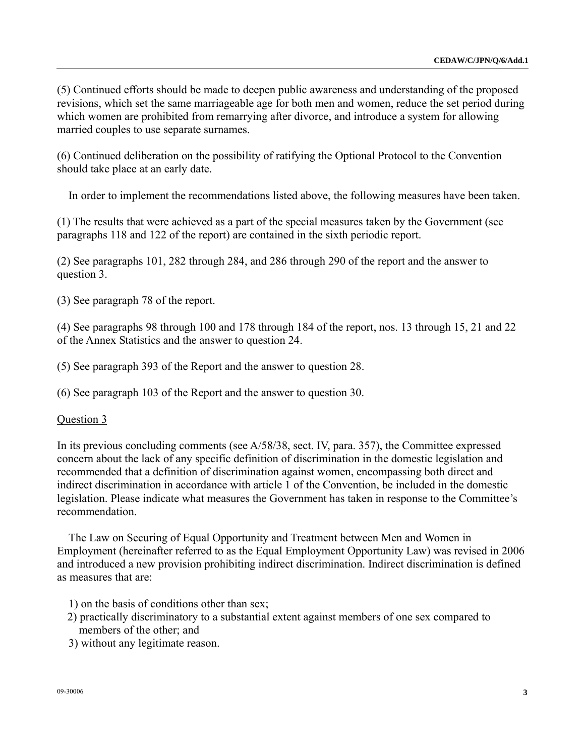(5) Continued efforts should be made to deepen public awareness and understanding of the proposed revisions, which set the same marriageable age for both men and women, reduce the set period during which women are prohibited from remarrying after divorce, and introduce a system for allowing married couples to use separate surnames.

(6) Continued deliberation on the possibility of ratifying the Optional Protocol to the Convention should take place at an early date.

In order to implement the recommendations listed above, the following measures have been taken.

(1) The results that were achieved as a part of the special measures taken by the Government (see paragraphs 118 and 122 of the report) are contained in the sixth periodic report.

(2) See paragraphs 101, 282 through 284, and 286 through 290 of the report and the answer to question 3.

(3) See paragraph 78 of the report.

(4) See paragraphs 98 through 100 and 178 through 184 of the report, nos. 13 through 15, 21 and 22 of the Annex Statistics and the answer to question 24.

(5) See paragraph 393 of the Report and the answer to question 28.

(6) See paragraph 103 of the Report and the answer to question 30.

### Question 3

In its previous concluding comments (see A/58/38, sect. IV, para. 357), the Committee expressed concern about the lack of any specific definition of discrimination in the domestic legislation and recommended that a definition of discrimination against women, encompassing both direct and indirect discrimination in accordance with article 1 of the Convention, be included in the domestic legislation. Please indicate what measures the Government has taken in response to the Committee's recommendation.

The Law on Securing of Equal Opportunity and Treatment between Men and Women in Employment (hereinafter referred to as the Equal Employment Opportunity Law) was revised in 2006 and introduced a new provision prohibiting indirect discrimination. Indirect discrimination is defined as measures that are:

- 1) on the basis of conditions other than sex;
- 2) practically discriminatory to a substantial extent against members of one sex compared to members of the other; and
- 3) without any legitimate reason.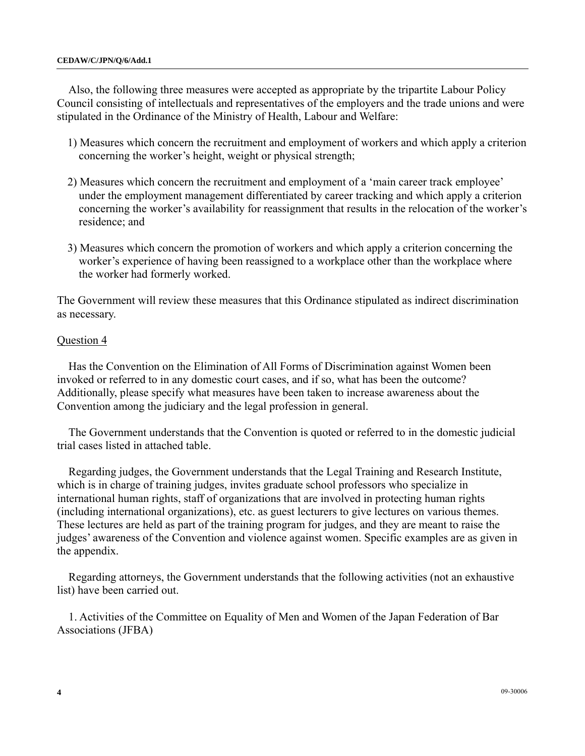Also, the following three measures were accepted as appropriate by the tripartite Labour Policy Council consisting of intellectuals and representatives of the employers and the trade unions and were stipulated in the Ordinance of the Ministry of Health, Labour and Welfare:

- 1) Measures which concern the recruitment and employment of workers and which apply a criterion concerning the worker's height, weight or physical strength;
- 2) Measures which concern the recruitment and employment of a 'main career track employee' under the employment management differentiated by career tracking and which apply a criterion concerning the worker's availability for reassignment that results in the relocation of the worker's residence; and
- 3) Measures which concern the promotion of workers and which apply a criterion concerning the worker's experience of having been reassigned to a workplace other than the workplace where the worker had formerly worked.

The Government will review these measures that this Ordinance stipulated as indirect discrimination as necessary.

### Question 4

Has the Convention on the Elimination of All Forms of Discrimination against Women been invoked or referred to in any domestic court cases, and if so, what has been the outcome? Additionally, please specify what measures have been taken to increase awareness about the Convention among the judiciary and the legal profession in general.

The Government understands that the Convention is quoted or referred to in the domestic judicial trial cases listed in attached table.

Regarding judges, the Government understands that the Legal Training and Research Institute, which is in charge of training judges, invites graduate school professors who specialize in international human rights, staff of organizations that are involved in protecting human rights (including international organizations), etc. as guest lecturers to give lectures on various themes. These lectures are held as part of the training program for judges, and they are meant to raise the judges' awareness of the Convention and violence against women. Specific examples are as given in the appendix.

Regarding attorneys, the Government understands that the following activities (not an exhaustive list) have been carried out.

1. Activities of the Committee on Equality of Men and Women of the Japan Federation of Bar Associations (JFBA)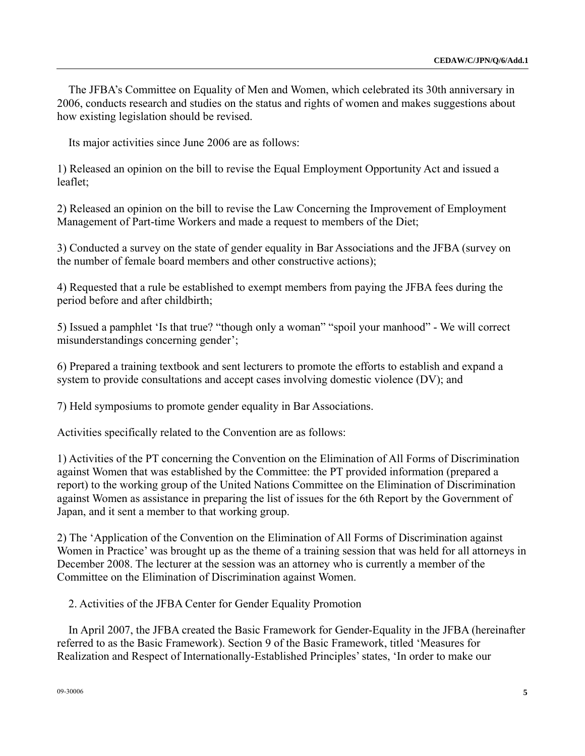The JFBA's Committee on Equality of Men and Women, which celebrated its 30th anniversary in 2006, conducts research and studies on the status and rights of women and makes suggestions about how existing legislation should be revised.

Its major activities since June 2006 are as follows:

1) Released an opinion on the bill to revise the Equal Employment Opportunity Act and issued a leaflet;

2) Released an opinion on the bill to revise the Law Concerning the Improvement of Employment Management of Part-time Workers and made a request to members of the Diet;

3) Conducted a survey on the state of gender equality in Bar Associations and the JFBA (survey on the number of female board members and other constructive actions);

4) Requested that a rule be established to exempt members from paying the JFBA fees during the period before and after childbirth;

5) Issued a pamphlet 'Is that true? "though only a woman" "spoil your manhood" - We will correct misunderstandings concerning gender';

6) Prepared a training textbook and sent lecturers to promote the efforts to establish and expand a system to provide consultations and accept cases involving domestic violence (DV); and

7) Held symposiums to promote gender equality in Bar Associations.

Activities specifically related to the Convention are as follows:

1) Activities of the PT concerning the Convention on the Elimination of All Forms of Discrimination against Women that was established by the Committee: the PT provided information (prepared a report) to the working group of the United Nations Committee on the Elimination of Discrimination against Women as assistance in preparing the list of issues for the 6th Report by the Government of Japan, and it sent a member to that working group.

2) The 'Application of the Convention on the Elimination of All Forms of Discrimination against Women in Practice' was brought up as the theme of a training session that was held for all attorneys in December 2008. The lecturer at the session was an attorney who is currently a member of the Committee on the Elimination of Discrimination against Women.

2. Activities of the JFBA Center for Gender Equality Promotion

In April 2007, the JFBA created the Basic Framework for Gender-Equality in the JFBA (hereinafter referred to as the Basic Framework). Section 9 of the Basic Framework, titled 'Measures for Realization and Respect of Internationally-Established Principles' states, 'In order to make our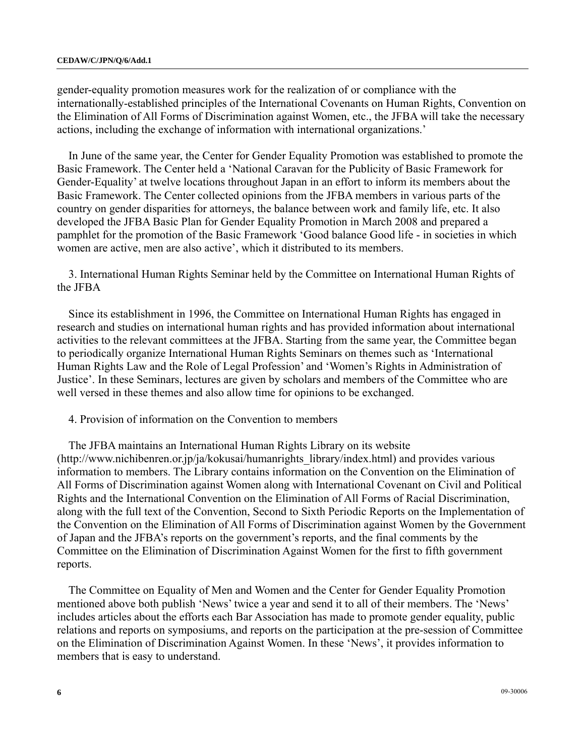gender-equality promotion measures work for the realization of or compliance with the internationally-established principles of the International Covenants on Human Rights, Convention on the Elimination of All Forms of Discrimination against Women, etc., the JFBA will take the necessary actions, including the exchange of information with international organizations.'

In June of the same year, the Center for Gender Equality Promotion was established to promote the Basic Framework. The Center held a 'National Caravan for the Publicity of Basic Framework for Gender-Equality' at twelve locations throughout Japan in an effort to inform its members about the Basic Framework. The Center collected opinions from the JFBA members in various parts of the country on gender disparities for attorneys, the balance between work and family life, etc. It also developed the JFBA Basic Plan for Gender Equality Promotion in March 2008 and prepared a pamphlet for the promotion of the Basic Framework 'Good balance Good life - in societies in which women are active, men are also active', which it distributed to its members.

3. International Human Rights Seminar held by the Committee on International Human Rights of the JFBA

Since its establishment in 1996, the Committee on International Human Rights has engaged in research and studies on international human rights and has provided information about international activities to the relevant committees at the JFBA. Starting from the same year, the Committee began to periodically organize International Human Rights Seminars on themes such as 'International Human Rights Law and the Role of Legal Profession' and 'Women's Rights in Administration of Justice'. In these Seminars, lectures are given by scholars and members of the Committee who are well versed in these themes and also allow time for opinions to be exchanged.

4. Provision of information on the Convention to members

The JFBA maintains an International Human Rights Library on its website (http://www.nichibenren.or.jp/ja/kokusai/humanrights\_library/index.html) and provides various information to members. The Library contains information on the Convention on the Elimination of All Forms of Discrimination against Women along with International Covenant on Civil and Political Rights and the International Convention on the Elimination of All Forms of Racial Discrimination, along with the full text of the Convention, Second to Sixth Periodic Reports on the Implementation of the Convention on the Elimination of All Forms of Discrimination against Women by the Government of Japan and the JFBA's reports on the government's reports, and the final comments by the Committee on the Elimination of Discrimination Against Women for the first to fifth government reports.

The Committee on Equality of Men and Women and the Center for Gender Equality Promotion mentioned above both publish 'News' twice a year and send it to all of their members. The 'News' includes articles about the efforts each Bar Association has made to promote gender equality, public relations and reports on symposiums, and reports on the participation at the pre-session of Committee on the Elimination of Discrimination Against Women. In these 'News', it provides information to members that is easy to understand.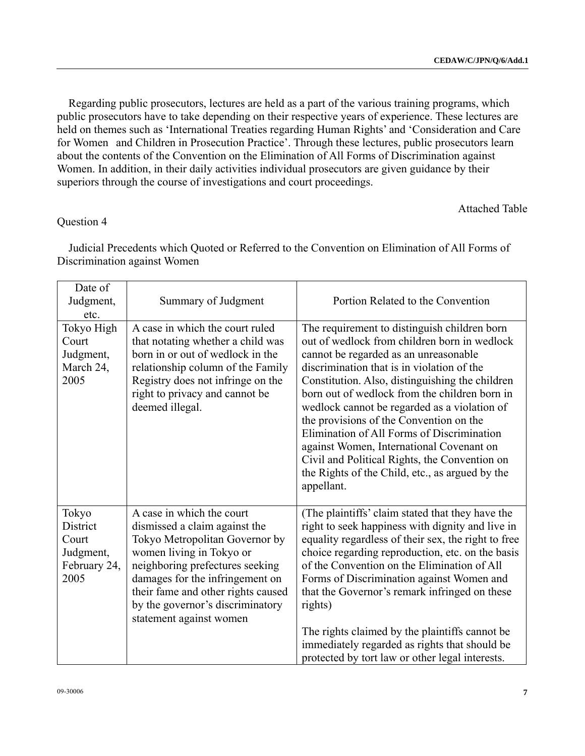Regarding public prosecutors, lectures are held as a part of the various training programs, which public prosecutors have to take depending on their respective years of experience. These lectures are held on themes such as 'International Treaties regarding Human Rights' and 'Consideration and Care for Women and Children in Prosecution Practice'. Through these lectures, public prosecutors learn about the contents of the Convention on the Elimination of All Forms of Discrimination against Women. In addition, in their daily activities individual prosecutors are given guidance by their superiors through the course of investigations and court proceedings.

Attached Table

## Question 4

Judicial Precedents which Quoted or Referred to the Convention on Elimination of All Forms of Discrimination against Women

| Date of<br>Judgment,<br>etc.                                    | Summary of Judgment                                                                                                                                                                                                                                                                                 | Portion Related to the Convention                                                                                                                                                                                                                                                                                                                                                                                                                                                                                                                                                              |
|-----------------------------------------------------------------|-----------------------------------------------------------------------------------------------------------------------------------------------------------------------------------------------------------------------------------------------------------------------------------------------------|------------------------------------------------------------------------------------------------------------------------------------------------------------------------------------------------------------------------------------------------------------------------------------------------------------------------------------------------------------------------------------------------------------------------------------------------------------------------------------------------------------------------------------------------------------------------------------------------|
| Tokyo High<br>Court<br>Judgment,<br>March 24,<br>2005           | $\overline{A}$ case in which the court ruled<br>that notating whether a child was<br>born in or out of wedlock in the<br>relationship column of the Family<br>Registry does not infringe on the<br>right to privacy and cannot be<br>deemed illegal.                                                | The requirement to distinguish children born<br>out of wedlock from children born in wedlock<br>cannot be regarded as an unreasonable<br>discrimination that is in violation of the<br>Constitution. Also, distinguishing the children<br>born out of wedlock from the children born in<br>wedlock cannot be regarded as a violation of<br>the provisions of the Convention on the<br>Elimination of All Forms of Discrimination<br>against Women, International Covenant on<br>Civil and Political Rights, the Convention on<br>the Rights of the Child, etc., as argued by the<br>appellant. |
| Tokyo<br>District<br>Court<br>Judgment,<br>February 24,<br>2005 | A case in which the court<br>dismissed a claim against the<br>Tokyo Metropolitan Governor by<br>women living in Tokyo or<br>neighboring prefectures seeking<br>damages for the infringement on<br>their fame and other rights caused<br>by the governor's discriminatory<br>statement against women | (The plaintiffs' claim stated that they have the<br>right to seek happiness with dignity and live in<br>equality regardless of their sex, the right to free<br>choice regarding reproduction, etc. on the basis<br>of the Convention on the Elimination of All<br>Forms of Discrimination against Women and<br>that the Governor's remark infringed on these<br>rights)<br>The rights claimed by the plaintiffs cannot be<br>immediately regarded as rights that should be<br>protected by tort law or other legal interests.                                                                  |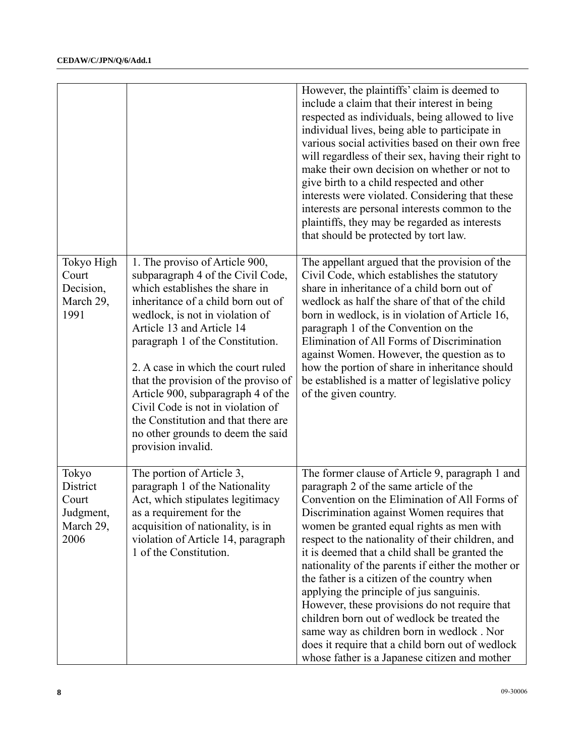|                                                              |                                                                                                                                                                                                                                                                                                                                                                                                                                                                                                            | However, the plaintiffs' claim is deemed to                                                                                                                                                                                                                                                                                                                                                                                                                                                                                                                                                                                                                                                                                                     |
|--------------------------------------------------------------|------------------------------------------------------------------------------------------------------------------------------------------------------------------------------------------------------------------------------------------------------------------------------------------------------------------------------------------------------------------------------------------------------------------------------------------------------------------------------------------------------------|-------------------------------------------------------------------------------------------------------------------------------------------------------------------------------------------------------------------------------------------------------------------------------------------------------------------------------------------------------------------------------------------------------------------------------------------------------------------------------------------------------------------------------------------------------------------------------------------------------------------------------------------------------------------------------------------------------------------------------------------------|
|                                                              |                                                                                                                                                                                                                                                                                                                                                                                                                                                                                                            | include a claim that their interest in being<br>respected as individuals, being allowed to live<br>individual lives, being able to participate in<br>various social activities based on their own free<br>will regardless of their sex, having their right to<br>make their own decision on whether or not to<br>give birth to a child respected and other<br>interests were violated. Considering that these<br>interests are personal interests common to the<br>plaintiffs, they may be regarded as interests<br>that should be protected by tort law.                                                                                                                                                                                       |
| Tokyo High<br>Court<br>Decision,<br>March 29,<br>1991        | 1. The proviso of Article 900,<br>subparagraph 4 of the Civil Code,<br>which establishes the share in<br>inheritance of a child born out of<br>wedlock, is not in violation of<br>Article 13 and Article 14<br>paragraph 1 of the Constitution.<br>2. A case in which the court ruled<br>that the provision of the proviso of<br>Article 900, subparagraph 4 of the<br>Civil Code is not in violation of<br>the Constitution and that there are<br>no other grounds to deem the said<br>provision invalid. | The appellant argued that the provision of the<br>Civil Code, which establishes the statutory<br>share in inheritance of a child born out of<br>wedlock as half the share of that of the child<br>born in wedlock, is in violation of Article 16,<br>paragraph 1 of the Convention on the<br>Elimination of All Forms of Discrimination<br>against Women. However, the question as to<br>how the portion of share in inheritance should<br>be established is a matter of legislative policy<br>of the given country.                                                                                                                                                                                                                            |
| Tokyo<br>District<br>Court<br>Judgment,<br>March 29,<br>2006 | The portion of Article 3,<br>paragraph 1 of the Nationality<br>Act, which stipulates legitimacy<br>as a requirement for the<br>acquisition of nationality, is in<br>violation of Article 14, paragraph<br>1 of the Constitution.                                                                                                                                                                                                                                                                           | The former clause of Article 9, paragraph 1 and<br>paragraph 2 of the same article of the<br>Convention on the Elimination of All Forms of<br>Discrimination against Women requires that<br>women be granted equal rights as men with<br>respect to the nationality of their children, and<br>it is deemed that a child shall be granted the<br>nationality of the parents if either the mother or<br>the father is a citizen of the country when<br>applying the principle of jus sanguinis.<br>However, these provisions do not require that<br>children born out of wedlock be treated the<br>same way as children born in wedlock. Nor<br>does it require that a child born out of wedlock<br>whose father is a Japanese citizen and mother |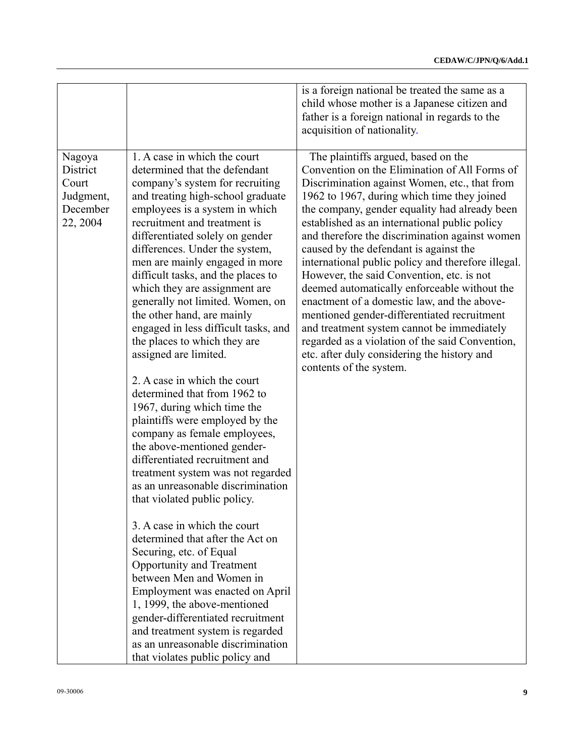| 1. A case in which the court<br>Nagoya                                                                                                                                                                                                                                                                                                                                                                                                                                                                                                                                                                                                                                                                                                                                                                                                                                                                                                                                                                                                                                                                                                                                                                                                                                                                      | is a foreign national be treated the same as a<br>child whose mother is a Japanese citizen and<br>father is a foreign national in regards to the<br>acquisition of nationality.<br>The plaintiffs argued, based on the<br>Convention on the Elimination of All Forms of                                                                                                                                                                                                                                                                                                                                                                                                                                                |
|-------------------------------------------------------------------------------------------------------------------------------------------------------------------------------------------------------------------------------------------------------------------------------------------------------------------------------------------------------------------------------------------------------------------------------------------------------------------------------------------------------------------------------------------------------------------------------------------------------------------------------------------------------------------------------------------------------------------------------------------------------------------------------------------------------------------------------------------------------------------------------------------------------------------------------------------------------------------------------------------------------------------------------------------------------------------------------------------------------------------------------------------------------------------------------------------------------------------------------------------------------------------------------------------------------------|------------------------------------------------------------------------------------------------------------------------------------------------------------------------------------------------------------------------------------------------------------------------------------------------------------------------------------------------------------------------------------------------------------------------------------------------------------------------------------------------------------------------------------------------------------------------------------------------------------------------------------------------------------------------------------------------------------------------|
|                                                                                                                                                                                                                                                                                                                                                                                                                                                                                                                                                                                                                                                                                                                                                                                                                                                                                                                                                                                                                                                                                                                                                                                                                                                                                                             |                                                                                                                                                                                                                                                                                                                                                                                                                                                                                                                                                                                                                                                                                                                        |
| District<br>determined that the defendant<br>Court<br>company's system for recruiting<br>Judgment,<br>and treating high-school graduate<br>December<br>employees is a system in which<br>22, 2004<br>recruitment and treatment is<br>differentiated solely on gender<br>differences. Under the system,<br>men are mainly engaged in more<br>difficult tasks, and the places to<br>which they are assignment are<br>generally not limited. Women, on<br>the other hand, are mainly<br>engaged in less difficult tasks, and<br>the places to which they are<br>assigned are limited.<br>2. A case in which the court<br>determined that from 1962 to<br>1967, during which time the<br>plaintiffs were employed by the<br>company as female employees,<br>the above-mentioned gender-<br>differentiated recruitment and<br>treatment system was not regarded<br>as an unreasonable discrimination<br>that violated public policy.<br>3. A case in which the court<br>determined that after the Act on<br>Securing, etc. of Equal<br>Opportunity and Treatment<br>between Men and Women in<br>Employment was enacted on April<br>1, 1999, the above-mentioned<br>gender-differentiated recruitment<br>and treatment system is regarded<br>as an unreasonable discrimination<br>that violates public policy and | Discrimination against Women, etc., that from<br>1962 to 1967, during which time they joined<br>the company, gender equality had already been<br>established as an international public policy<br>and therefore the discrimination against women<br>caused by the defendant is against the<br>international public policy and therefore illegal.<br>However, the said Convention, etc. is not<br>deemed automatically enforceable without the<br>enactment of a domestic law, and the above-<br>mentioned gender-differentiated recruitment<br>and treatment system cannot be immediately<br>regarded as a violation of the said Convention,<br>etc. after duly considering the history and<br>contents of the system. |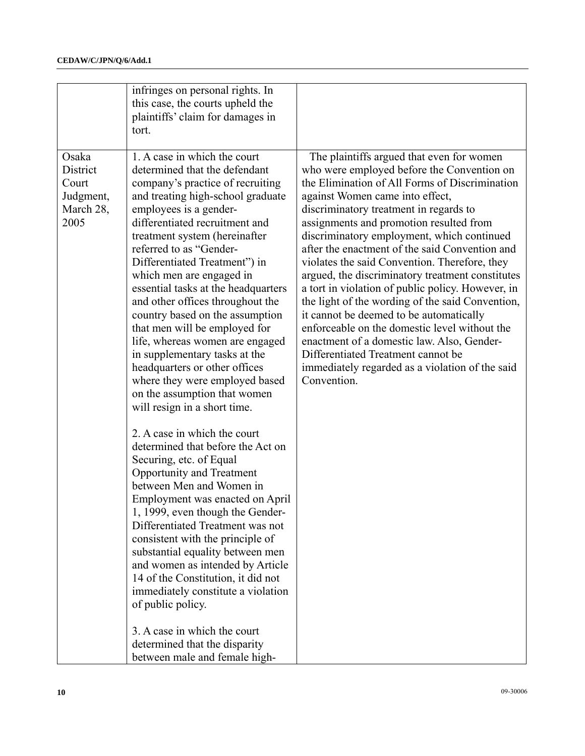| this case, the courts upheld the<br>plaintiffs' claim for damages in<br>tort.                                                                                                                                                                                                                                                                                                                                                                                                                                                                                                                                                                                                                                                                                                                                                                                                                                                                                                                                                                                                                                                                                                                                                                                                                                                                       |                                                                                                                                                                                                                                                                                                                                                                                                                                                                                                                                                                                                                                                                                                                                                                                                                    |
|-----------------------------------------------------------------------------------------------------------------------------------------------------------------------------------------------------------------------------------------------------------------------------------------------------------------------------------------------------------------------------------------------------------------------------------------------------------------------------------------------------------------------------------------------------------------------------------------------------------------------------------------------------------------------------------------------------------------------------------------------------------------------------------------------------------------------------------------------------------------------------------------------------------------------------------------------------------------------------------------------------------------------------------------------------------------------------------------------------------------------------------------------------------------------------------------------------------------------------------------------------------------------------------------------------------------------------------------------------|--------------------------------------------------------------------------------------------------------------------------------------------------------------------------------------------------------------------------------------------------------------------------------------------------------------------------------------------------------------------------------------------------------------------------------------------------------------------------------------------------------------------------------------------------------------------------------------------------------------------------------------------------------------------------------------------------------------------------------------------------------------------------------------------------------------------|
| 1. A case in which the court<br>Osaka<br>District<br>determined that the defendant<br>company's practice of recruiting<br>Court<br>Judgment,<br>and treating high-school graduate<br>employees is a gender-<br>March 28,<br>differentiated recruitment and<br>2005<br>treatment system (hereinafter<br>referred to as "Gender-<br>Differentiated Treatment") in<br>which men are engaged in<br>essential tasks at the headquarters<br>and other offices throughout the<br>country based on the assumption<br>that men will be employed for<br>life, whereas women are engaged<br>in supplementary tasks at the<br>headquarters or other offices<br>Convention.<br>where they were employed based<br>on the assumption that women<br>will resign in a short time.<br>2. A case in which the court<br>determined that before the Act on<br>Securing, etc. of Equal<br>Opportunity and Treatment<br>between Men and Women in<br>Employment was enacted on April<br>1, 1999, even though the Gender-<br>Differentiated Treatment was not<br>consistent with the principle of<br>substantial equality between men<br>and women as intended by Article<br>14 of the Constitution, it did not<br>immediately constitute a violation<br>of public policy.<br>3. A case in which the court<br>determined that the disparity<br>between male and female high- | The plaintiffs argued that even for women<br>who were employed before the Convention on<br>the Elimination of All Forms of Discrimination<br>against Women came into effect,<br>discriminatory treatment in regards to<br>assignments and promotion resulted from<br>discriminatory employment, which continued<br>after the enactment of the said Convention and<br>violates the said Convention. Therefore, they<br>argued, the discriminatory treatment constitutes<br>a tort in violation of public policy. However, in<br>the light of the wording of the said Convention,<br>it cannot be deemed to be automatically<br>enforceable on the domestic level without the<br>enactment of a domestic law. Also, Gender-<br>Differentiated Treatment cannot be<br>immediately regarded as a violation of the said |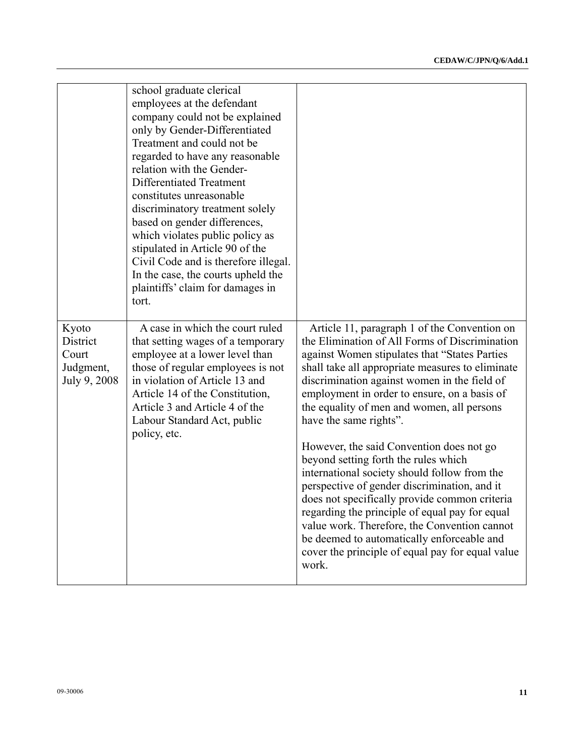|                                                         | school graduate clerical<br>employees at the defendant<br>company could not be explained<br>only by Gender-Differentiated<br>Treatment and could not be<br>regarded to have any reasonable<br>relation with the Gender-<br>Differentiated Treatment<br>constitutes unreasonable<br>discriminatory treatment solely<br>based on gender differences,<br>which violates public policy as<br>stipulated in Article 90 of the<br>Civil Code and is therefore illegal.<br>In the case, the courts upheld the<br>plaintiffs' claim for damages in<br>tort. |                                                                                                                                                                                                                                                                                                                                                                                                                                                                                                                                                                                                                                                                                                                                                                                                                               |
|---------------------------------------------------------|-----------------------------------------------------------------------------------------------------------------------------------------------------------------------------------------------------------------------------------------------------------------------------------------------------------------------------------------------------------------------------------------------------------------------------------------------------------------------------------------------------------------------------------------------------|-------------------------------------------------------------------------------------------------------------------------------------------------------------------------------------------------------------------------------------------------------------------------------------------------------------------------------------------------------------------------------------------------------------------------------------------------------------------------------------------------------------------------------------------------------------------------------------------------------------------------------------------------------------------------------------------------------------------------------------------------------------------------------------------------------------------------------|
| Kyoto<br>District<br>Court<br>Judgment,<br>July 9, 2008 | A case in which the court ruled<br>that setting wages of a temporary<br>employee at a lower level than<br>those of regular employees is not<br>in violation of Article 13 and<br>Article 14 of the Constitution,<br>Article 3 and Article 4 of the<br>Labour Standard Act, public<br>policy, etc.                                                                                                                                                                                                                                                   | Article 11, paragraph 1 of the Convention on<br>the Elimination of All Forms of Discrimination<br>against Women stipulates that "States Parties<br>shall take all appropriate measures to eliminate<br>discrimination against women in the field of<br>employment in order to ensure, on a basis of<br>the equality of men and women, all persons<br>have the same rights".<br>However, the said Convention does not go<br>beyond setting forth the rules which<br>international society should follow from the<br>perspective of gender discrimination, and it<br>does not specifically provide common criteria<br>regarding the principle of equal pay for equal<br>value work. Therefore, the Convention cannot<br>be deemed to automatically enforceable and<br>cover the principle of equal pay for equal value<br>work. |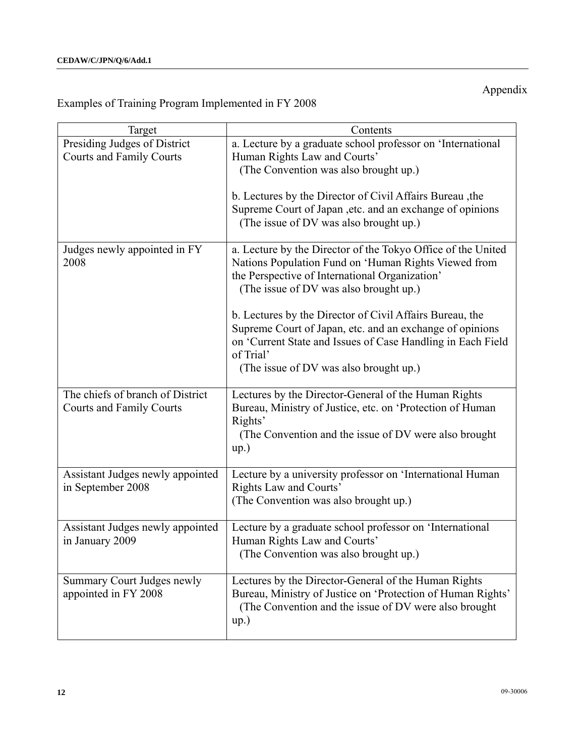# Appendix

# Examples of Training Program Implemented in FY 2008

| Target                                                              | Contents                                                                                                                                                                                                                                   |
|---------------------------------------------------------------------|--------------------------------------------------------------------------------------------------------------------------------------------------------------------------------------------------------------------------------------------|
| Presiding Judges of District<br><b>Courts and Family Courts</b>     | a. Lecture by a graduate school professor on 'International<br>Human Rights Law and Courts'<br>(The Convention was also brought up.)                                                                                                       |
|                                                                     | b. Lectures by the Director of Civil Affairs Bureau, the<br>Supreme Court of Japan , etc. and an exchange of opinions<br>(The issue of DV was also brought up.)                                                                            |
| Judges newly appointed in FY<br>2008                                | a. Lecture by the Director of the Tokyo Office of the United<br>Nations Population Fund on 'Human Rights Viewed from<br>the Perspective of International Organization'<br>(The issue of DV was also brought up.)                           |
|                                                                     | b. Lectures by the Director of Civil Affairs Bureau, the<br>Supreme Court of Japan, etc. and an exchange of opinions<br>on 'Current State and Issues of Case Handling in Each Field<br>of Trial'<br>(The issue of DV was also brought up.) |
| The chiefs of branch of District<br><b>Courts and Family Courts</b> | Lectures by the Director-General of the Human Rights<br>Bureau, Ministry of Justice, etc. on 'Protection of Human<br>Rights'<br>(The Convention and the issue of DV were also brought<br>up.)                                              |
| Assistant Judges newly appointed<br>in September 2008               | Lecture by a university professor on 'International Human<br>Rights Law and Courts'<br>(The Convention was also brought up.)                                                                                                               |
| Assistant Judges newly appointed<br>in January 2009                 | Lecture by a graduate school professor on 'International<br>Human Rights Law and Courts'<br>(The Convention was also brought up.)                                                                                                          |
| Summary Court Judges newly<br>appointed in FY 2008                  | Lectures by the Director-General of the Human Rights<br>Bureau, Ministry of Justice on 'Protection of Human Rights'<br>(The Convention and the issue of DV were also brought<br>up.)                                                       |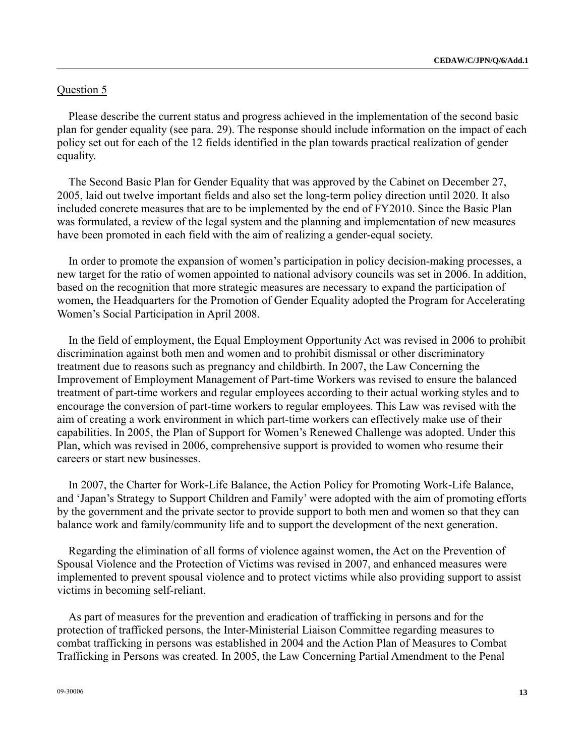### Question 5

Please describe the current status and progress achieved in the implementation of the second basic plan for gender equality (see para. 29). The response should include information on the impact of each policy set out for each of the 12 fields identified in the plan towards practical realization of gender equality.

The Second Basic Plan for Gender Equality that was approved by the Cabinet on December 27, 2005, laid out twelve important fields and also set the long-term policy direction until 2020. It also included concrete measures that are to be implemented by the end of FY2010. Since the Basic Plan was formulated, a review of the legal system and the planning and implementation of new measures have been promoted in each field with the aim of realizing a gender-equal society.

In order to promote the expansion of women's participation in policy decision-making processes, a new target for the ratio of women appointed to national advisory councils was set in 2006. In addition, based on the recognition that more strategic measures are necessary to expand the participation of women, the Headquarters for the Promotion of Gender Equality adopted the Program for Accelerating Women's Social Participation in April 2008.

In the field of employment, the Equal Employment Opportunity Act was revised in 2006 to prohibit discrimination against both men and women and to prohibit dismissal or other discriminatory treatment due to reasons such as pregnancy and childbirth. In 2007, the Law Concerning the Improvement of Employment Management of Part-time Workers was revised to ensure the balanced treatment of part-time workers and regular employees according to their actual working styles and to encourage the conversion of part-time workers to regular employees. This Law was revised with the aim of creating a work environment in which part-time workers can effectively make use of their capabilities. In 2005, the Plan of Support for Women's Renewed Challenge was adopted. Under this Plan, which was revised in 2006, comprehensive support is provided to women who resume their careers or start new businesses.

In 2007, the Charter for Work-Life Balance, the Action Policy for Promoting Work-Life Balance, and 'Japan's Strategy to Support Children and Family' were adopted with the aim of promoting efforts by the government and the private sector to provide support to both men and women so that they can balance work and family/community life and to support the development of the next generation.

Regarding the elimination of all forms of violence against women, the Act on the Prevention of Spousal Violence and the Protection of Victims was revised in 2007, and enhanced measures were implemented to prevent spousal violence and to protect victims while also providing support to assist victims in becoming self-reliant.

As part of measures for the prevention and eradication of trafficking in persons and for the protection of trafficked persons, the Inter-Ministerial Liaison Committee regarding measures to combat trafficking in persons was established in 2004 and the Action Plan of Measures to Combat Trafficking in Persons was created. In 2005, the Law Concerning Partial Amendment to the Penal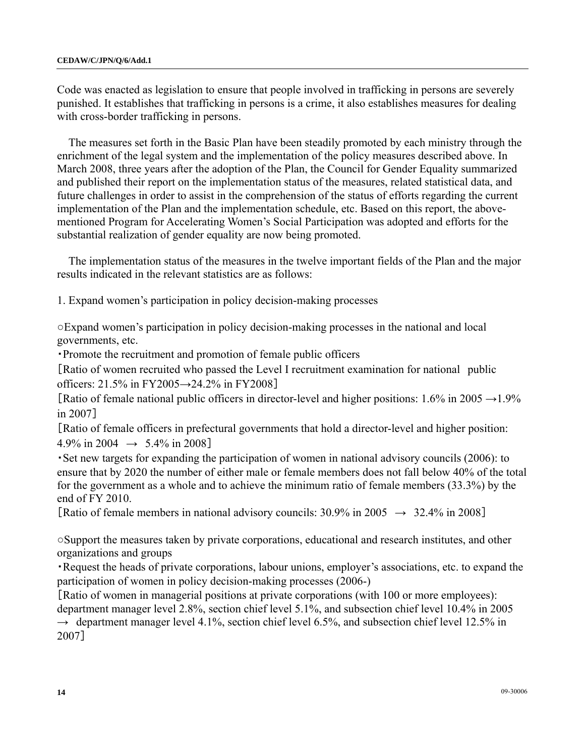Code was enacted as legislation to ensure that people involved in trafficking in persons are severely punished. It establishes that trafficking in persons is a crime, it also establishes measures for dealing with cross-border trafficking in persons.

The measures set forth in the Basic Plan have been steadily promoted by each ministry through the enrichment of the legal system and the implementation of the policy measures described above. In March 2008, three years after the adoption of the Plan, the Council for Gender Equality summarized and published their report on the implementation status of the measures, related statistical data, and future challenges in order to assist in the comprehension of the status of efforts regarding the current implementation of the Plan and the implementation schedule, etc. Based on this report, the abovementioned Program for Accelerating Women's Social Participation was adopted and efforts for the substantial realization of gender equality are now being promoted.

The implementation status of the measures in the twelve important fields of the Plan and the major results indicated in the relevant statistics are as follows:

1. Expand women's participation in policy decision-making processes

○Expand women's participation in policy decision-making processes in the national and local governments, etc.

・Promote the recruitment and promotion of female public officers

[Ratio of women recruited who passed the Level I recruitment examination for national public officers:  $21.5\%$  in FY2005→24.2% in FY2008]

[Ratio of female national public officers in director-level and higher positions:  $1.6\%$  in  $2005 \rightarrow 1.9\%$ in 2007]

[Ratio of female officers in prefectural governments that hold a director-level and higher position:  $4.9\%$  in 2004  $\rightarrow$  5.4% in 2008]

・Set new targets for expanding the participation of women in national advisory councils (2006): to ensure that by 2020 the number of either male or female members does not fall below 40% of the total for the government as a whole and to achieve the minimum ratio of female members (33.3%) by the end of FY 2010.

[Ratio of female members in national advisory councils:  $30.9\%$  in  $2005 \rightarrow 32.4\%$  in 2008]

○Support the measures taken by private corporations, educational and research institutes, and other organizations and groups

・Request the heads of private corporations, labour unions, employer's associations, etc. to expand the participation of women in policy decision-making processes (2006-)

[Ratio of women in managerial positions at private corporations (with 100 or more employees): department manager level 2.8%, section chief level 5.1%, and subsection chief level 10.4% in 2005  $\rightarrow$  department manager level 4.1%, section chief level 6.5%, and subsection chief level 12.5% in 2007]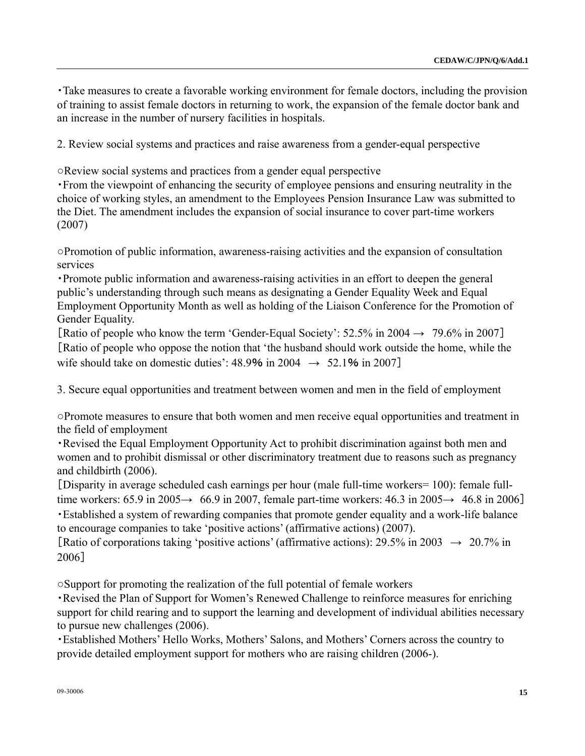・Take measures to create a favorable working environment for female doctors, including the provision of training to assist female doctors in returning to work, the expansion of the female doctor bank and an increase in the number of nursery facilities in hospitals.

2. Review social systems and practices and raise awareness from a gender-equal perspective

○Review social systems and practices from a gender equal perspective

・From the viewpoint of enhancing the security of employee pensions and ensuring neutrality in the choice of working styles, an amendment to the Employees Pension Insurance Law was submitted to the Diet. The amendment includes the expansion of social insurance to cover part-time workers (2007)

○Promotion of public information, awareness-raising activities and the expansion of consultation services

・Promote public information and awareness-raising activities in an effort to deepen the general public's understanding through such means as designating a Gender Equality Week and Equal Employment Opportunity Month as well as holding of the Liaison Conference for the Promotion of Gender Equality.

[Ratio of people who know the term 'Gender-Equal Society':  $52.5\%$  in 2004  $\rightarrow$  79.6% in 2007] [Ratio of people who oppose the notion that 'the husband should work outside the home, while the wife should take on domestic duties':  $48.9\%$  in 2004  $\rightarrow$  52.1% in 2007]

3. Secure equal opportunities and treatment between women and men in the field of employment

○Promote measures to ensure that both women and men receive equal opportunities and treatment in the field of employment

・Revised the Equal Employment Opportunity Act to prohibit discrimination against both men and women and to prohibit dismissal or other discriminatory treatment due to reasons such as pregnancy and childbirth (2006).

[Disparity in average scheduled cash earnings per hour (male full-time workers= 100): female fulltime workers:  $65.9$  in  $2005 \rightarrow 66.9$  in 2007, female part-time workers:  $46.3$  in  $2005 \rightarrow 46.8$  in 2006]

・Established a system of rewarding companies that promote gender equality and a work-life balance to encourage companies to take 'positive actions' (affirmative actions) (2007).

[Ratio of corporations taking 'positive actions' (affirmative actions):  $29.5\%$  in  $2003 \rightarrow 20.7\%$  in 2006]

○Support for promoting the realization of the full potential of female workers

・Revised the Plan of Support for Women's Renewed Challenge to reinforce measures for enriching support for child rearing and to support the learning and development of individual abilities necessary to pursue new challenges (2006).

・Established Mothers' Hello Works, Mothers' Salons, and Mothers' Corners across the country to provide detailed employment support for mothers who are raising children (2006-).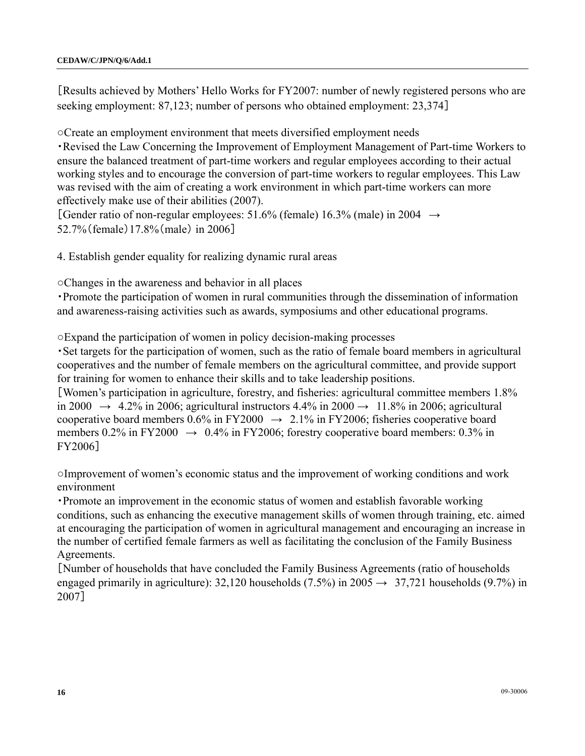[Results achieved by Mothers' Hello Works for FY2007: number of newly registered persons who are seeking employment: 87,123; number of persons who obtained employment: 23,374]

○Create an employment environment that meets diversified employment needs

・Revised the Law Concerning the Improvement of Employment Management of Part-time Workers to ensure the balanced treatment of part-time workers and regular employees according to their actual working styles and to encourage the conversion of part-time workers to regular employees. This Law was revised with the aim of creating a work environment in which part-time workers can more effectively make use of their abilities (2007).

[Gender ratio of non-regular employees: 51.6% (female) 16.3% (male) in 2004  $\rightarrow$ 52.7%(female)17.8%(male) in 2006]

4. Establish gender equality for realizing dynamic rural areas

○Changes in the awareness and behavior in all places

・Promote the participation of women in rural communities through the dissemination of information and awareness-raising activities such as awards, symposiums and other educational programs.

○Expand the participation of women in policy decision-making processes

・Set targets for the participation of women, such as the ratio of female board members in agricultural cooperatives and the number of female members on the agricultural committee, and provide support for training for women to enhance their skills and to take leadership positions.

[Women's participation in agriculture, forestry, and fisheries: agricultural committee members 1.8% in 2000  $\rightarrow$  4.2% in 2006; agricultural instructors 4.4% in 2000  $\rightarrow$  11.8% in 2006; agricultural cooperative board members 0.6% in FY2000  $\rightarrow$  2.1% in FY2006; fisheries cooperative board members 0.2% in FY2000  $\rightarrow$  0.4% in FY2006; forestry cooperative board members: 0.3% in FY2006]

○Improvement of women's economic status and the improvement of working conditions and work environment

・Promote an improvement in the economic status of women and establish favorable working conditions, such as enhancing the executive management skills of women through training, etc. aimed at encouraging the participation of women in agricultural management and encouraging an increase in the number of certified female farmers as well as facilitating the conclusion of the Family Business Agreements.

[Number of households that have concluded the Family Business Agreements (ratio of households engaged primarily in agriculture): 32,120 households (7.5%) in 2005  $\rightarrow$  37,721 households (9.7%) in 2007]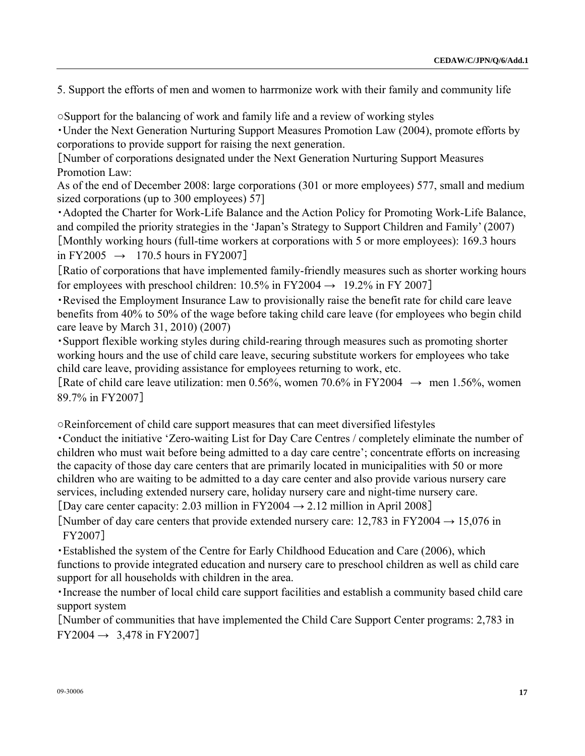5. Support the efforts of men and women to harrmonize work with their family and community life

○Support for the balancing of work and family life and a review of working styles

・Under the Next Generation Nurturing Support Measures Promotion Law (2004), promote efforts by corporations to provide support for raising the next generation.

[Number of corporations designated under the Next Generation Nurturing Support Measures Promotion Law:

As of the end of December 2008: large corporations (301 or more employees) 577, small and medium sized corporations (up to 300 employees) 57]

・Adopted the Charter for Work-Life Balance and the Action Policy for Promoting Work-Life Balance, and compiled the priority strategies in the 'Japan's Strategy to Support Children and Family' (2007) [Monthly working hours (full-time workers at corporations with 5 or more employees): 169.3 hours in FY2005  $\rightarrow$  170.5 hours in FY2007]

[Ratio of corporations that have implemented family-friendly measures such as shorter working hours for employees with preschool children:  $10.5\%$  in FY2004  $\rightarrow$  19.2% in FY 2007]

・Revised the Employment Insurance Law to provisionally raise the benefit rate for child care leave benefits from 40% to 50% of the wage before taking child care leave (for employees who begin child care leave by March 31, 2010) (2007)

・Support flexible working styles during child-rearing through measures such as promoting shorter working hours and the use of child care leave, securing substitute workers for employees who take child care leave, providing assistance for employees returning to work, etc.

[Rate of child care leave utilization: men 0.56%, women 70.6% in FY2004  $\rightarrow$  men 1.56%, women 89.7% in FY2007]

○Reinforcement of child care support measures that can meet diversified lifestyles

・Conduct the initiative 'Zero-waiting List for Day Care Centres / completely eliminate the number of children who must wait before being admitted to a day care centre'; concentrate efforts on increasing the capacity of those day care centers that are primarily located in municipalities with 50 or more children who are waiting to be admitted to a day care center and also provide various nursery care services, including extended nursery care, holiday nursery care and night-time nursery care. [Day care center capacity: 2.03 million in FY2004  $\rightarrow$  2.12 million in April 2008]

[Number of day care centers that provide extended nursery care:  $12,783$  in FY2004  $\rightarrow$  15,076 in FY2007]

・Established the system of the Centre for Early Childhood Education and Care (2006), which functions to provide integrated education and nursery care to preschool children as well as child care support for all households with children in the area.

・Increase the number of local child care support facilities and establish a community based child care support system

[Number of communities that have implemented the Child Care Support Center programs: 2,783 in  $FY2004 \rightarrow 3,478$  in  $FY2007$ ]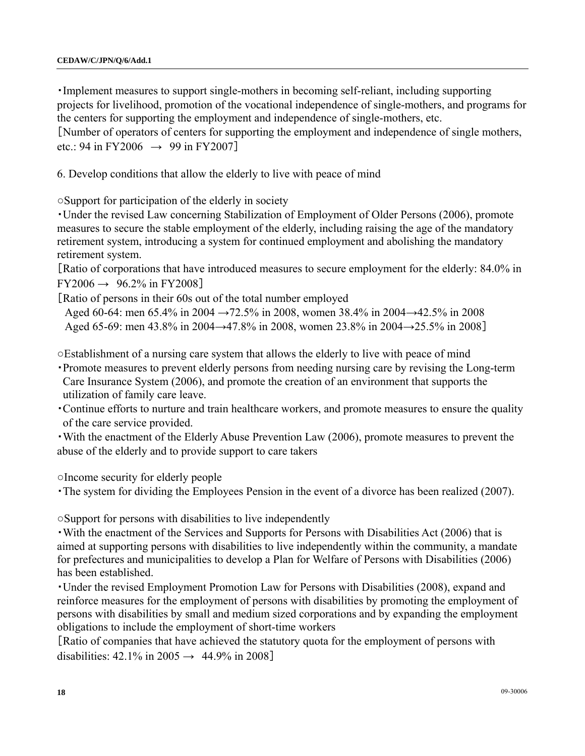・Implement measures to support single-mothers in becoming self-reliant, including supporting projects for livelihood, promotion of the vocational independence of single-mothers, and programs for the centers for supporting the employment and independence of single-mothers, etc. [Number of operators of centers for supporting the employment and independence of single mothers,

etc.: 94 in FY2006  $\rightarrow$  99 in FY2007]

6. Develop conditions that allow the elderly to live with peace of mind

○Support for participation of the elderly in society

・Under the revised Law concerning Stabilization of Employment of Older Persons (2006), promote measures to secure the stable employment of the elderly, including raising the age of the mandatory retirement system, introducing a system for continued employment and abolishing the mandatory retirement system.

[Ratio of corporations that have introduced measures to secure employment for the elderly: 84.0% in  $FY2006 \rightarrow 96.2\%$  in  $FY2008$ ]

[Ratio of persons in their 60s out of the total number employed

Aged 60-64: men 65.4% in 2004 →72.5% in 2008, women 38.4% in 2004→42.5% in 2008 Aged 65-69: men 43.8% in 2004→47.8% in 2008, women 23.8% in 2004→25.5% in 2008]

○Establishment of a nursing care system that allows the elderly to live with peace of mind

- ・Promote measures to prevent elderly persons from needing nursing care by revising the Long-term Care Insurance System (2006), and promote the creation of an environment that supports the utilization of family care leave.
- ・Continue efforts to nurture and train healthcare workers, and promote measures to ensure the quality of the care service provided.
- ・With the enactment of the Elderly Abuse Prevention Law (2006), promote measures to prevent the abuse of the elderly and to provide support to care takers

○Income security for elderly people

・The system for dividing the Employees Pension in the event of a divorce has been realized (2007).

○Support for persons with disabilities to live independently

・With the enactment of the Services and Supports for Persons with Disabilities Act (2006) that is aimed at supporting persons with disabilities to live independently within the community, a mandate for prefectures and municipalities to develop a Plan for Welfare of Persons with Disabilities (2006) has been established.

・Under the revised Employment Promotion Law for Persons with Disabilities (2008), expand and reinforce measures for the employment of persons with disabilities by promoting the employment of persons with disabilities by small and medium sized corporations and by expanding the employment obligations to include the employment of short-time workers

[Ratio of companies that have achieved the statutory quota for the employment of persons with disabilities:  $42.1\%$  in  $2005 \rightarrow 44.9\%$  in  $2008$ ]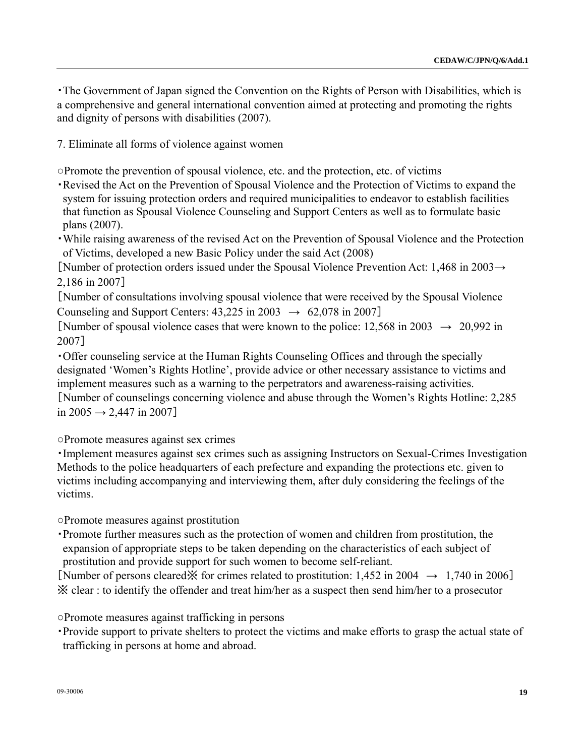・The Government of Japan signed the Convention on the Rights of Person with Disabilities, which is a comprehensive and general international convention aimed at protecting and promoting the rights and dignity of persons with disabilities (2007).

7. Eliminate all forms of violence against women

○Promote the prevention of spousal violence, etc. and the protection, etc. of victims

- ・Revised the Act on the Prevention of Spousal Violence and the Protection of Victims to expand the system for issuing protection orders and required municipalities to endeavor to establish facilities that function as Spousal Violence Counseling and Support Centers as well as to formulate basic plans (2007).
- ・While raising awareness of the revised Act on the Prevention of Spousal Violence and the Protection of Victims, developed a new Basic Policy under the said Act (2008)

[Number of protection orders issued under the Spousal Violence Prevention Act: 1,468 in 2003→ 2,186 in 2007]

[Number of consultations involving spousal violence that were received by the Spousal Violence Counseling and Support Centers:  $43,225$  in  $2003 \rightarrow 62,078$  in 2007]

[Number of spousal violence cases that were known to the police:  $12.568$  in  $2003 \rightarrow 20.992$  in 2007]

・Offer counseling service at the Human Rights Counseling Offices and through the specially designated 'Women's Rights Hotline', provide advice or other necessary assistance to victims and implement measures such as a warning to the perpetrators and awareness-raising activities. [Number of counselings concerning violence and abuse through the Women's Rights Hotline: 2,285 in 2005  $\rightarrow$  2,447 in 2007]

○Promote measures against sex crimes

・Implement measures against sex crimes such as assigning Instructors on Sexual-Crimes Investigation Methods to the police headquarters of each prefecture and expanding the protections etc. given to victims including accompanying and interviewing them, after duly considering the feelings of the victims.

○Promote measures against prostitution

・Promote further measures such as the protection of women and children from prostitution, the expansion of appropriate steps to be taken depending on the characteristics of each subject of prostitution and provide support for such women to become self-reliant.

[Number of persons cleared※ for crimes related to prostitution:  $1,452$  in  $2004 \rightarrow 1,740$  in  $2006$ ] ※ clear : to identify the offender and treat him/her as a suspect then send him/her to a prosecutor

○Promote measures against trafficking in persons

・Provide support to private shelters to protect the victims and make efforts to grasp the actual state of trafficking in persons at home and abroad.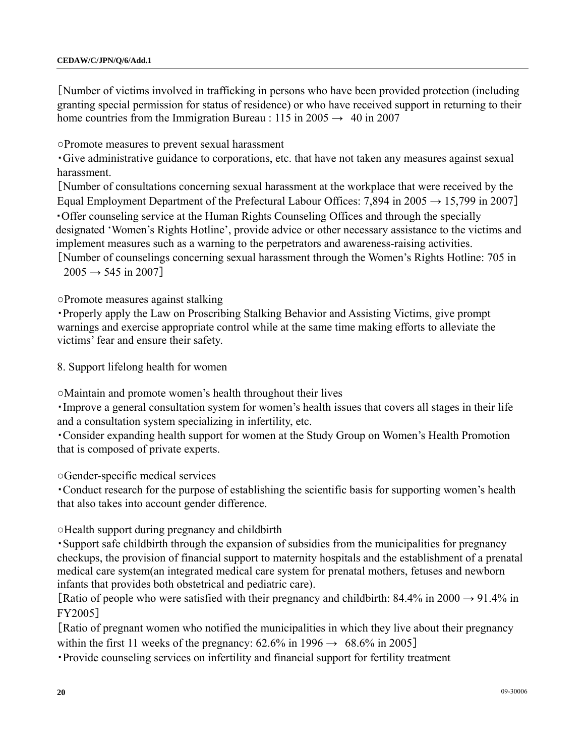[Number of victims involved in trafficking in persons who have been provided protection (including granting special permission for status of residence) or who have received support in returning to their home countries from the Immigration Bureau : 115 in 2005  $\rightarrow$  40 in 2007

○Promote measures to prevent sexual harassment

・Give administrative guidance to corporations, etc. that have not taken any measures against sexual harassment.

[Number of consultations concerning sexual harassment at the workplace that were received by the Equal Employment Department of the Prefectural Labour Offices: 7,894 in 2005  $\rightarrow$  15,799 in 2007] ・Offer counseling service at the Human Rights Counseling Offices and through the specially designated 'Women's Rights Hotline', provide advice or other necessary assistance to the victims and implement measures such as a warning to the perpetrators and awareness-raising activities.

[Number of counselings concerning sexual harassment through the Women's Rights Hotline: 705 in  $2005 \rightarrow 545$  in 2007]

○Promote measures against stalking

・Properly apply the Law on Proscribing Stalking Behavior and Assisting Victims, give prompt warnings and exercise appropriate control while at the same time making efforts to alleviate the victims' fear and ensure their safety.

8. Support lifelong health for women

○Maintain and promote women's health throughout their lives

・Improve a general consultation system for women's health issues that covers all stages in their life and a consultation system specializing in infertility, etc.

・Consider expanding health support for women at the Study Group on Women's Health Promotion that is composed of private experts.

○Gender-specific medical services

・Conduct research for the purpose of establishing the scientific basis for supporting women's health that also takes into account gender difference.

○Health support during pregnancy and childbirth

・Support safe childbirth through the expansion of subsidies from the municipalities for pregnancy checkups, the provision of financial support to maternity hospitals and the establishment of a prenatal medical care system(an integrated medical care system for prenatal mothers, fetuses and newborn infants that provides both obstetrical and pediatric care).

[Ratio of people who were satisfied with their pregnancy and childbirth: 84.4% in 2000  $\rightarrow$  91.4% in FY2005]

[Ratio of pregnant women who notified the municipalities in which they live about their pregnancy within the first 11 weeks of the pregnancy:  $62.6\%$  in  $1996 \rightarrow 68.6\%$  in  $2005$ ]

・Provide counseling services on infertility and financial support for fertility treatment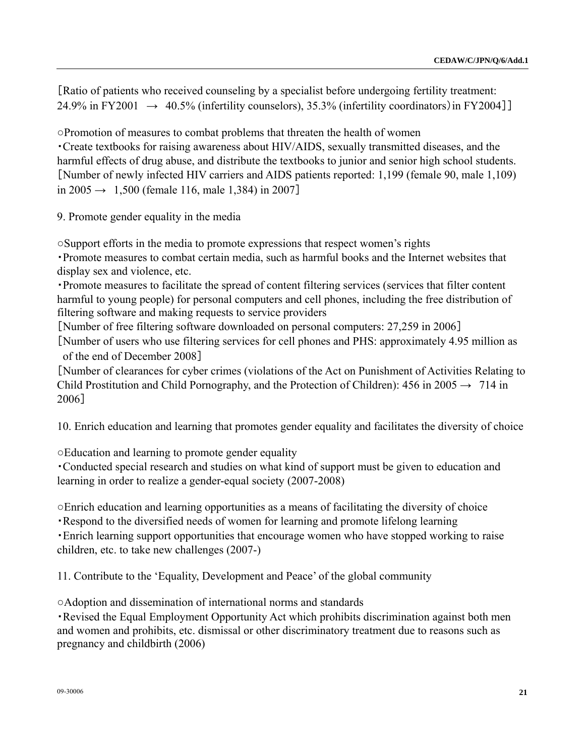[Ratio of patients who received counseling by a specialist before undergoing fertility treatment: 24.9% in FY2001  $\rightarrow$  40.5% (infertility counselors), 35.3% (infertility coordinators) in FY2004]]

○Promotion of measures to combat problems that threaten the health of women ・Create textbooks for raising awareness about HIV/AIDS, sexually transmitted diseases, and the harmful effects of drug abuse, and distribute the textbooks to junior and senior high school students. [Number of newly infected HIV carriers and AIDS patients reported: 1,199 (female 90, male 1,109) in  $2005 \rightarrow 1,500$  (female 116, male 1,384) in 2007]

9. Promote gender equality in the media

○Support efforts in the media to promote expressions that respect women's rights

・Promote measures to combat certain media, such as harmful books and the Internet websites that display sex and violence, etc.

・Promote measures to facilitate the spread of content filtering services (services that filter content harmful to young people) for personal computers and cell phones, including the free distribution of filtering software and making requests to service providers

[Number of free filtering software downloaded on personal computers: 27,259 in 2006]

[Number of users who use filtering services for cell phones and PHS: approximately 4.95 million as of the end of December 2008]

[Number of clearances for cyber crimes (violations of the Act on Punishment of Activities Relating to Child Prostitution and Child Pornography, and the Protection of Children):  $456$  in  $2005 \rightarrow 714$  in 2006]

10. Enrich education and learning that promotes gender equality and facilitates the diversity of choice

○Education and learning to promote gender equality

・Conducted special research and studies on what kind of support must be given to education and learning in order to realize a gender-equal society (2007-2008)

○Enrich education and learning opportunities as a means of facilitating the diversity of choice

・Respond to the diversified needs of women for learning and promote lifelong learning

・Enrich learning support opportunities that encourage women who have stopped working to raise children, etc. to take new challenges (2007-)

11. Contribute to the 'Equality, Development and Peace' of the global community

○Adoption and dissemination of international norms and standards

・Revised the Equal Employment Opportunity Act which prohibits discrimination against both men and women and prohibits, etc. dismissal or other discriminatory treatment due to reasons such as pregnancy and childbirth (2006)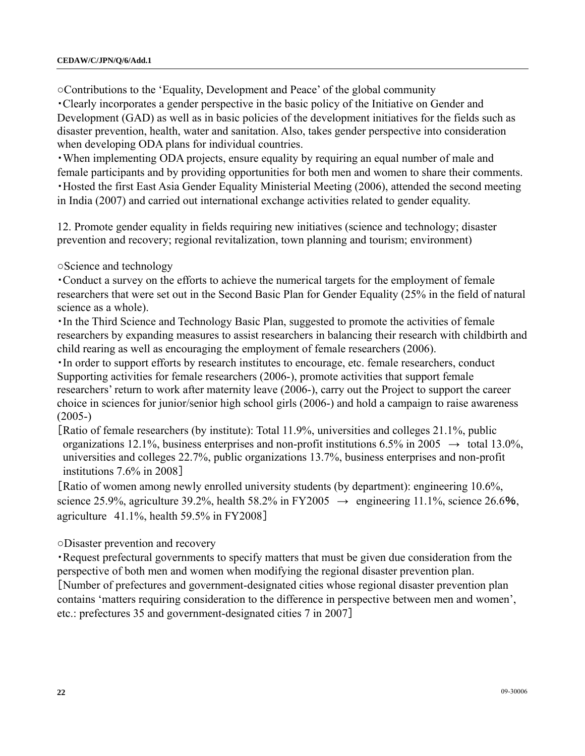○Contributions to the 'Equality, Development and Peace' of the global community

・Clearly incorporates a gender perspective in the basic policy of the Initiative on Gender and Development (GAD) as well as in basic policies of the development initiatives for the fields such as disaster prevention, health, water and sanitation. Also, takes gender perspective into consideration when developing ODA plans for individual countries.

・When implementing ODA projects, ensure equality by requiring an equal number of male and female participants and by providing opportunities for both men and women to share their comments. ・Hosted the first East Asia Gender Equality Ministerial Meeting (2006), attended the second meeting in India (2007) and carried out international exchange activities related to gender equality.

12. Promote gender equality in fields requiring new initiatives (science and technology; disaster prevention and recovery; regional revitalization, town planning and tourism; environment)

○Science and technology

・Conduct a survey on the efforts to achieve the numerical targets for the employment of female researchers that were set out in the Second Basic Plan for Gender Equality (25% in the field of natural science as a whole).

・In the Third Science and Technology Basic Plan, suggested to promote the activities of female researchers by expanding measures to assist researchers in balancing their research with childbirth and child rearing as well as encouraging the employment of female researchers (2006).

・In order to support efforts by research institutes to encourage, etc. female researchers, conduct Supporting activities for female researchers (2006-), promote activities that support female researchers' return to work after maternity leave (2006-), carry out the Project to support the career choice in sciences for junior/senior high school girls (2006-) and hold a campaign to raise awareness  $(2005-)$ 

[Ratio of female researchers (by institute): Total 11.9%, universities and colleges 21.1%, public organizations 12.1%, business enterprises and non-profit institutions 6.5% in 2005  $\rightarrow$  total 13.0%, universities and colleges 22.7%, public organizations 13.7%, business enterprises and non-profit institutions 7.6% in 2008]

[Ratio of women among newly enrolled university students (by department): engineering 10.6%, science 25.9%, agriculture 39.2%, health 58.2% in FY2005  $\rightarrow$  engineering 11.1%, science 26.6%, agriculture 41.1%, health 59.5% in FY2008]

○Disaster prevention and recovery

・Request prefectural governments to specify matters that must be given due consideration from the perspective of both men and women when modifying the regional disaster prevention plan. [Number of prefectures and government-designated cities whose regional disaster prevention plan contains 'matters requiring consideration to the difference in perspective between men and women', etc.: prefectures 35 and government-designated cities 7 in 2007]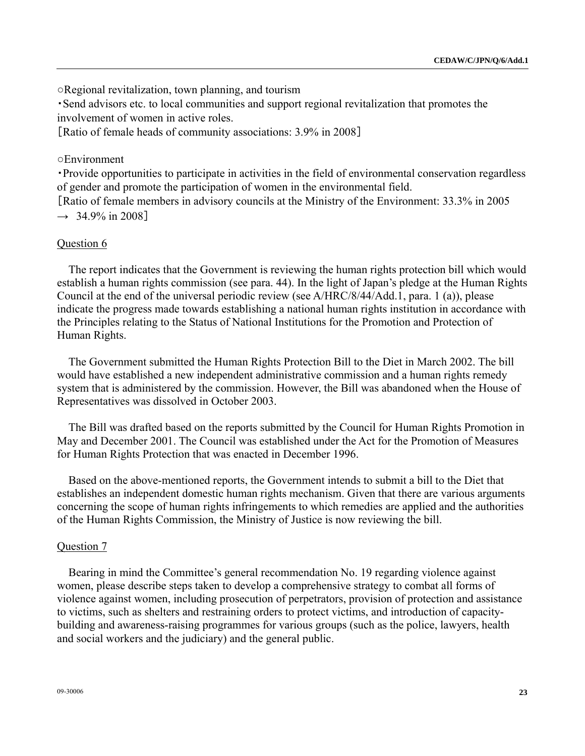○Regional revitalization, town planning, and tourism

・Send advisors etc. to local communities and support regional revitalization that promotes the involvement of women in active roles.

[Ratio of female heads of community associations: 3.9% in 2008]

### ○Environment

・Provide opportunities to participate in activities in the field of environmental conservation regardless of gender and promote the participation of women in the environmental field. [Ratio of female members in advisory councils at the Ministry of the Environment: 33.3% in 2005

 $\rightarrow$  34.9% in 2008]

### Question 6

The report indicates that the Government is reviewing the human rights protection bill which would establish a human rights commission (see para. 44). In the light of Japan's pledge at the Human Rights Council at the end of the universal periodic review (see A/HRC/8/44/Add.1, para. 1 (a)), please indicate the progress made towards establishing a national human rights institution in accordance with the Principles relating to the Status of National Institutions for the Promotion and Protection of Human Rights.

The Government submitted the Human Rights Protection Bill to the Diet in March 2002. The bill would have established a new independent administrative commission and a human rights remedy system that is administered by the commission. However, the Bill was abandoned when the House of Representatives was dissolved in October 2003.

The Bill was drafted based on the reports submitted by the Council for Human Rights Promotion in May and December 2001. The Council was established under the Act for the Promotion of Measures for Human Rights Protection that was enacted in December 1996.

Based on the above-mentioned reports, the Government intends to submit a bill to the Diet that establishes an independent domestic human rights mechanism. Given that there are various arguments concerning the scope of human rights infringements to which remedies are applied and the authorities of the Human Rights Commission, the Ministry of Justice is now reviewing the bill.

### Question 7

Bearing in mind the Committee's general recommendation No. 19 regarding violence against women, please describe steps taken to develop a comprehensive strategy to combat all forms of violence against women, including prosecution of perpetrators, provision of protection and assistance to victims, such as shelters and restraining orders to protect victims, and introduction of capacitybuilding and awareness-raising programmes for various groups (such as the police, lawyers, health and social workers and the judiciary) and the general public.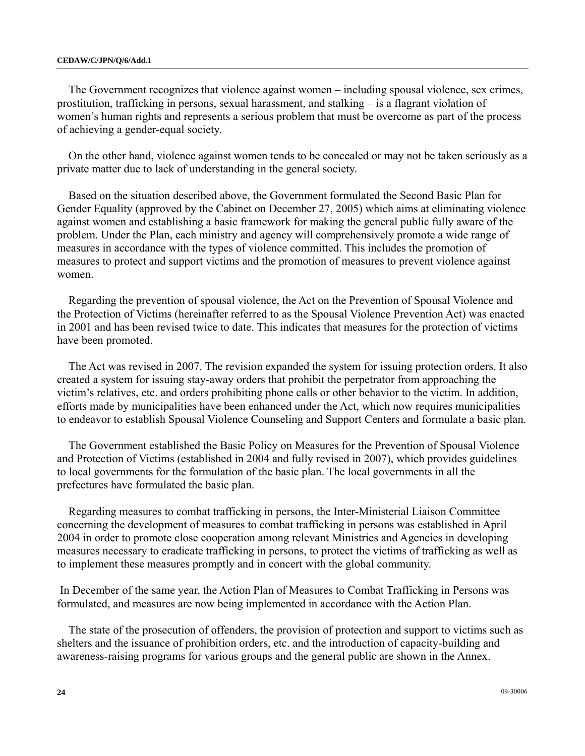### **CEDAW/C/JPN/Q/6/Add.1**

The Government recognizes that violence against women – including spousal violence, sex crimes, prostitution, trafficking in persons, sexual harassment, and stalking – is a flagrant violation of women's human rights and represents a serious problem that must be overcome as part of the process of achieving a gender-equal society.

On the other hand, violence against women tends to be concealed or may not be taken seriously as a private matter due to lack of understanding in the general society.

Based on the situation described above, the Government formulated the Second Basic Plan for Gender Equality (approved by the Cabinet on December 27, 2005) which aims at eliminating violence against women and establishing a basic framework for making the general public fully aware of the problem. Under the Plan, each ministry and agency will comprehensively promote a wide range of measures in accordance with the types of violence committed. This includes the promotion of measures to protect and support victims and the promotion of measures to prevent violence against women.

Regarding the prevention of spousal violence, the Act on the Prevention of Spousal Violence and the Protection of Victims (hereinafter referred to as the Spousal Violence Prevention Act) was enacted in 2001 and has been revised twice to date. This indicates that measures for the protection of victims have been promoted.

The Act was revised in 2007. The revision expanded the system for issuing protection orders. It also created a system for issuing stay-away orders that prohibit the perpetrator from approaching the victim's relatives, etc. and orders prohibiting phone calls or other behavior to the victim. In addition, efforts made by municipalities have been enhanced under the Act, which now requires municipalities to endeavor to establish Spousal Violence Counseling and Support Centers and formulate a basic plan.

The Government established the Basic Policy on Measures for the Prevention of Spousal Violence and Protection of Victims (established in 2004 and fully revised in 2007), which provides guidelines to local governments for the formulation of the basic plan. The local governments in all the prefectures have formulated the basic plan.

Regarding measures to combat trafficking in persons, the Inter-Ministerial Liaison Committee concerning the development of measures to combat trafficking in persons was established in April 2004 in order to promote close cooperation among relevant Ministries and Agencies in developing measures necessary to eradicate trafficking in persons, to protect the victims of trafficking as well as to implement these measures promptly and in concert with the global community.

 In December of the same year, the Action Plan of Measures to Combat Trafficking in Persons was formulated, and measures are now being implemented in accordance with the Action Plan.

The state of the prosecution of offenders, the provision of protection and support to victims such as shelters and the issuance of prohibition orders, etc. and the introduction of capacity-building and awareness-raising programs for various groups and the general public are shown in the Annex.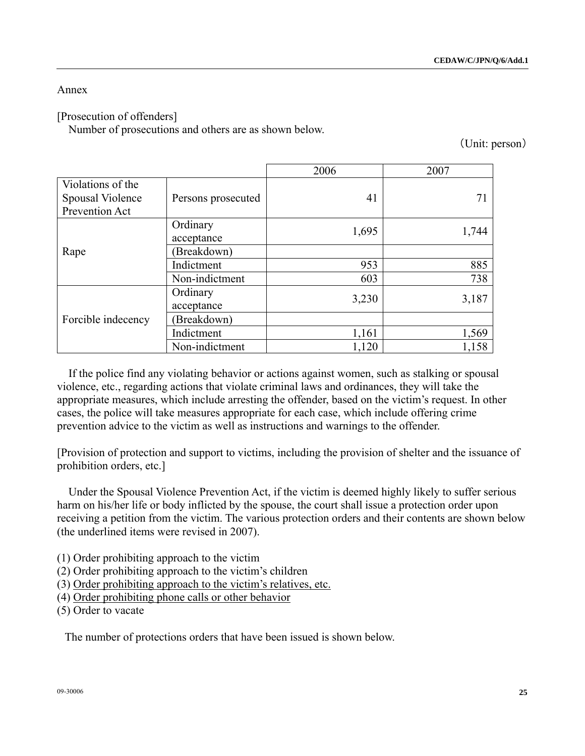### Annex

## [Prosecution of offenders]

Number of prosecutions and others are as shown below.

(Unit: person)

|                                                         |                        | 2006  | 2007  |
|---------------------------------------------------------|------------------------|-------|-------|
| Violations of the<br>Spousal Violence<br>Prevention Act | Persons prosecuted     | 41    | 71    |
|                                                         | Ordinary<br>acceptance | 1,695 | 1,744 |
| Rape                                                    | (Breakdown)            |       |       |
|                                                         | Indictment             | 953   | 885   |
|                                                         | Non-indictment         | 603   | 738   |
|                                                         | Ordinary<br>acceptance | 3,230 | 3,187 |
| Forcible indecency                                      | (Breakdown)            |       |       |
|                                                         | Indictment             | 1,161 | 1,569 |
|                                                         | Non-indictment         | 1,120 | 1,158 |

If the police find any violating behavior or actions against women, such as stalking or spousal violence, etc., regarding actions that violate criminal laws and ordinances, they will take the appropriate measures, which include arresting the offender, based on the victim's request. In other cases, the police will take measures appropriate for each case, which include offering crime prevention advice to the victim as well as instructions and warnings to the offender.

[Provision of protection and support to victims, including the provision of shelter and the issuance of prohibition orders, etc.]

Under the Spousal Violence Prevention Act, if the victim is deemed highly likely to suffer serious harm on his/her life or body inflicted by the spouse, the court shall issue a protection order upon receiving a petition from the victim. The various protection orders and their contents are shown below (the underlined items were revised in 2007).

(1) Order prohibiting approach to the victim

- (2) Order prohibiting approach to the victim's children
- (3) Order prohibiting approach to the victim's relatives, etc.
- (4) Order prohibiting phone calls or other behavior

(5) Order to vacate

The number of protections orders that have been issued is shown below.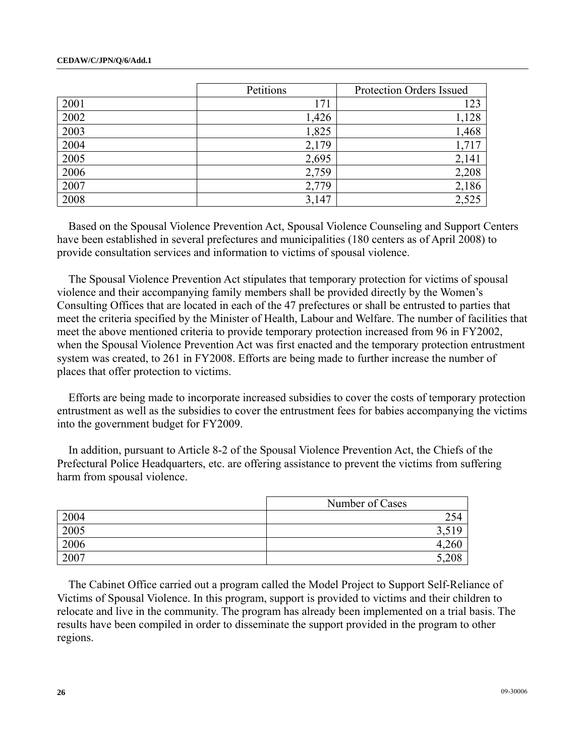|      | Petitions | Protection Orders Issued |  |
|------|-----------|--------------------------|--|
| 2001 | 171       | 123                      |  |
| 2002 | 1,426     | 1,128                    |  |
| 2003 | 1,825     | 1,468                    |  |
| 2004 | 2,179     | 1,717                    |  |
| 2005 | 2,695     | 2,141                    |  |
| 2006 | 2,759     | 2,208                    |  |
| 2007 | 2,779     | 2,186                    |  |
| 2008 | 3,147     | 2,525                    |  |

Based on the Spousal Violence Prevention Act, Spousal Violence Counseling and Support Centers have been established in several prefectures and municipalities (180 centers as of April 2008) to provide consultation services and information to victims of spousal violence.

The Spousal Violence Prevention Act stipulates that temporary protection for victims of spousal violence and their accompanying family members shall be provided directly by the Women's Consulting Offices that are located in each of the 47 prefectures or shall be entrusted to parties that meet the criteria specified by the Minister of Health, Labour and Welfare. The number of facilities that meet the above mentioned criteria to provide temporary protection increased from 96 in FY2002, when the Spousal Violence Prevention Act was first enacted and the temporary protection entrustment system was created, to 261 in FY2008. Efforts are being made to further increase the number of places that offer protection to victims.

Efforts are being made to incorporate increased subsidies to cover the costs of temporary protection entrustment as well as the subsidies to cover the entrustment fees for babies accompanying the victims into the government budget for FY2009.

In addition, pursuant to Article 8-2 of the Spousal Violence Prevention Act, the Chiefs of the Prefectural Police Headquarters, etc. are offering assistance to prevent the victims from suffering harm from spousal violence.

|      | Number of Cases |
|------|-----------------|
| 2004 | 254             |
| 2005 | ، ب             |
| 2006 |                 |
| 2007 |                 |

The Cabinet Office carried out a program called the Model Project to Support Self-Reliance of Victims of Spousal Violence. In this program, support is provided to victims and their children to relocate and live in the community. The program has already been implemented on a trial basis. The results have been compiled in order to disseminate the support provided in the program to other regions.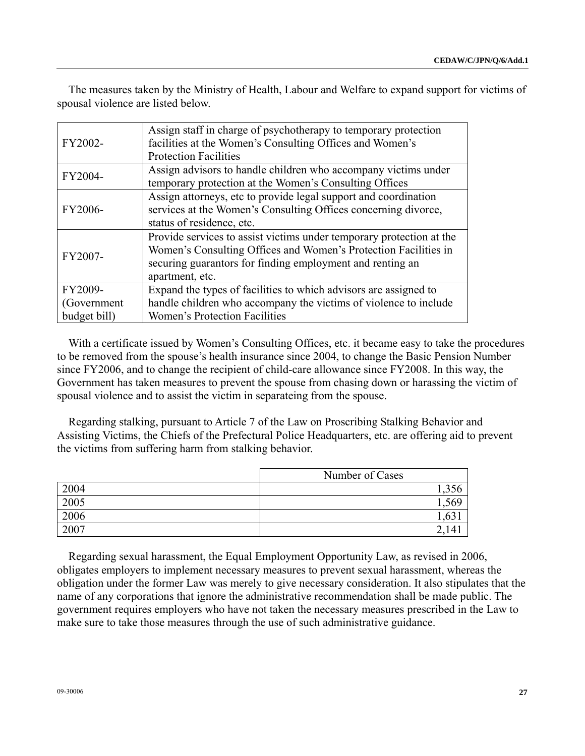The measures taken by the Ministry of Health, Labour and Welfare to expand support for victims of spousal violence are listed below.

| FY2002-                                 | Assign staff in charge of psychotherapy to temporary protection<br>facilities at the Women's Consulting Offices and Women's<br><b>Protection Facilities</b>                                                             |
|-----------------------------------------|-------------------------------------------------------------------------------------------------------------------------------------------------------------------------------------------------------------------------|
| FY2004-                                 | Assign advisors to handle children who accompany victims under<br>temporary protection at the Women's Consulting Offices                                                                                                |
| FY2006-                                 | Assign attorneys, etc to provide legal support and coordination<br>services at the Women's Consulting Offices concerning divorce,<br>status of residence, etc.                                                          |
| FY2007-                                 | Provide services to assist victims under temporary protection at the<br>Women's Consulting Offices and Women's Protection Facilities in<br>securing guarantors for finding employment and renting an<br>apartment, etc. |
| FY2009-<br>(Government)<br>budget bill) | Expand the types of facilities to which advisors are assigned to<br>handle children who accompany the victims of violence to include<br>Women's Protection Facilities                                                   |

With a certificate issued by Women's Consulting Offices, etc. it became easy to take the procedures to be removed from the spouse's health insurance since 2004, to change the Basic Pension Number since FY2006, and to change the recipient of child-care allowance since FY2008. In this way, the Government has taken measures to prevent the spouse from chasing down or harassing the victim of spousal violence and to assist the victim in separateing from the spouse.

Regarding stalking, pursuant to Article 7 of the Law on Proscribing Stalking Behavior and Assisting Victims, the Chiefs of the Prefectural Police Headquarters, etc. are offering aid to prevent the victims from suffering harm from stalking behavior.

|      | Number of Cases |
|------|-----------------|
| 2004 |                 |
| 2005 |                 |
| 2006 |                 |
| 2007 |                 |

Regarding sexual harassment, the Equal Employment Opportunity Law, as revised in 2006, obligates employers to implement necessary measures to prevent sexual harassment, whereas the obligation under the former Law was merely to give necessary consideration. It also stipulates that the name of any corporations that ignore the administrative recommendation shall be made public. The government requires employers who have not taken the necessary measures prescribed in the Law to make sure to take those measures through the use of such administrative guidance.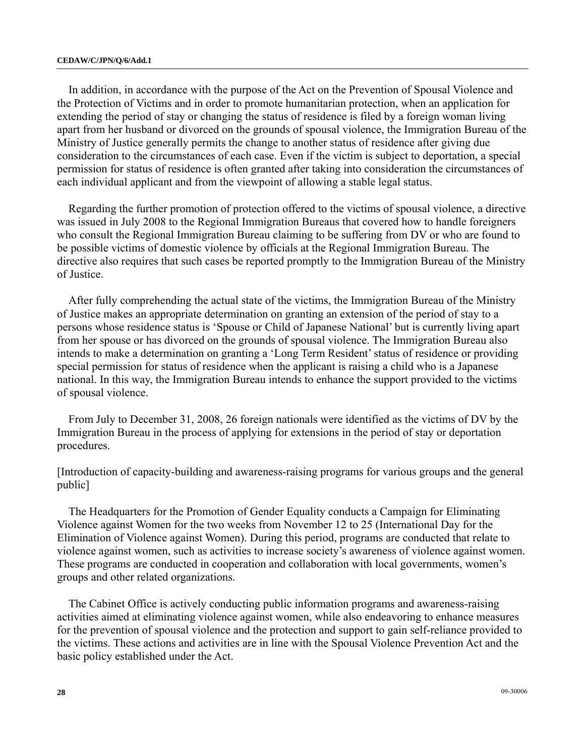#### **CEDAW/C/JPN/Q/6/Add.1**

In addition, in accordance with the purpose of the Act on the Prevention of Spousal Violence and the Protection of Victims and in order to promote humanitarian protection, when an application for extending the period of stay or changing the status of residence is filed by a foreign woman living apart from her husband or divorced on the grounds of spousal violence, the Immigration Bureau of the Ministry of Justice generally permits the change to another status of residence after giving due consideration to the circumstances of each case. Even if the victim is subject to deportation, a special permission for status of residence is often granted after taking into consideration the circumstances of each individual applicant and from the viewpoint of allowing a stable legal status.

Regarding the further promotion of protection offered to the victims of spousal violence, a directive was issued in July 2008 to the Regional Immigration Bureaus that covered how to handle foreigners who consult the Regional Immigration Bureau claiming to be suffering from DV or who are found to be possible victims of domestic violence by officials at the Regional Immigration Bureau. The directive also requires that such cases be reported promptly to the Immigration Bureau of the Ministry of Justice.

After fully comprehending the actual state of the victims, the Immigration Bureau of the Ministry of Justice makes an appropriate determination on granting an extension of the period of stay to a persons whose residence status is 'Spouse or Child of Japanese National' but is currently living apart from her spouse or has divorced on the grounds of spousal violence. The Immigration Bureau also intends to make a determination on granting a 'Long Term Resident' status of residence or providing special permission for status of residence when the applicant is raising a child who is a Japanese national. In this way, the Immigration Bureau intends to enhance the support provided to the victims of spousal violence.

From July to December 31, 2008, 26 foreign nationals were identified as the victims of DV by the Immigration Bureau in the process of applying for extensions in the period of stay or deportation procedures.

[Introduction of capacity-building and awareness-raising programs for various groups and the general public]

The Headquarters for the Promotion of Gender Equality conducts a Campaign for Eliminating Violence against Women for the two weeks from November 12 to 25 (International Day for the Elimination of Violence against Women). During this period, programs are conducted that relate to violence against women, such as activities to increase society's awareness of violence against women. These programs are conducted in cooperation and collaboration with local governments, women's groups and other related organizations.

The Cabinet Office is actively conducting public information programs and awareness-raising activities aimed at eliminating violence against women, while also endeavoring to enhance measures for the prevention of spousal violence and the protection and support to gain self-reliance provided to the victims. These actions and activities are in line with the Spousal Violence Prevention Act and the basic policy established under the Act.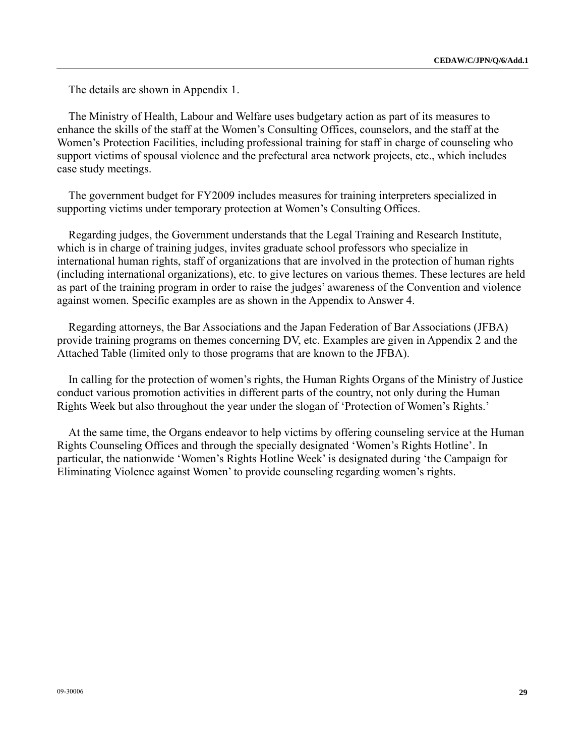The details are shown in Appendix 1.

The Ministry of Health, Labour and Welfare uses budgetary action as part of its measures to enhance the skills of the staff at the Women's Consulting Offices, counselors, and the staff at the Women's Protection Facilities, including professional training for staff in charge of counseling who support victims of spousal violence and the prefectural area network projects, etc., which includes case study meetings.

The government budget for FY2009 includes measures for training interpreters specialized in supporting victims under temporary protection at Women's Consulting Offices.

Regarding judges, the Government understands that the Legal Training and Research Institute, which is in charge of training judges, invites graduate school professors who specialize in international human rights, staff of organizations that are involved in the protection of human rights (including international organizations), etc. to give lectures on various themes. These lectures are held as part of the training program in order to raise the judges' awareness of the Convention and violence against women. Specific examples are as shown in the Appendix to Answer 4.

Regarding attorneys, the Bar Associations and the Japan Federation of Bar Associations (JFBA) provide training programs on themes concerning DV, etc. Examples are given in Appendix 2 and the Attached Table (limited only to those programs that are known to the JFBA).

In calling for the protection of women's rights, the Human Rights Organs of the Ministry of Justice conduct various promotion activities in different parts of the country, not only during the Human Rights Week but also throughout the year under the slogan of 'Protection of Women's Rights.'

At the same time, the Organs endeavor to help victims by offering counseling service at the Human Rights Counseling Offices and through the specially designated 'Women's Rights Hotline'. In particular, the nationwide 'Women's Rights Hotline Week' is designated during 'the Campaign for Eliminating Violence against Women' to provide counseling regarding women's rights.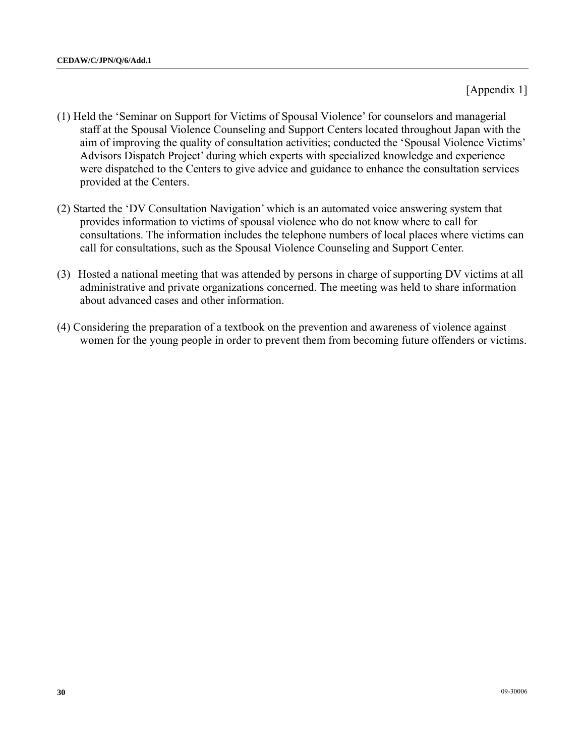[Appendix 1]

- (1) Held the 'Seminar on Support for Victims of Spousal Violence' for counselors and managerial staff at the Spousal Violence Counseling and Support Centers located throughout Japan with the aim of improving the quality of consultation activities; conducted the 'Spousal Violence Victims' Advisors Dispatch Project' during which experts with specialized knowledge and experience were dispatched to the Centers to give advice and guidance to enhance the consultation services provided at the Centers.
- (2) Started the 'DV Consultation Navigation' which is an automated voice answering system that provides information to victims of spousal violence who do not know where to call for consultations. The information includes the telephone numbers of local places where victims can call for consultations, such as the Spousal Violence Counseling and Support Center.
- (3) Hosted a national meeting that was attended by persons in charge of supporting DV victims at all administrative and private organizations concerned. The meeting was held to share information about advanced cases and other information.
- (4) Considering the preparation of a textbook on the prevention and awareness of violence against women for the young people in order to prevent them from becoming future offenders or victims.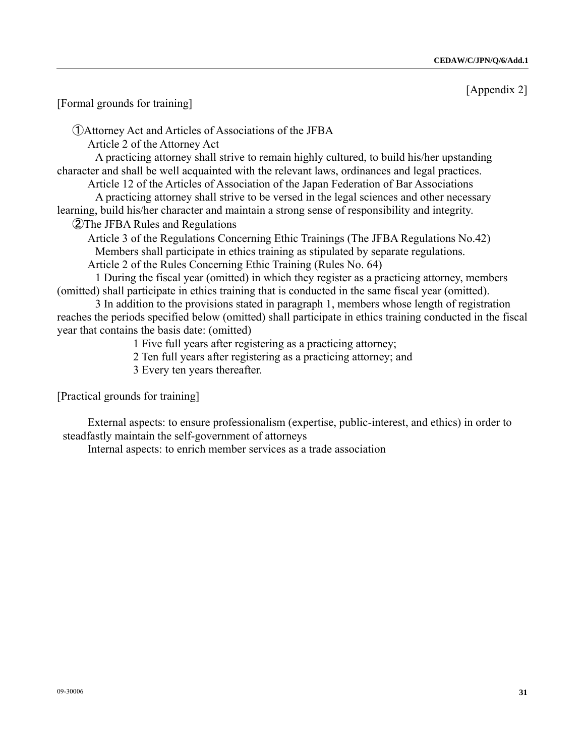[Appendix 2]

[Formal grounds for training]

①Attorney Act and Articles of Associations of the JFBA

Article 2 of the Attorney Act

 A practicing attorney shall strive to remain highly cultured, to build his/her upstanding character and shall be well acquainted with the relevant laws, ordinances and legal practices.

 Article 12 of the Articles of Association of the Japan Federation of Bar Associations A practicing attorney shall strive to be versed in the legal sciences and other necessary learning, build his/her character and maintain a strong sense of responsibility and integrity.

②The JFBA Rules and Regulations

 Article 3 of the Regulations Concerning Ethic Trainings (The JFBA Regulations No.42) Members shall participate in ethics training as stipulated by separate regulations.

Article 2 of the Rules Concerning Ethic Training (Rules No. 64)

 1 During the fiscal year (omitted) in which they register as a practicing attorney, members (omitted) shall participate in ethics training that is conducted in the same fiscal year (omitted).

 3 In addition to the provisions stated in paragraph 1, members whose length of registration reaches the periods specified below (omitted) shall participate in ethics training conducted in the fiscal year that contains the basis date: (omitted)

1 Five full years after registering as a practicing attorney;

2 Ten full years after registering as a practicing attorney; and

3 Every ten years thereafter.

[Practical grounds for training]

 External aspects: to ensure professionalism (expertise, public-interest, and ethics) in order to steadfastly maintain the self-government of attorneys

Internal aspects: to enrich member services as a trade association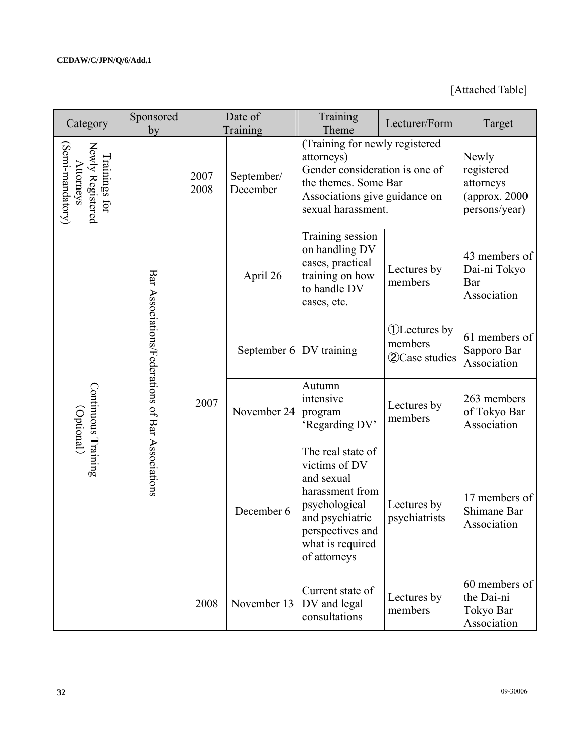# [Attached Table]

| Category                                                           | Sponsored<br>by                                  | Date of<br>Training |                           | Training<br>Theme                                                                                                                                               | Lecturer/Form                                              | Target                                                              |
|--------------------------------------------------------------------|--------------------------------------------------|---------------------|---------------------------|-----------------------------------------------------------------------------------------------------------------------------------------------------------------|------------------------------------------------------------|---------------------------------------------------------------------|
| Newly Registered<br>(Semi-mandatory)<br>Trainings for<br>Attorneys |                                                  | 2007<br>2008        | September/<br>December    | (Training for newly registered<br>attorneys)<br>Gender consideration is one of<br>the themes. Some Bar<br>Associations give guidance on<br>sexual harassment.   |                                                            | Newly<br>registered<br>attorneys<br>(approx. 2000)<br>persons/year) |
| Continuous Training<br>(Optional)                                  | Bar Associations/Federations of Bar Associations | 2007                | April 26                  | Training session<br>on handling DV<br>cases, practical<br>training on how<br>to handle DV<br>cases, etc.                                                        | Lectures by<br>members                                     | 43 members of<br>Dai-ni Tokyo<br>Bar<br>Association                 |
|                                                                    |                                                  |                     | September $6 DV$ training |                                                                                                                                                                 | <b>(1)</b> Lectures by<br>members<br><b>2</b> Case studies | 61 members of<br>Sapporo Bar<br>Association                         |
|                                                                    |                                                  |                     | November 24               | Autumn<br>intensive<br>program<br>'Regarding DV'                                                                                                                | Lectures by<br>members                                     | 263 members<br>of Tokyo Bar<br>Association                          |
|                                                                    |                                                  |                     | December 6                | The real state of<br>victims of DV<br>and sexual<br>harassment from<br>psychological<br>and psychiatric<br>perspectives and<br>what is required<br>of attorneys | Lectures by<br>psychiatrists                               | 17 members of<br>Shimane Bar<br>Association                         |
|                                                                    |                                                  | 2008                | November 13               | Current state of<br>DV and legal<br>consultations                                                                                                               | Lectures by<br>members                                     | 60 members of<br>the Dai-ni<br>Tokyo Bar<br>Association             |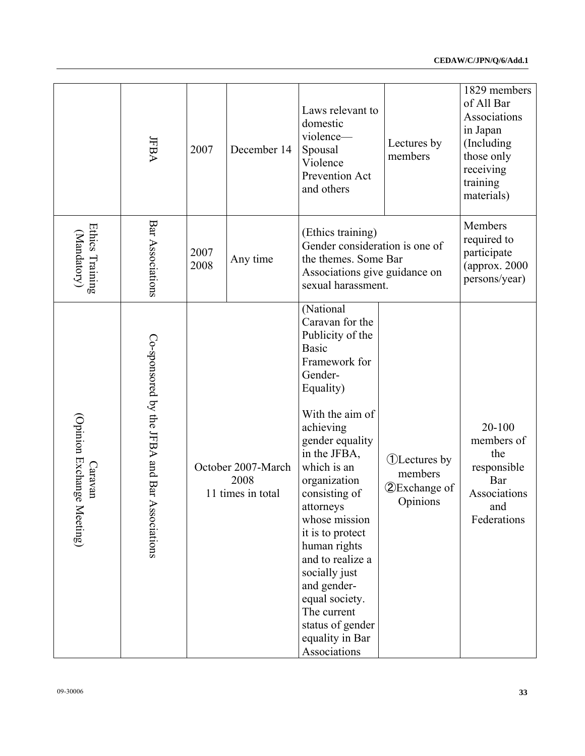| Bar Associations<br>Members<br>Ethics Training<br>(Ethics training)<br>(Mandatory)<br>required to<br>Gender consideration is one of<br>2007<br>participate<br>the themes. Some Bar<br>Any time<br>2008<br>(approx. 2000<br>Associations give guidance on<br>persons/year)<br>sexual harassment.<br>(National<br>Caravan for the<br>Publicity of the<br>Co-sponsored by the JFBA and Bar A<br><b>Basic</b><br>Framework for<br>Gender-<br>Equality)<br>With the aim of<br>(Opinion Exchange<br>20-100<br>achieving<br>gender equality<br>members of<br>in the JFBA,<br>the<br><b><i>OLectures</i></b> by<br>which is an<br>Caravan<br>October 2007-March<br>responsible<br>members<br>2008<br>organization<br>Bar<br><b>2</b> Exchange of<br>11 times in total<br>consisting of<br>Associations<br>Opinions<br>and<br>attorneys<br>Meeting)<br>sociations<br>whose mission<br>Federations<br>it is to protect<br>human rights<br>and to realize a<br>socially just<br>and gender-<br>equal society.<br>The current<br>status of gender<br>equality in Bar<br>Associations | JFBA | 2007 | December 14 | Laws relevant to<br>domestic<br>violence-<br>Spousal<br>Violence<br>Prevention Act<br>and others | Lectures by<br>members | 1829 members<br>of All Bar<br>Associations<br>in Japan<br>(Including<br>those only<br>receiving<br>training<br>materials) |
|--------------------------------------------------------------------------------------------------------------------------------------------------------------------------------------------------------------------------------------------------------------------------------------------------------------------------------------------------------------------------------------------------------------------------------------------------------------------------------------------------------------------------------------------------------------------------------------------------------------------------------------------------------------------------------------------------------------------------------------------------------------------------------------------------------------------------------------------------------------------------------------------------------------------------------------------------------------------------------------------------------------------------------------------------------------------------|------|------|-------------|--------------------------------------------------------------------------------------------------|------------------------|---------------------------------------------------------------------------------------------------------------------------|
|                                                                                                                                                                                                                                                                                                                                                                                                                                                                                                                                                                                                                                                                                                                                                                                                                                                                                                                                                                                                                                                                          |      |      |             |                                                                                                  |                        |                                                                                                                           |
|                                                                                                                                                                                                                                                                                                                                                                                                                                                                                                                                                                                                                                                                                                                                                                                                                                                                                                                                                                                                                                                                          |      |      |             |                                                                                                  |                        |                                                                                                                           |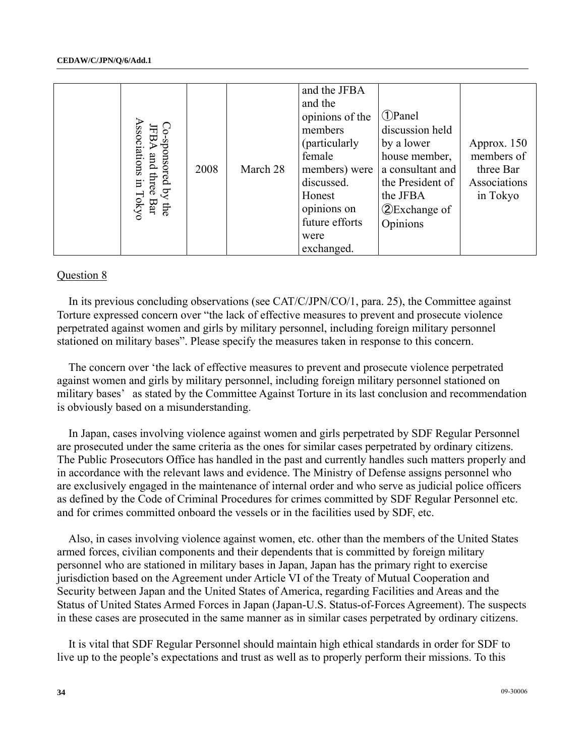|                                                                                                                                                                                                                                                                                                                                                                                                                                                                                                                                                                                                                                                                                                                             | Associations in Tokyc<br>Co-sponsored by the<br>FBA and three Bar | 2008 | March 28 | and the JFBA<br>and the<br>opinions of the<br>members<br>(particularly<br>female<br>members) were<br>discussed.<br>Honest<br>opinions on<br>future efforts<br>were<br>exchanged. | <b>1</b> Panel<br>discussion held<br>by a lower<br>house member,<br>a consultant and<br>the President of<br>the JFBA<br><b>2</b> Exchange of<br>Opinions | Approx. 150<br>members of<br>three Bar<br>Associations<br>in Tokyo |
|-----------------------------------------------------------------------------------------------------------------------------------------------------------------------------------------------------------------------------------------------------------------------------------------------------------------------------------------------------------------------------------------------------------------------------------------------------------------------------------------------------------------------------------------------------------------------------------------------------------------------------------------------------------------------------------------------------------------------------|-------------------------------------------------------------------|------|----------|----------------------------------------------------------------------------------------------------------------------------------------------------------------------------------|----------------------------------------------------------------------------------------------------------------------------------------------------------|--------------------------------------------------------------------|
| Question 8                                                                                                                                                                                                                                                                                                                                                                                                                                                                                                                                                                                                                                                                                                                  |                                                                   |      |          |                                                                                                                                                                                  |                                                                                                                                                          |                                                                    |
| In its previous concluding observations (see CAT/C/JPN/CO/1, para. 25), the Committee against<br>Torture expressed concern over "the lack of effective measures to prevent and prosecute violence<br>perpetrated against women and girls by military personnel, including foreign military personnel<br>stationed on military bases". Please specify the measures taken in response to this concern.                                                                                                                                                                                                                                                                                                                        |                                                                   |      |          |                                                                                                                                                                                  |                                                                                                                                                          |                                                                    |
| The concern over 'the lack of effective measures to prevent and prosecute violence perpetrated<br>against women and girls by military personnel, including foreign military personnel stationed on<br>military bases' as stated by the Committee Against Torture in its last conclusion and recommendation<br>is obviously based on a misunderstanding.                                                                                                                                                                                                                                                                                                                                                                     |                                                                   |      |          |                                                                                                                                                                                  |                                                                                                                                                          |                                                                    |
| In Japan, cases involving violence against women and girls perpetrated by SDF Regular Personnel<br>are prosecuted under the same criteria as the ones for similar cases perpetrated by ordinary citizens.<br>The Public Prosecutors Office has handled in the past and currently handles such matters properly and<br>in accordance with the relevant laws and evidence. The Ministry of Defense assigns personnel who<br>are exclusively engaged in the maintenance of internal order and who serve as judicial police officers<br>as defined by the Code of Criminal Procedures for crimes committed by SDF Regular Personnel etc.<br>and for crimes committed onboard the vessels or in the facilities used by SDF, etc. |                                                                   |      |          |                                                                                                                                                                                  |                                                                                                                                                          |                                                                    |
| Also, in cases involving violence against women, etc. other than the members of the United States<br>armed forces, civilian components and their dependents that is committed by foreign military<br>personnel who are stationed in military bases in Japan, Japan has the primary right to exercise<br>jurisdiction based on the Agreement under Article VI of the Treaty of Mutual Cooperation and<br>Security between Japan and the United States of America, regarding Facilities and Areas and the<br>Status of United States Armed Forces in Japan (Japan-U.S. Status-of-Forces Agreement). The suspects<br>in these cases are prosecuted in the same manner as in similar cases perpetrated by ordinary citizens.    |                                                                   |      |          |                                                                                                                                                                                  |                                                                                                                                                          |                                                                    |
| It is vital that SDF Regular Personnel should maintain high ethical standards in order for SDF to<br>live up to the people's expectations and trust as well as to properly perform their missions. To this                                                                                                                                                                                                                                                                                                                                                                                                                                                                                                                  |                                                                   |      |          |                                                                                                                                                                                  |                                                                                                                                                          |                                                                    |
| 34                                                                                                                                                                                                                                                                                                                                                                                                                                                                                                                                                                                                                                                                                                                          |                                                                   |      |          |                                                                                                                                                                                  |                                                                                                                                                          | 09-30006                                                           |

### Question 8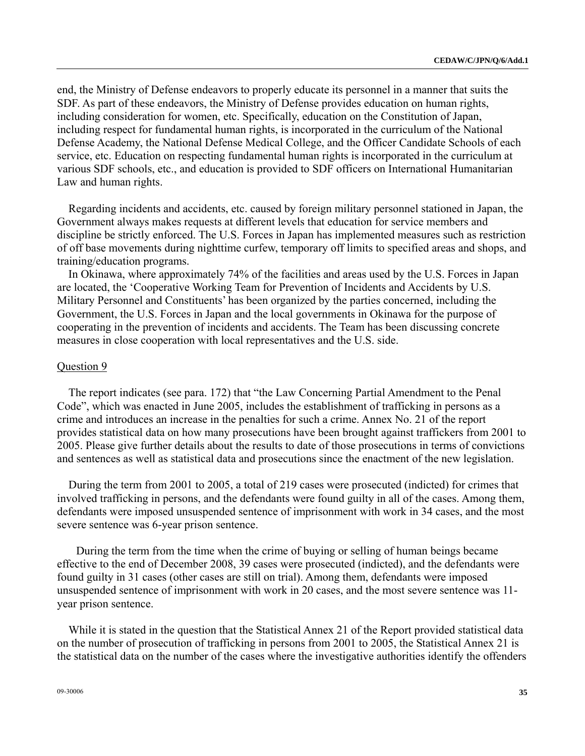end, the Ministry of Defense endeavors to properly educate its personnel in a manner that suits the SDF. As part of these endeavors, the Ministry of Defense provides education on human rights, including consideration for women, etc. Specifically, education on the Constitution of Japan, including respect for fundamental human rights, is incorporated in the curriculum of the National Defense Academy, the National Defense Medical College, and the Officer Candidate Schools of each service, etc. Education on respecting fundamental human rights is incorporated in the curriculum at various SDF schools, etc., and education is provided to SDF officers on International Humanitarian Law and human rights.

Regarding incidents and accidents, etc. caused by foreign military personnel stationed in Japan, the Government always makes requests at different levels that education for service members and discipline be strictly enforced. The U.S. Forces in Japan has implemented measures such as restriction of off base movements during nighttime curfew, temporary off limits to specified areas and shops, and training/education programs.

In Okinawa, where approximately 74% of the facilities and areas used by the U.S. Forces in Japan are located, the 'Cooperative Working Team for Prevention of Incidents and Accidents by U.S. Military Personnel and Constituents' has been organized by the parties concerned, including the Government, the U.S. Forces in Japan and the local governments in Okinawa for the purpose of cooperating in the prevention of incidents and accidents. The Team has been discussing concrete measures in close cooperation with local representatives and the U.S. side.

### Question 9

The report indicates (see para. 172) that "the Law Concerning Partial Amendment to the Penal Code", which was enacted in June 2005, includes the establishment of trafficking in persons as a crime and introduces an increase in the penalties for such a crime. Annex No. 21 of the report provides statistical data on how many prosecutions have been brought against traffickers from 2001 to 2005. Please give further details about the results to date of those prosecutions in terms of convictions and sentences as well as statistical data and prosecutions since the enactment of the new legislation.

During the term from 2001 to 2005, a total of 219 cases were prosecuted (indicted) for crimes that involved trafficking in persons, and the defendants were found guilty in all of the cases. Among them, defendants were imposed unsuspended sentence of imprisonment with work in 34 cases, and the most severe sentence was 6-year prison sentence.

During the term from the time when the crime of buying or selling of human beings became effective to the end of December 2008, 39 cases were prosecuted (indicted), and the defendants were found guilty in 31 cases (other cases are still on trial). Among them, defendants were imposed unsuspended sentence of imprisonment with work in 20 cases, and the most severe sentence was 11 year prison sentence.

While it is stated in the question that the Statistical Annex 21 of the Report provided statistical data on the number of prosecution of trafficking in persons from 2001 to 2005, the Statistical Annex 21 is the statistical data on the number of the cases where the investigative authorities identify the offenders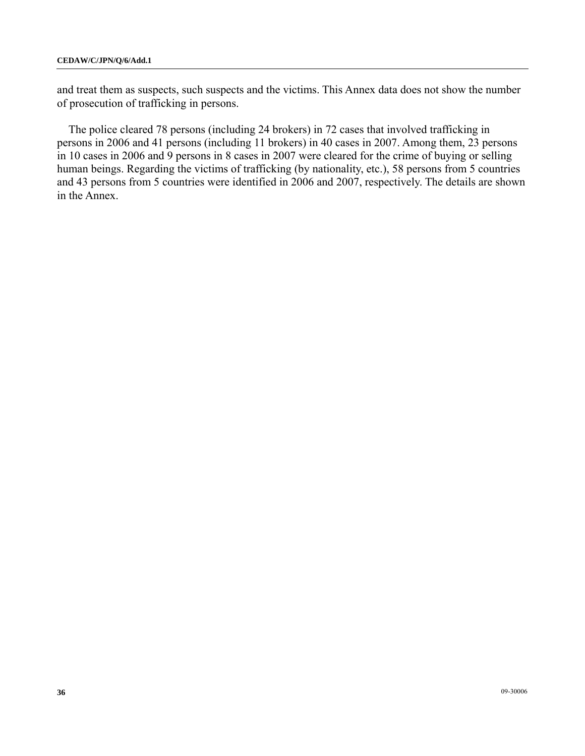and treat them as suspects, such suspects and the victims. This Annex data does not show the number of prosecution of trafficking in persons.

The police cleared 78 persons (including 24 brokers) in 72 cases that involved trafficking in persons in 2006 and 41 persons (including 11 brokers) in 40 cases in 2007. Among them, 23 persons in 10 cases in 2006 and 9 persons in 8 cases in 2007 were cleared for the crime of buying or selling human beings. Regarding the victims of trafficking (by nationality, etc.), 58 persons from 5 countries and 43 persons from 5 countries were identified in 2006 and 2007, respectively. The details are shown in the Annex.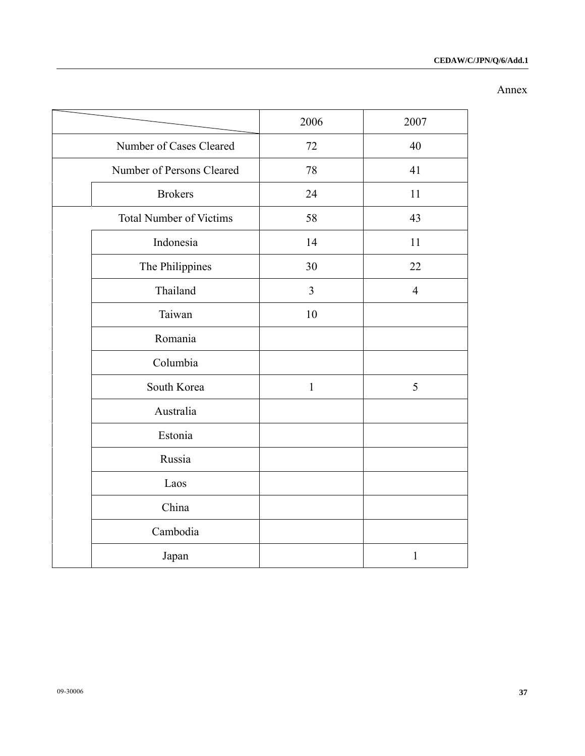### Annex

|                                | 2006         | 2007           |
|--------------------------------|--------------|----------------|
| Number of Cases Cleared        | 72           | 40             |
| Number of Persons Cleared      | 78           | 41             |
| <b>Brokers</b>                 | 24           | 11             |
| <b>Total Number of Victims</b> | 58           | 43             |
| Indonesia                      | 14           | 11             |
| The Philippines                | 30           | 22             |
| Thailand                       | 3            | $\overline{4}$ |
| Taiwan                         | 10           |                |
| Romania                        |              |                |
| Columbia                       |              |                |
| South Korea                    | $\mathbf{1}$ | 5              |
| Australia                      |              |                |
| Estonia                        |              |                |
| Russia                         |              |                |
| Laos                           |              |                |
| China                          |              |                |
| Cambodia                       |              |                |
| Japan                          |              | $\mathbf{1}$   |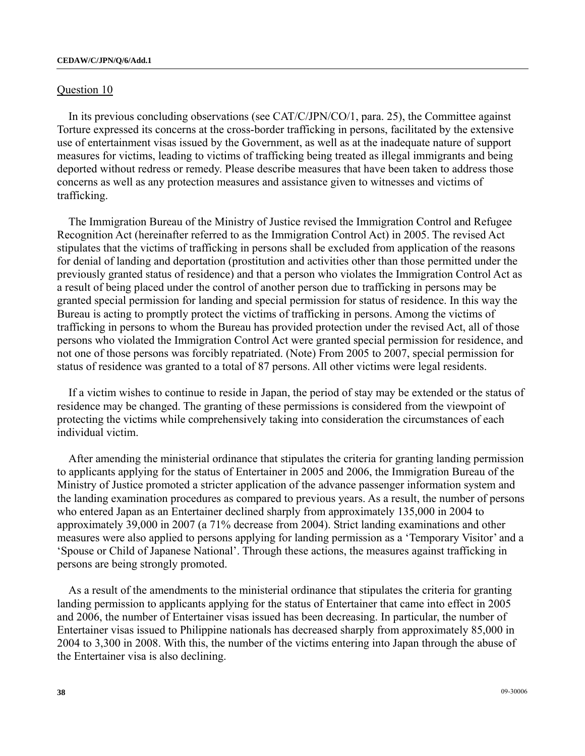### Question 10

In its previous concluding observations (see CAT/C/JPN/CO/1, para. 25), the Committee against Torture expressed its concerns at the cross-border trafficking in persons, facilitated by the extensive use of entertainment visas issued by the Government, as well as at the inadequate nature of support measures for victims, leading to victims of trafficking being treated as illegal immigrants and being deported without redress or remedy. Please describe measures that have been taken to address those concerns as well as any protection measures and assistance given to witnesses and victims of trafficking.

The Immigration Bureau of the Ministry of Justice revised the Immigration Control and Refugee Recognition Act (hereinafter referred to as the Immigration Control Act) in 2005. The revised Act stipulates that the victims of trafficking in persons shall be excluded from application of the reasons for denial of landing and deportation (prostitution and activities other than those permitted under the previously granted status of residence) and that a person who violates the Immigration Control Act as a result of being placed under the control of another person due to trafficking in persons may be granted special permission for landing and special permission for status of residence. In this way the Bureau is acting to promptly protect the victims of trafficking in persons. Among the victims of trafficking in persons to whom the Bureau has provided protection under the revised Act, all of those persons who violated the Immigration Control Act were granted special permission for residence, and not one of those persons was forcibly repatriated. (Note) From 2005 to 2007, special permission for status of residence was granted to a total of 87 persons. All other victims were legal residents.

If a victim wishes to continue to reside in Japan, the period of stay may be extended or the status of residence may be changed. The granting of these permissions is considered from the viewpoint of protecting the victims while comprehensively taking into consideration the circumstances of each individual victim.

After amending the ministerial ordinance that stipulates the criteria for granting landing permission to applicants applying for the status of Entertainer in 2005 and 2006, the Immigration Bureau of the Ministry of Justice promoted a stricter application of the advance passenger information system and the landing examination procedures as compared to previous years. As a result, the number of persons who entered Japan as an Entertainer declined sharply from approximately 135,000 in 2004 to approximately 39,000 in 2007 (a 71% decrease from 2004). Strict landing examinations and other measures were also applied to persons applying for landing permission as a 'Temporary Visitor' and a 'Spouse or Child of Japanese National'. Through these actions, the measures against trafficking in persons are being strongly promoted.

As a result of the amendments to the ministerial ordinance that stipulates the criteria for granting landing permission to applicants applying for the status of Entertainer that came into effect in 2005 and 2006, the number of Entertainer visas issued has been decreasing. In particular, the number of Entertainer visas issued to Philippine nationals has decreased sharply from approximately 85,000 in 2004 to 3,300 in 2008. With this, the number of the victims entering into Japan through the abuse of the Entertainer visa is also declining.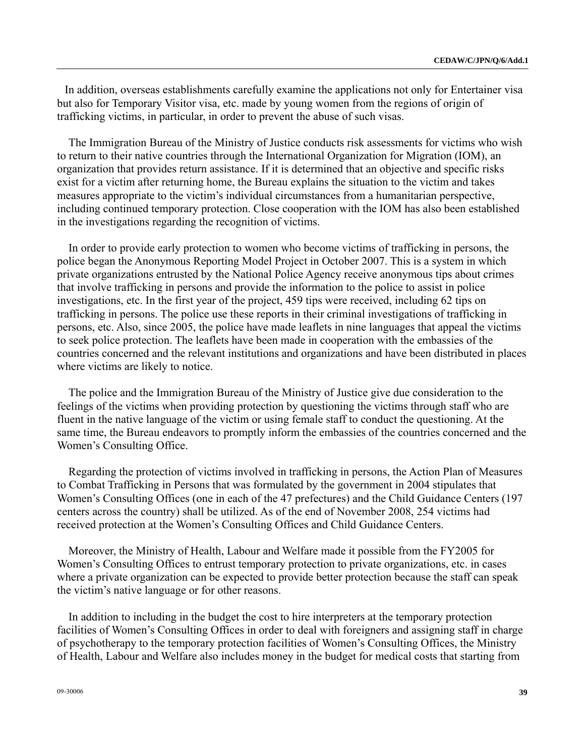In addition, overseas establishments carefully examine the applications not only for Entertainer visa but also for Temporary Visitor visa, etc. made by young women from the regions of origin of trafficking victims, in particular, in order to prevent the abuse of such visas.

The Immigration Bureau of the Ministry of Justice conducts risk assessments for victims who wish to return to their native countries through the International Organization for Migration (IOM), an organization that provides return assistance. If it is determined that an objective and specific risks exist for a victim after returning home, the Bureau explains the situation to the victim and takes measures appropriate to the victim's individual circumstances from a humanitarian perspective, including continued temporary protection. Close cooperation with the IOM has also been established in the investigations regarding the recognition of victims.

In order to provide early protection to women who become victims of trafficking in persons, the police began the Anonymous Reporting Model Project in October 2007. This is a system in which private organizations entrusted by the National Police Agency receive anonymous tips about crimes that involve trafficking in persons and provide the information to the police to assist in police investigations, etc. In the first year of the project, 459 tips were received, including 62 tips on trafficking in persons. The police use these reports in their criminal investigations of trafficking in persons, etc. Also, since 2005, the police have made leaflets in nine languages that appeal the victims to seek police protection. The leaflets have been made in cooperation with the embassies of the countries concerned and the relevant institutions and organizations and have been distributed in places where victims are likely to notice.

The police and the Immigration Bureau of the Ministry of Justice give due consideration to the feelings of the victims when providing protection by questioning the victims through staff who are fluent in the native language of the victim or using female staff to conduct the questioning. At the same time, the Bureau endeavors to promptly inform the embassies of the countries concerned and the Women's Consulting Office.

Regarding the protection of victims involved in trafficking in persons, the Action Plan of Measures to Combat Trafficking in Persons that was formulated by the government in 2004 stipulates that Women's Consulting Offices (one in each of the 47 prefectures) and the Child Guidance Centers (197 centers across the country) shall be utilized. As of the end of November 2008, 254 victims had received protection at the Women's Consulting Offices and Child Guidance Centers.

Moreover, the Ministry of Health, Labour and Welfare made it possible from the FY2005 for Women's Consulting Offices to entrust temporary protection to private organizations, etc. in cases where a private organization can be expected to provide better protection because the staff can speak the victim's native language or for other reasons.

In addition to including in the budget the cost to hire interpreters at the temporary protection facilities of Women's Consulting Offices in order to deal with foreigners and assigning staff in charge of psychotherapy to the temporary protection facilities of Women's Consulting Offices, the Ministry of Health, Labour and Welfare also includes money in the budget for medical costs that starting from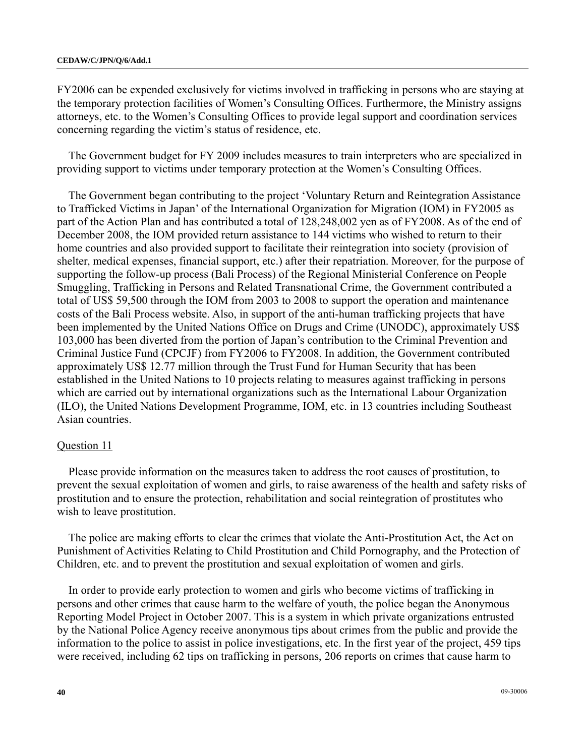FY2006 can be expended exclusively for victims involved in trafficking in persons who are staying at the temporary protection facilities of Women's Consulting Offices. Furthermore, the Ministry assigns attorneys, etc. to the Women's Consulting Offices to provide legal support and coordination services concerning regarding the victim's status of residence, etc.

The Government budget for FY 2009 includes measures to train interpreters who are specialized in providing support to victims under temporary protection at the Women's Consulting Offices.

The Government began contributing to the project 'Voluntary Return and Reintegration Assistance to Trafficked Victims in Japan' of the International Organization for Migration (IOM) in FY2005 as part of the Action Plan and has contributed a total of 128,248,002 yen as of FY2008. As of the end of December 2008, the IOM provided return assistance to 144 victims who wished to return to their home countries and also provided support to facilitate their reintegration into society (provision of shelter, medical expenses, financial support, etc.) after their repatriation. Moreover, for the purpose of supporting the follow-up process (Bali Process) of the Regional Ministerial Conference on People Smuggling, Trafficking in Persons and Related Transnational Crime, the Government contributed a total of US\$ 59,500 through the IOM from 2003 to 2008 to support the operation and maintenance costs of the Bali Process website. Also, in support of the anti-human trafficking projects that have been implemented by the United Nations Office on Drugs and Crime (UNODC), approximately US\$ 103,000 has been diverted from the portion of Japan's contribution to the Criminal Prevention and Criminal Justice Fund (CPCJF) from FY2006 to FY2008. In addition, the Government contributed approximately US\$ 12.77 million through the Trust Fund for Human Security that has been established in the United Nations to 10 projects relating to measures against trafficking in persons which are carried out by international organizations such as the International Labour Organization (ILO), the United Nations Development Programme, IOM, etc. in 13 countries including Southeast Asian countries.

### Question 11

Please provide information on the measures taken to address the root causes of prostitution, to prevent the sexual exploitation of women and girls, to raise awareness of the health and safety risks of prostitution and to ensure the protection, rehabilitation and social reintegration of prostitutes who wish to leave prostitution.

The police are making efforts to clear the crimes that violate the Anti-Prostitution Act, the Act on Punishment of Activities Relating to Child Prostitution and Child Pornography, and the Protection of Children, etc. and to prevent the prostitution and sexual exploitation of women and girls.

In order to provide early protection to women and girls who become victims of trafficking in persons and other crimes that cause harm to the welfare of youth, the police began the Anonymous Reporting Model Project in October 2007. This is a system in which private organizations entrusted by the National Police Agency receive anonymous tips about crimes from the public and provide the information to the police to assist in police investigations, etc. In the first year of the project, 459 tips were received, including 62 tips on trafficking in persons, 206 reports on crimes that cause harm to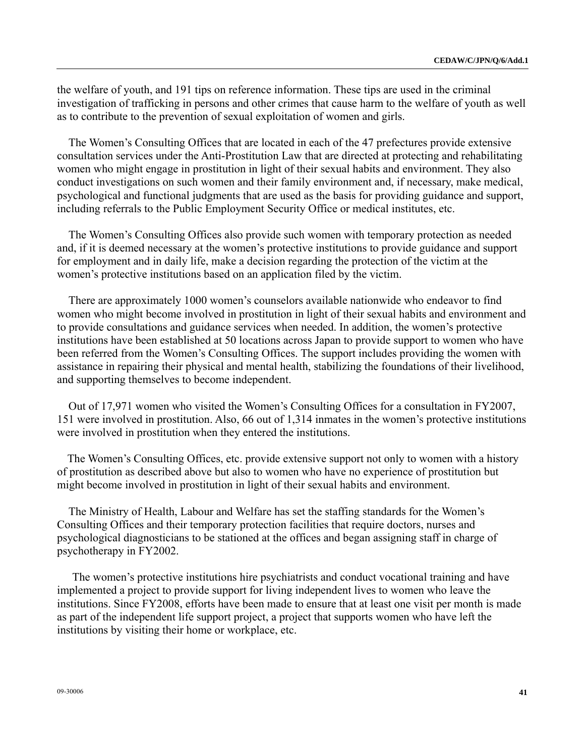the welfare of youth, and 191 tips on reference information. These tips are used in the criminal investigation of trafficking in persons and other crimes that cause harm to the welfare of youth as well as to contribute to the prevention of sexual exploitation of women and girls.

The Women's Consulting Offices that are located in each of the 47 prefectures provide extensive consultation services under the Anti-Prostitution Law that are directed at protecting and rehabilitating women who might engage in prostitution in light of their sexual habits and environment. They also conduct investigations on such women and their family environment and, if necessary, make medical, psychological and functional judgments that are used as the basis for providing guidance and support, including referrals to the Public Employment Security Office or medical institutes, etc.

The Women's Consulting Offices also provide such women with temporary protection as needed and, if it is deemed necessary at the women's protective institutions to provide guidance and support for employment and in daily life, make a decision regarding the protection of the victim at the women's protective institutions based on an application filed by the victim.

There are approximately 1000 women's counselors available nationwide who endeavor to find women who might become involved in prostitution in light of their sexual habits and environment and to provide consultations and guidance services when needed. In addition, the women's protective institutions have been established at 50 locations across Japan to provide support to women who have been referred from the Women's Consulting Offices. The support includes providing the women with assistance in repairing their physical and mental health, stabilizing the foundations of their livelihood, and supporting themselves to become independent.

Out of 17,971 women who visited the Women's Consulting Offices for a consultation in FY2007, 151 were involved in prostitution. Also, 66 out of 1,314 inmates in the women's protective institutions were involved in prostitution when they entered the institutions.

 The Women's Consulting Offices, etc. provide extensive support not only to women with a history of prostitution as described above but also to women who have no experience of prostitution but might become involved in prostitution in light of their sexual habits and environment.

The Ministry of Health, Labour and Welfare has set the staffing standards for the Women's Consulting Offices and their temporary protection facilities that require doctors, nurses and psychological diagnosticians to be stationed at the offices and began assigning staff in charge of psychotherapy in FY2002.

 The women's protective institutions hire psychiatrists and conduct vocational training and have implemented a project to provide support for living independent lives to women who leave the institutions. Since FY2008, efforts have been made to ensure that at least one visit per month is made as part of the independent life support project, a project that supports women who have left the institutions by visiting their home or workplace, etc.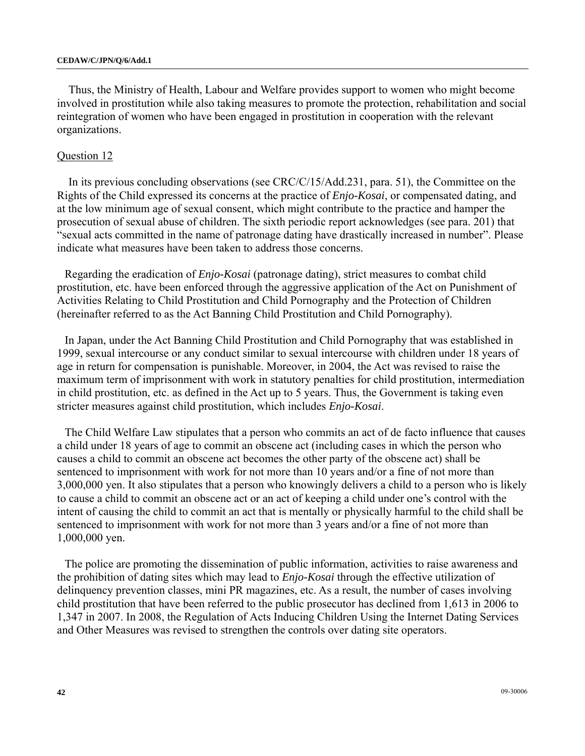Thus, the Ministry of Health, Labour and Welfare provides support to women who might become involved in prostitution while also taking measures to promote the protection, rehabilitation and social reintegration of women who have been engaged in prostitution in cooperation with the relevant organizations.

### Question 12

In its previous concluding observations (see CRC/C/15/Add.231, para. 51), the Committee on the Rights of the Child expressed its concerns at the practice of *Enjo-Kosai*, or compensated dating, and at the low minimum age of sexual consent, which might contribute to the practice and hamper the prosecution of sexual abuse of children. The sixth periodic report acknowledges (see para. 201) that "sexual acts committed in the name of patronage dating have drastically increased in number". Please indicate what measures have been taken to address those concerns.

Regarding the eradication of *Enjo-Kosai* (patronage dating), strict measures to combat child prostitution, etc. have been enforced through the aggressive application of the Act on Punishment of Activities Relating to Child Prostitution and Child Pornography and the Protection of Children (hereinafter referred to as the Act Banning Child Prostitution and Child Pornography).

In Japan, under the Act Banning Child Prostitution and Child Pornography that was established in 1999, sexual intercourse or any conduct similar to sexual intercourse with children under 18 years of age in return for compensation is punishable. Moreover, in 2004, the Act was revised to raise the maximum term of imprisonment with work in statutory penalties for child prostitution, intermediation in child prostitution, etc. as defined in the Act up to 5 years. Thus, the Government is taking even stricter measures against child prostitution, which includes *Enjo-Kosai*.

The Child Welfare Law stipulates that a person who commits an act of de facto influence that causes a child under 18 years of age to commit an obscene act (including cases in which the person who causes a child to commit an obscene act becomes the other party of the obscene act) shall be sentenced to imprisonment with work for not more than 10 years and/or a fine of not more than 3,000,000 yen. It also stipulates that a person who knowingly delivers a child to a person who is likely to cause a child to commit an obscene act or an act of keeping a child under one's control with the intent of causing the child to commit an act that is mentally or physically harmful to the child shall be sentenced to imprisonment with work for not more than 3 years and/or a fine of not more than 1,000,000 yen.

The police are promoting the dissemination of public information, activities to raise awareness and the prohibition of dating sites which may lead to *Enjo-Kosai* through the effective utilization of delinquency prevention classes, mini PR magazines, etc. As a result, the number of cases involving child prostitution that have been referred to the public prosecutor has declined from 1,613 in 2006 to 1,347 in 2007. In 2008, the Regulation of Acts Inducing Children Using the Internet Dating Services and Other Measures was revised to strengthen the controls over dating site operators.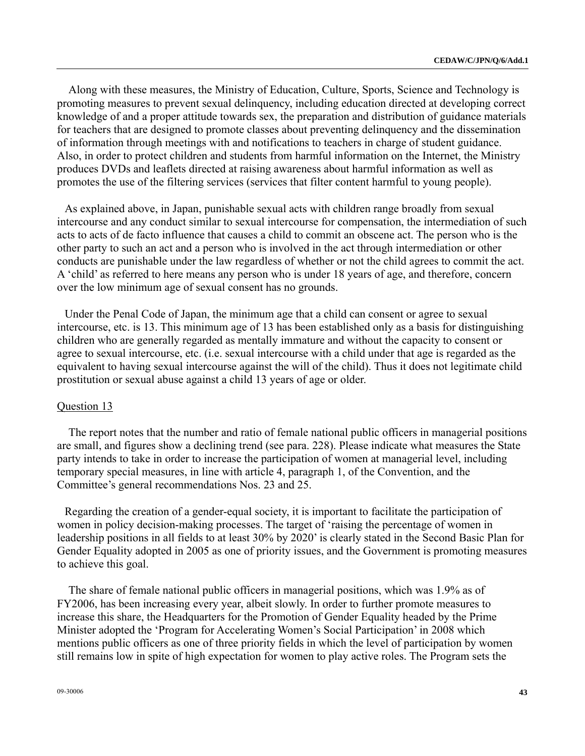Along with these measures, the Ministry of Education, Culture, Sports, Science and Technology is promoting measures to prevent sexual delinquency, including education directed at developing correct knowledge of and a proper attitude towards sex, the preparation and distribution of guidance materials for teachers that are designed to promote classes about preventing delinquency and the dissemination of information through meetings with and notifications to teachers in charge of student guidance. Also, in order to protect children and students from harmful information on the Internet, the Ministry produces DVDs and leaflets directed at raising awareness about harmful information as well as promotes the use of the filtering services (services that filter content harmful to young people).

As explained above, in Japan, punishable sexual acts with children range broadly from sexual intercourse and any conduct similar to sexual intercourse for compensation, the intermediation of such acts to acts of de facto influence that causes a child to commit an obscene act. The person who is the other party to such an act and a person who is involved in the act through intermediation or other conducts are punishable under the law regardless of whether or not the child agrees to commit the act. A 'child' as referred to here means any person who is under 18 years of age, and therefore, concern over the low minimum age of sexual consent has no grounds.

Under the Penal Code of Japan, the minimum age that a child can consent or agree to sexual intercourse, etc. is 13. This minimum age of 13 has been established only as a basis for distinguishing children who are generally regarded as mentally immature and without the capacity to consent or agree to sexual intercourse, etc. (i.e. sexual intercourse with a child under that age is regarded as the equivalent to having sexual intercourse against the will of the child). Thus it does not legitimate child prostitution or sexual abuse against a child 13 years of age or older.

### Question 13

The report notes that the number and ratio of female national public officers in managerial positions are small, and figures show a declining trend (see para. 228). Please indicate what measures the State party intends to take in order to increase the participation of women at managerial level, including temporary special measures, in line with article 4, paragraph 1, of the Convention, and the Committee's general recommendations Nos. 23 and 25.

Regarding the creation of a gender-equal society, it is important to facilitate the participation of women in policy decision-making processes. The target of 'raising the percentage of women in leadership positions in all fields to at least 30% by 2020' is clearly stated in the Second Basic Plan for Gender Equality adopted in 2005 as one of priority issues, and the Government is promoting measures to achieve this goal.

The share of female national public officers in managerial positions, which was 1.9% as of FY2006, has been increasing every year, albeit slowly. In order to further promote measures to increase this share, the Headquarters for the Promotion of Gender Equality headed by the Prime Minister adopted the 'Program for Accelerating Women's Social Participation' in 2008 which mentions public officers as one of three priority fields in which the level of participation by women still remains low in spite of high expectation for women to play active roles. The Program sets the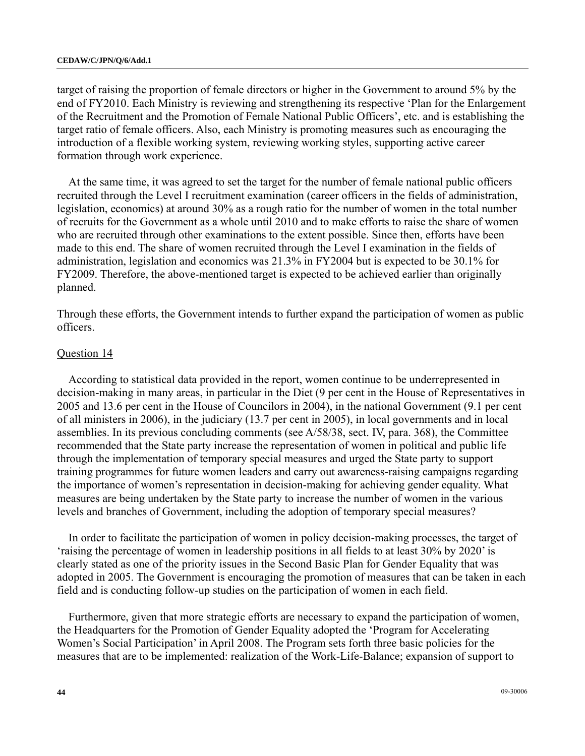target of raising the proportion of female directors or higher in the Government to around 5% by the end of FY2010. Each Ministry is reviewing and strengthening its respective 'Plan for the Enlargement of the Recruitment and the Promotion of Female National Public Officers', etc. and is establishing the target ratio of female officers. Also, each Ministry is promoting measures such as encouraging the introduction of a flexible working system, reviewing working styles, supporting active career formation through work experience.

At the same time, it was agreed to set the target for the number of female national public officers recruited through the Level I recruitment examination (career officers in the fields of administration, legislation, economics) at around 30% as a rough ratio for the number of women in the total number of recruits for the Government as a whole until 2010 and to make efforts to raise the share of women who are recruited through other examinations to the extent possible. Since then, efforts have been made to this end. The share of women recruited through the Level I examination in the fields of administration, legislation and economics was 21.3% in FY2004 but is expected to be 30.1% for FY2009. Therefore, the above-mentioned target is expected to be achieved earlier than originally planned.

Through these efforts, the Government intends to further expand the participation of women as public officers.

### Question 14

According to statistical data provided in the report, women continue to be underrepresented in decision-making in many areas, in particular in the Diet (9 per cent in the House of Representatives in 2005 and 13.6 per cent in the House of Councilors in 2004), in the national Government (9.1 per cent of all ministers in 2006), in the judiciary (13.7 per cent in 2005), in local governments and in local assemblies. In its previous concluding comments (see A/58/38, sect. IV, para. 368), the Committee recommended that the State party increase the representation of women in political and public life through the implementation of temporary special measures and urged the State party to support training programmes for future women leaders and carry out awareness-raising campaigns regarding the importance of women's representation in decision-making for achieving gender equality. What measures are being undertaken by the State party to increase the number of women in the various levels and branches of Government, including the adoption of temporary special measures?

In order to facilitate the participation of women in policy decision-making processes, the target of 'raising the percentage of women in leadership positions in all fields to at least 30% by 2020' is clearly stated as one of the priority issues in the Second Basic Plan for Gender Equality that was adopted in 2005. The Government is encouraging the promotion of measures that can be taken in each field and is conducting follow-up studies on the participation of women in each field.

Furthermore, given that more strategic efforts are necessary to expand the participation of women, the Headquarters for the Promotion of Gender Equality adopted the 'Program for Accelerating Women's Social Participation' in April 2008. The Program sets forth three basic policies for the measures that are to be implemented: realization of the Work-Life-Balance; expansion of support to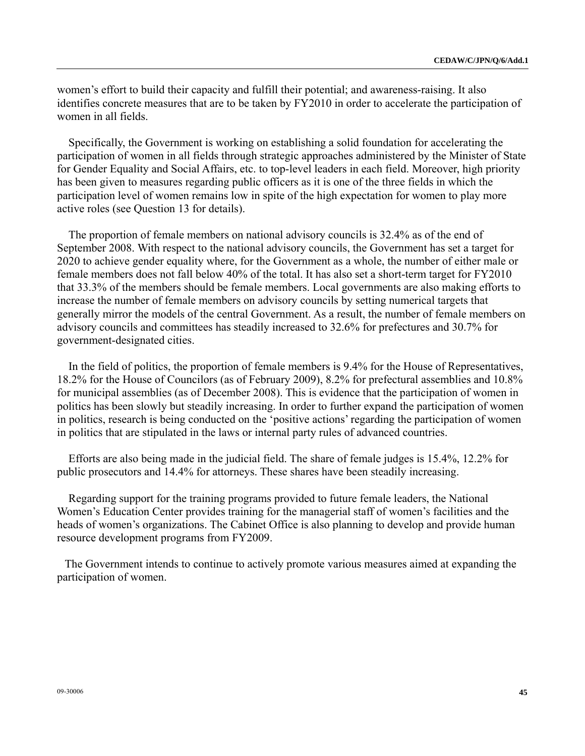women's effort to build their capacity and fulfill their potential; and awareness-raising. It also identifies concrete measures that are to be taken by FY2010 in order to accelerate the participation of women in all fields.

Specifically, the Government is working on establishing a solid foundation for accelerating the participation of women in all fields through strategic approaches administered by the Minister of State for Gender Equality and Social Affairs, etc. to top-level leaders in each field. Moreover, high priority has been given to measures regarding public officers as it is one of the three fields in which the participation level of women remains low in spite of the high expectation for women to play more active roles (see Question 13 for details).

The proportion of female members on national advisory councils is 32.4% as of the end of September 2008. With respect to the national advisory councils, the Government has set a target for 2020 to achieve gender equality where, for the Government as a whole, the number of either male or female members does not fall below 40% of the total. It has also set a short-term target for FY2010 that 33.3% of the members should be female members. Local governments are also making efforts to increase the number of female members on advisory councils by setting numerical targets that generally mirror the models of the central Government. As a result, the number of female members on advisory councils and committees has steadily increased to 32.6% for prefectures and 30.7% for government-designated cities.

In the field of politics, the proportion of female members is 9.4% for the House of Representatives, 18.2% for the House of Councilors (as of February 2009), 8.2% for prefectural assemblies and 10.8% for municipal assemblies (as of December 2008). This is evidence that the participation of women in politics has been slowly but steadily increasing. In order to further expand the participation of women in politics, research is being conducted on the 'positive actions' regarding the participation of women in politics that are stipulated in the laws or internal party rules of advanced countries.

Efforts are also being made in the judicial field. The share of female judges is 15.4%, 12.2% for public prosecutors and 14.4% for attorneys. These shares have been steadily increasing.

Regarding support for the training programs provided to future female leaders, the National Women's Education Center provides training for the managerial staff of women's facilities and the heads of women's organizations. The Cabinet Office is also planning to develop and provide human resource development programs from FY2009.

The Government intends to continue to actively promote various measures aimed at expanding the participation of women.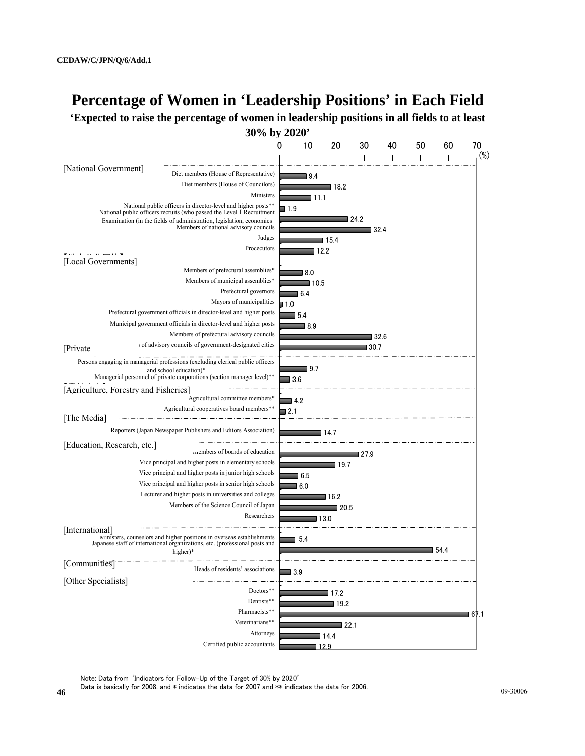# **Percentage of Women in 'Leadership Positions' in Each Field**

**'Expected to raise the percentage of women in leadership positions in all fields to at least 30% by 2020'**



Note: Data from 'Indicators for Follow-Up of the Target of 30% by 2020'

Data is basically for 2008, and \* indicates the data for 2007 and \*\* indicates the data for 2006.<br>46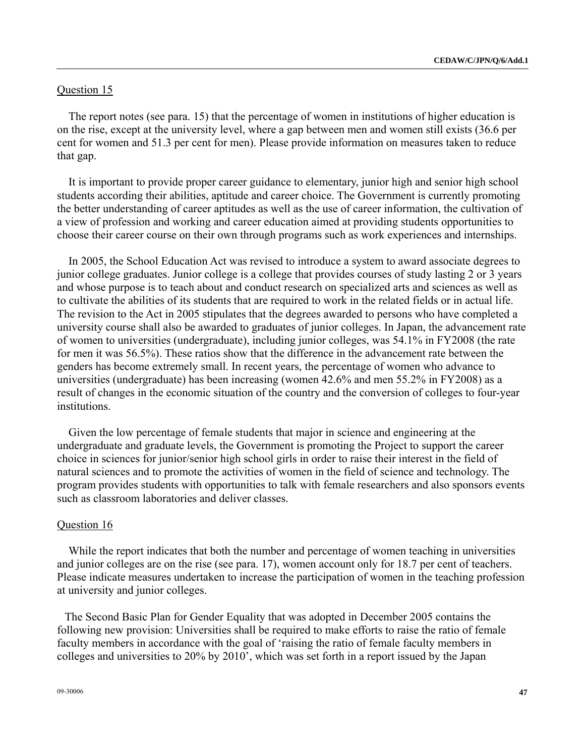### Question 15

The report notes (see para. 15) that the percentage of women in institutions of higher education is on the rise, except at the university level, where a gap between men and women still exists (36.6 per cent for women and 51.3 per cent for men). Please provide information on measures taken to reduce that gap.

It is important to provide proper career guidance to elementary, junior high and senior high school students according their abilities, aptitude and career choice. The Government is currently promoting the better understanding of career aptitudes as well as the use of career information, the cultivation of a view of profession and working and career education aimed at providing students opportunities to choose their career course on their own through programs such as work experiences and internships.

In 2005, the School Education Act was revised to introduce a system to award associate degrees to junior college graduates. Junior college is a college that provides courses of study lasting 2 or 3 years and whose purpose is to teach about and conduct research on specialized arts and sciences as well as to cultivate the abilities of its students that are required to work in the related fields or in actual life. The revision to the Act in 2005 stipulates that the degrees awarded to persons who have completed a university course shall also be awarded to graduates of junior colleges. In Japan, the advancement rate of women to universities (undergraduate), including junior colleges, was 54.1% in FY2008 (the rate for men it was 56.5%). These ratios show that the difference in the advancement rate between the genders has become extremely small. In recent years, the percentage of women who advance to universities (undergraduate) has been increasing (women 42.6% and men 55.2% in FY2008) as a result of changes in the economic situation of the country and the conversion of colleges to four-year institutions.

Given the low percentage of female students that major in science and engineering at the undergraduate and graduate levels, the Government is promoting the Project to support the career choice in sciences for junior/senior high school girls in order to raise their interest in the field of natural sciences and to promote the activities of women in the field of science and technology. The program provides students with opportunities to talk with female researchers and also sponsors events such as classroom laboratories and deliver classes.

### Question 16

While the report indicates that both the number and percentage of women teaching in universities and junior colleges are on the rise (see para. 17), women account only for 18.7 per cent of teachers. Please indicate measures undertaken to increase the participation of women in the teaching profession at university and junior colleges.

The Second Basic Plan for Gender Equality that was adopted in December 2005 contains the following new provision: Universities shall be required to make efforts to raise the ratio of female faculty members in accordance with the goal of 'raising the ratio of female faculty members in colleges and universities to 20% by 2010', which was set forth in a report issued by the Japan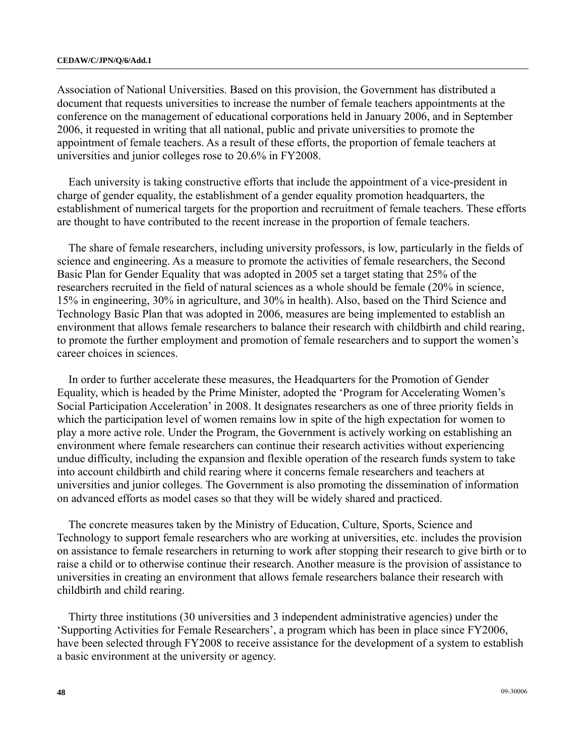Association of National Universities. Based on this provision, the Government has distributed a document that requests universities to increase the number of female teachers appointments at the conference on the management of educational corporations held in January 2006, and in September 2006, it requested in writing that all national, public and private universities to promote the appointment of female teachers. As a result of these efforts, the proportion of female teachers at universities and junior colleges rose to 20.6% in FY2008.

Each university is taking constructive efforts that include the appointment of a vice-president in charge of gender equality, the establishment of a gender equality promotion headquarters, the establishment of numerical targets for the proportion and recruitment of female teachers. These efforts are thought to have contributed to the recent increase in the proportion of female teachers.

The share of female researchers, including university professors, is low, particularly in the fields of science and engineering. As a measure to promote the activities of female researchers, the Second Basic Plan for Gender Equality that was adopted in 2005 set a target stating that 25% of the researchers recruited in the field of natural sciences as a whole should be female (20% in science, 15% in engineering, 30% in agriculture, and 30% in health). Also, based on the Third Science and Technology Basic Plan that was adopted in 2006, measures are being implemented to establish an environment that allows female researchers to balance their research with childbirth and child rearing, to promote the further employment and promotion of female researchers and to support the women's career choices in sciences.

In order to further accelerate these measures, the Headquarters for the Promotion of Gender Equality, which is headed by the Prime Minister, adopted the 'Program for Accelerating Women's Social Participation Acceleration' in 2008. It designates researchers as one of three priority fields in which the participation level of women remains low in spite of the high expectation for women to play a more active role. Under the Program, the Government is actively working on establishing an environment where female researchers can continue their research activities without experiencing undue difficulty, including the expansion and flexible operation of the research funds system to take into account childbirth and child rearing where it concerns female researchers and teachers at universities and junior colleges. The Government is also promoting the dissemination of information on advanced efforts as model cases so that they will be widely shared and practiced.

The concrete measures taken by the Ministry of Education, Culture, Sports, Science and Technology to support female researchers who are working at universities, etc. includes the provision on assistance to female researchers in returning to work after stopping their research to give birth or to raise a child or to otherwise continue their research. Another measure is the provision of assistance to universities in creating an environment that allows female researchers balance their research with childbirth and child rearing.

Thirty three institutions (30 universities and 3 independent administrative agencies) under the 'Supporting Activities for Female Researchers', a program which has been in place since FY2006, have been selected through FY2008 to receive assistance for the development of a system to establish a basic environment at the university or agency.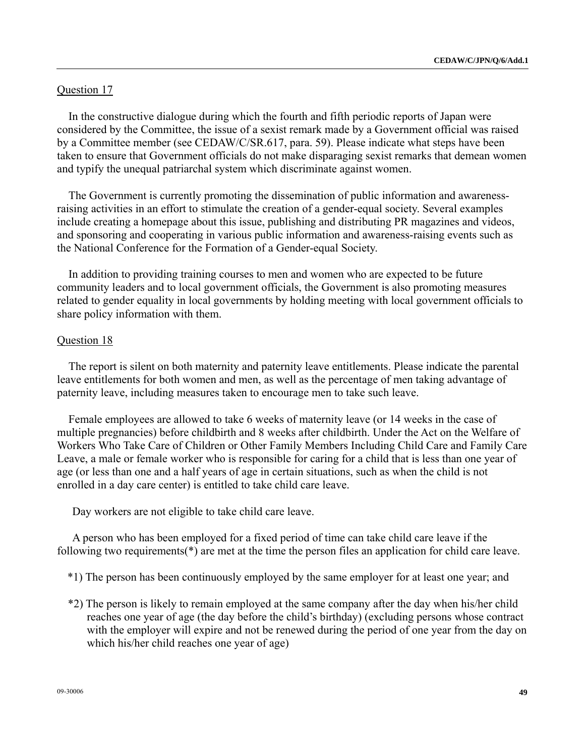## Question 17

In the constructive dialogue during which the fourth and fifth periodic reports of Japan were considered by the Committee, the issue of a sexist remark made by a Government official was raised by a Committee member (see CEDAW/C/SR.617, para. 59). Please indicate what steps have been taken to ensure that Government officials do not make disparaging sexist remarks that demean women and typify the unequal patriarchal system which discriminate against women.

The Government is currently promoting the dissemination of public information and awarenessraising activities in an effort to stimulate the creation of a gender-equal society. Several examples include creating a homepage about this issue, publishing and distributing PR magazines and videos, and sponsoring and cooperating in various public information and awareness-raising events such as the National Conference for the Formation of a Gender-equal Society.

In addition to providing training courses to men and women who are expected to be future community leaders and to local government officials, the Government is also promoting measures related to gender equality in local governments by holding meeting with local government officials to share policy information with them.

### Question 18

The report is silent on both maternity and paternity leave entitlements. Please indicate the parental leave entitlements for both women and men, as well as the percentage of men taking advantage of paternity leave, including measures taken to encourage men to take such leave.

Female employees are allowed to take 6 weeks of maternity leave (or 14 weeks in the case of multiple pregnancies) before childbirth and 8 weeks after childbirth. Under the Act on the Welfare of Workers Who Take Care of Children or Other Family Members Including Child Care and Family Care Leave, a male or female worker who is responsible for caring for a child that is less than one year of age (or less than one and a half years of age in certain situations, such as when the child is not enrolled in a day care center) is entitled to take child care leave.

Day workers are not eligible to take child care leave.

 A person who has been employed for a fixed period of time can take child care leave if the following two requirements(\*) are met at the time the person files an application for child care leave.

\*1) The person has been continuously employed by the same employer for at least one year; and

\*2) The person is likely to remain employed at the same company after the day when his/her child reaches one year of age (the day before the child's birthday) (excluding persons whose contract with the employer will expire and not be renewed during the period of one year from the day on which his/her child reaches one year of age)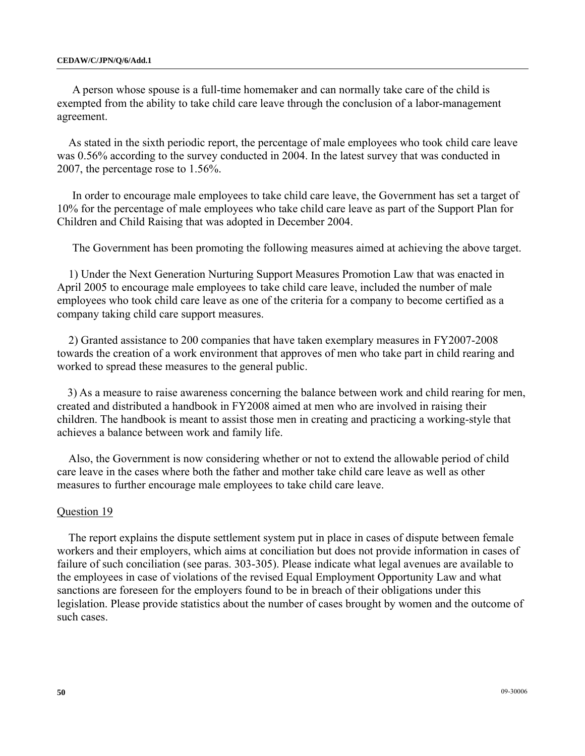A person whose spouse is a full-time homemaker and can normally take care of the child is exempted from the ability to take child care leave through the conclusion of a labor-management agreement.

As stated in the sixth periodic report, the percentage of male employees who took child care leave was 0.56% according to the survey conducted in 2004. In the latest survey that was conducted in 2007, the percentage rose to 1.56%.

 In order to encourage male employees to take child care leave, the Government has set a target of 10% for the percentage of male employees who take child care leave as part of the Support Plan for Children and Child Raising that was adopted in December 2004.

The Government has been promoting the following measures aimed at achieving the above target.

1) Under the Next Generation Nurturing Support Measures Promotion Law that was enacted in April 2005 to encourage male employees to take child care leave, included the number of male employees who took child care leave as one of the criteria for a company to become certified as a company taking child care support measures.

2) Granted assistance to 200 companies that have taken exemplary measures in FY2007-2008 towards the creation of a work environment that approves of men who take part in child rearing and worked to spread these measures to the general public.

 3) As a measure to raise awareness concerning the balance between work and child rearing for men, created and distributed a handbook in FY2008 aimed at men who are involved in raising their children. The handbook is meant to assist those men in creating and practicing a working-style that achieves a balance between work and family life.

Also, the Government is now considering whether or not to extend the allowable period of child care leave in the cases where both the father and mother take child care leave as well as other measures to further encourage male employees to take child care leave.

### Question 19

The report explains the dispute settlement system put in place in cases of dispute between female workers and their employers, which aims at conciliation but does not provide information in cases of failure of such conciliation (see paras. 303-305). Please indicate what legal avenues are available to the employees in case of violations of the revised Equal Employment Opportunity Law and what sanctions are foreseen for the employers found to be in breach of their obligations under this legislation. Please provide statistics about the number of cases brought by women and the outcome of such cases.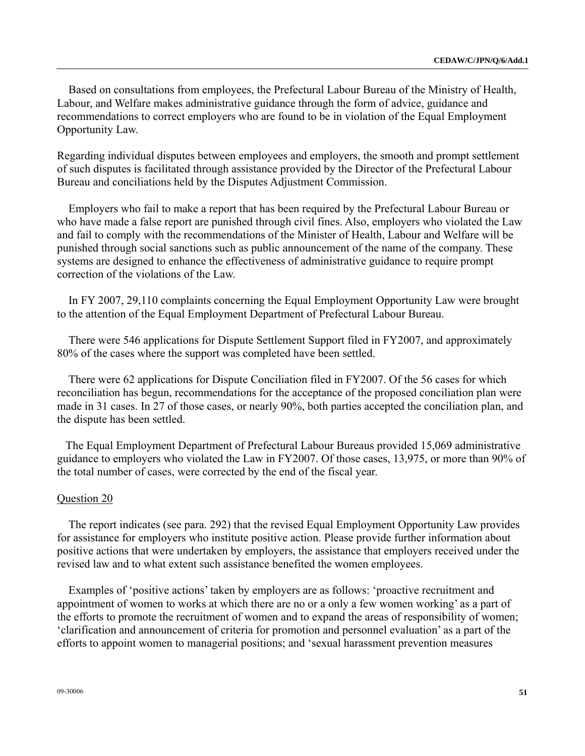Based on consultations from employees, the Prefectural Labour Bureau of the Ministry of Health, Labour, and Welfare makes administrative guidance through the form of advice, guidance and recommendations to correct employers who are found to be in violation of the Equal Employment Opportunity Law.

Regarding individual disputes between employees and employers, the smooth and prompt settlement of such disputes is facilitated through assistance provided by the Director of the Prefectural Labour Bureau and conciliations held by the Disputes Adjustment Commission.

Employers who fail to make a report that has been required by the Prefectural Labour Bureau or who have made a false report are punished through civil fines. Also, employers who violated the Law and fail to comply with the recommendations of the Minister of Health, Labour and Welfare will be punished through social sanctions such as public announcement of the name of the company. These systems are designed to enhance the effectiveness of administrative guidance to require prompt correction of the violations of the Law.

In FY 2007, 29,110 complaints concerning the Equal Employment Opportunity Law were brought to the attention of the Equal Employment Department of Prefectural Labour Bureau.

There were 546 applications for Dispute Settlement Support filed in FY2007, and approximately 80% of the cases where the support was completed have been settled.

There were 62 applications for Dispute Conciliation filed in FY2007. Of the 56 cases for which reconciliation has begun, recommendations for the acceptance of the proposed conciliation plan were made in 31 cases. In 27 of those cases, or nearly 90%, both parties accepted the conciliation plan, and the dispute has been settled.

 The Equal Employment Department of Prefectural Labour Bureaus provided 15,069 administrative guidance to employers who violated the Law in FY2007. Of those cases, 13,975, or more than 90% of the total number of cases, were corrected by the end of the fiscal year.

### Question 20

The report indicates (see para. 292) that the revised Equal Employment Opportunity Law provides for assistance for employers who institute positive action. Please provide further information about positive actions that were undertaken by employers, the assistance that employers received under the revised law and to what extent such assistance benefited the women employees.

Examples of 'positive actions' taken by employers are as follows: 'proactive recruitment and appointment of women to works at which there are no or a only a few women working' as a part of the efforts to promote the recruitment of women and to expand the areas of responsibility of women; 'clarification and announcement of criteria for promotion and personnel evaluation' as a part of the efforts to appoint women to managerial positions; and 'sexual harassment prevention measures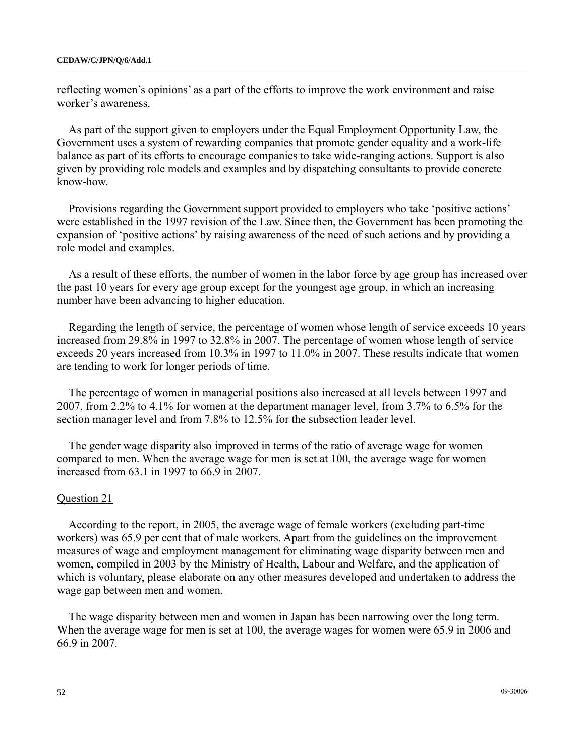reflecting women's opinions' as a part of the efforts to improve the work environment and raise worker's awareness.

As part of the support given to employers under the Equal Employment Opportunity Law, the Government uses a system of rewarding companies that promote gender equality and a work-life balance as part of its efforts to encourage companies to take wide-ranging actions. Support is also given by providing role models and examples and by dispatching consultants to provide concrete know-how.

Provisions regarding the Government support provided to employers who take 'positive actions' were established in the 1997 revision of the Law. Since then, the Government has been promoting the expansion of 'positive actions' by raising awareness of the need of such actions and by providing a role model and examples.

As a result of these efforts, the number of women in the labor force by age group has increased over the past 10 years for every age group except for the youngest age group, in which an increasing number have been advancing to higher education.

Regarding the length of service, the percentage of women whose length of service exceeds 10 years increased from 29.8% in 1997 to 32.8% in 2007. The percentage of women whose length of service exceeds 20 years increased from 10.3% in 1997 to 11.0% in 2007. These results indicate that women are tending to work for longer periods of time.

The percentage of women in managerial positions also increased at all levels between 1997 and 2007, from 2.2% to 4.1% for women at the department manager level, from 3.7% to 6.5% for the section manager level and from 7.8% to 12.5% for the subsection leader level.

The gender wage disparity also improved in terms of the ratio of average wage for women compared to men. When the average wage for men is set at 100, the average wage for women increased from 63.1 in 1997 to 66.9 in 2007.

### Question 21

According to the report, in 2005, the average wage of female workers (excluding part-time workers) was 65.9 per cent that of male workers. Apart from the guidelines on the improvement measures of wage and employment management for eliminating wage disparity between men and women, compiled in 2003 by the Ministry of Health, Labour and Welfare, and the application of which is voluntary, please elaborate on any other measures developed and undertaken to address the wage gap between men and women.

The wage disparity between men and women in Japan has been narrowing over the long term. When the average wage for men is set at 100, the average wages for women were 65.9 in 2006 and 66.9 in 2007.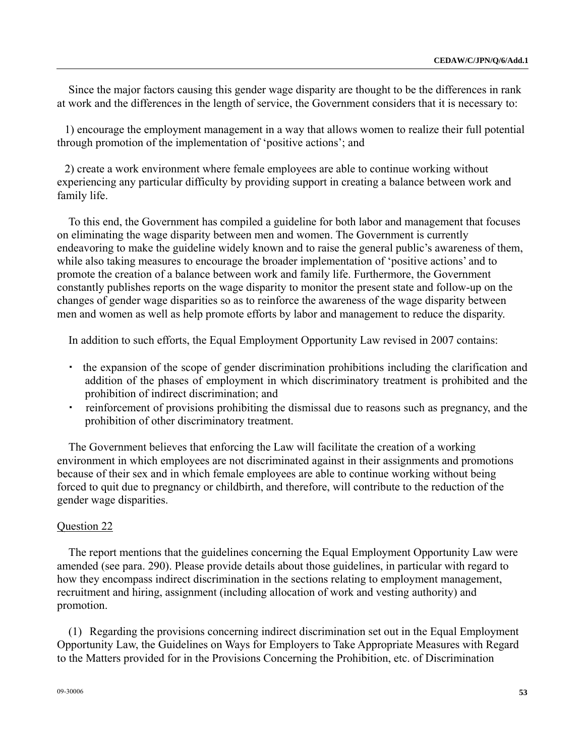Since the major factors causing this gender wage disparity are thought to be the differences in rank at work and the differences in the length of service, the Government considers that it is necessary to:

1) encourage the employment management in a way that allows women to realize their full potential through promotion of the implementation of 'positive actions'; and

2) create a work environment where female employees are able to continue working without experiencing any particular difficulty by providing support in creating a balance between work and family life.

To this end, the Government has compiled a guideline for both labor and management that focuses on eliminating the wage disparity between men and women. The Government is currently endeavoring to make the guideline widely known and to raise the general public's awareness of them, while also taking measures to encourage the broader implementation of 'positive actions' and to promote the creation of a balance between work and family life. Furthermore, the Government constantly publishes reports on the wage disparity to monitor the present state and follow-up on the changes of gender wage disparities so as to reinforce the awareness of the wage disparity between men and women as well as help promote efforts by labor and management to reduce the disparity.

In addition to such efforts, the Equal Employment Opportunity Law revised in 2007 contains:

- the expansion of the scope of gender discrimination prohibitions including the clarification and addition of the phases of employment in which discriminatory treatment is prohibited and the prohibition of indirect discrimination; and
- reinforcement of provisions prohibiting the dismissal due to reasons such as pregnancy, and the prohibition of other discriminatory treatment.

The Government believes that enforcing the Law will facilitate the creation of a working environment in which employees are not discriminated against in their assignments and promotions because of their sex and in which female employees are able to continue working without being forced to quit due to pregnancy or childbirth, and therefore, will contribute to the reduction of the gender wage disparities.

### Question 22

The report mentions that the guidelines concerning the Equal Employment Opportunity Law were amended (see para. 290). Please provide details about those guidelines, in particular with regard to how they encompass indirect discrimination in the sections relating to employment management, recruitment and hiring, assignment (including allocation of work and vesting authority) and promotion.

(1) Regarding the provisions concerning indirect discrimination set out in the Equal Employment Opportunity Law, the Guidelines on Ways for Employers to Take Appropriate Measures with Regard to the Matters provided for in the Provisions Concerning the Prohibition, etc. of Discrimination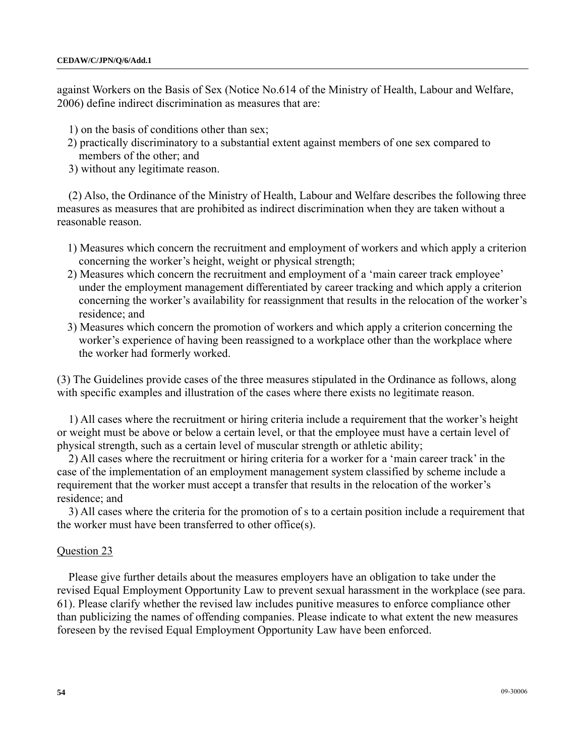against Workers on the Basis of Sex (Notice No.614 of the Ministry of Health, Labour and Welfare, 2006) define indirect discrimination as measures that are:

- 1) on the basis of conditions other than sex;
- 2) practically discriminatory to a substantial extent against members of one sex compared to members of the other; and
- 3) without any legitimate reason.

(2) Also, the Ordinance of the Ministry of Health, Labour and Welfare describes the following three measures as measures that are prohibited as indirect discrimination when they are taken without a reasonable reason.

- 1) Measures which concern the recruitment and employment of workers and which apply a criterion concerning the worker's height, weight or physical strength;
- 2) Measures which concern the recruitment and employment of a 'main career track employee' under the employment management differentiated by career tracking and which apply a criterion concerning the worker's availability for reassignment that results in the relocation of the worker's residence; and
- 3) Measures which concern the promotion of workers and which apply a criterion concerning the worker's experience of having been reassigned to a workplace other than the workplace where the worker had formerly worked.

(3) The Guidelines provide cases of the three measures stipulated in the Ordinance as follows, along with specific examples and illustration of the cases where there exists no legitimate reason.

1) All cases where the recruitment or hiring criteria include a requirement that the worker's height or weight must be above or below a certain level, or that the employee must have a certain level of physical strength, such as a certain level of muscular strength or athletic ability;

2) All cases where the recruitment or hiring criteria for a worker for a 'main career track' in the case of the implementation of an employment management system classified by scheme include a requirement that the worker must accept a transfer that results in the relocation of the worker's residence; and

3) All cases where the criteria for the promotion of s to a certain position include a requirement that the worker must have been transferred to other office(s).

### Question 23

Please give further details about the measures employers have an obligation to take under the revised Equal Employment Opportunity Law to prevent sexual harassment in the workplace (see para. 61). Please clarify whether the revised law includes punitive measures to enforce compliance other than publicizing the names of offending companies. Please indicate to what extent the new measures foreseen by the revised Equal Employment Opportunity Law have been enforced.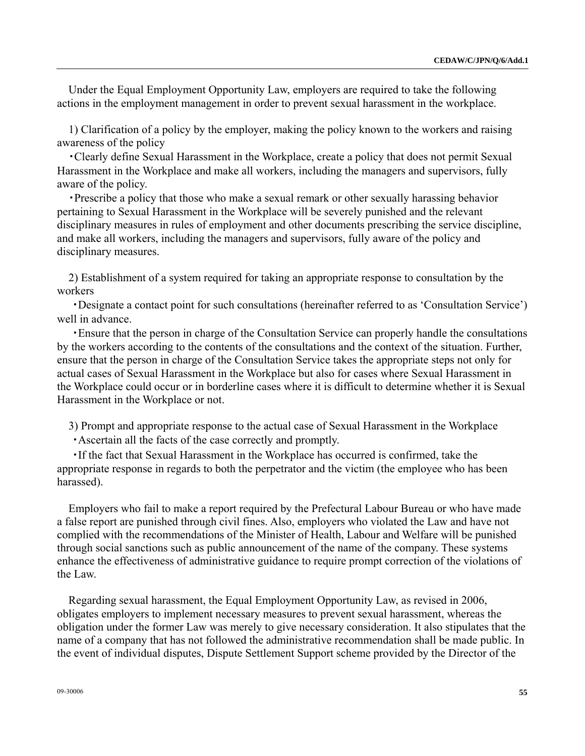Under the Equal Employment Opportunity Law, employers are required to take the following actions in the employment management in order to prevent sexual harassment in the workplace.

1) Clarification of a policy by the employer, making the policy known to the workers and raising awareness of the policy

・Clearly define Sexual Harassment in the Workplace, create a policy that does not permit Sexual Harassment in the Workplace and make all workers, including the managers and supervisors, fully aware of the policy.

・Prescribe a policy that those who make a sexual remark or other sexually harassing behavior pertaining to Sexual Harassment in the Workplace will be severely punished and the relevant disciplinary measures in rules of employment and other documents prescribing the service discipline, and make all workers, including the managers and supervisors, fully aware of the policy and disciplinary measures.

2) Establishment of a system required for taking an appropriate response to consultation by the workers

 ・Designate a contact point for such consultations (hereinafter referred to as 'Consultation Service') well in advance.

 ・Ensure that the person in charge of the Consultation Service can properly handle the consultations by the workers according to the contents of the consultations and the context of the situation. Further, ensure that the person in charge of the Consultation Service takes the appropriate steps not only for actual cases of Sexual Harassment in the Workplace but also for cases where Sexual Harassment in the Workplace could occur or in borderline cases where it is difficult to determine whether it is Sexual Harassment in the Workplace or not.

3) Prompt and appropriate response to the actual case of Sexual Harassment in the Workplace

・Ascertain all the facts of the case correctly and promptly.

 ・If the fact that Sexual Harassment in the Workplace has occurred is confirmed, take the appropriate response in regards to both the perpetrator and the victim (the employee who has been harassed).

Employers who fail to make a report required by the Prefectural Labour Bureau or who have made a false report are punished through civil fines. Also, employers who violated the Law and have not complied with the recommendations of the Minister of Health, Labour and Welfare will be punished through social sanctions such as public announcement of the name of the company. These systems enhance the effectiveness of administrative guidance to require prompt correction of the violations of the Law.

Regarding sexual harassment, the Equal Employment Opportunity Law, as revised in 2006, obligates employers to implement necessary measures to prevent sexual harassment, whereas the obligation under the former Law was merely to give necessary consideration. It also stipulates that the name of a company that has not followed the administrative recommendation shall be made public. In the event of individual disputes, Dispute Settlement Support scheme provided by the Director of the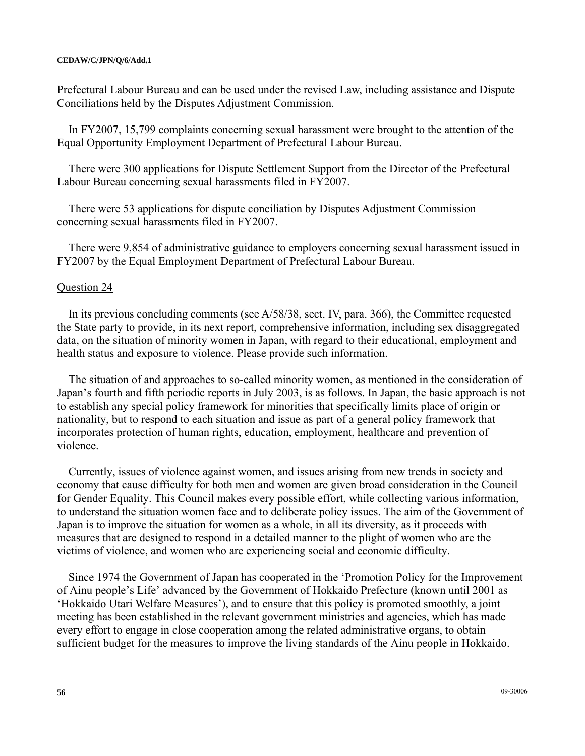Prefectural Labour Bureau and can be used under the revised Law, including assistance and Dispute Conciliations held by the Disputes Adjustment Commission.

In FY2007, 15,799 complaints concerning sexual harassment were brought to the attention of the Equal Opportunity Employment Department of Prefectural Labour Bureau.

There were 300 applications for Dispute Settlement Support from the Director of the Prefectural Labour Bureau concerning sexual harassments filed in FY2007.

There were 53 applications for dispute conciliation by Disputes Adjustment Commission concerning sexual harassments filed in FY2007.

There were 9,854 of administrative guidance to employers concerning sexual harassment issued in FY2007 by the Equal Employment Department of Prefectural Labour Bureau.

### Question 24

In its previous concluding comments (see A/58/38, sect. IV, para. 366), the Committee requested the State party to provide, in its next report, comprehensive information, including sex disaggregated data, on the situation of minority women in Japan, with regard to their educational, employment and health status and exposure to violence. Please provide such information.

The situation of and approaches to so-called minority women, as mentioned in the consideration of Japan's fourth and fifth periodic reports in July 2003, is as follows. In Japan, the basic approach is not to establish any special policy framework for minorities that specifically limits place of origin or nationality, but to respond to each situation and issue as part of a general policy framework that incorporates protection of human rights, education, employment, healthcare and prevention of violence.

Currently, issues of violence against women, and issues arising from new trends in society and economy that cause difficulty for both men and women are given broad consideration in the Council for Gender Equality. This Council makes every possible effort, while collecting various information, to understand the situation women face and to deliberate policy issues. The aim of the Government of Japan is to improve the situation for women as a whole, in all its diversity, as it proceeds with measures that are designed to respond in a detailed manner to the plight of women who are the victims of violence, and women who are experiencing social and economic difficulty.

Since 1974 the Government of Japan has cooperated in the 'Promotion Policy for the Improvement of Ainu people's Life' advanced by the Government of Hokkaido Prefecture (known until 2001 as 'Hokkaido Utari Welfare Measures'), and to ensure that this policy is promoted smoothly, a joint meeting has been established in the relevant government ministries and agencies, which has made every effort to engage in close cooperation among the related administrative organs, to obtain sufficient budget for the measures to improve the living standards of the Ainu people in Hokkaido.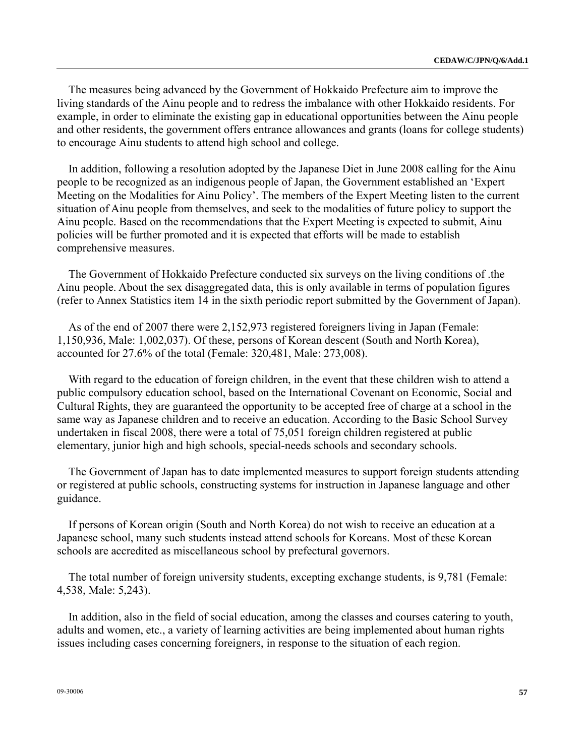The measures being advanced by the Government of Hokkaido Prefecture aim to improve the living standards of the Ainu people and to redress the imbalance with other Hokkaido residents. For example, in order to eliminate the existing gap in educational opportunities between the Ainu people and other residents, the government offers entrance allowances and grants (loans for college students) to encourage Ainu students to attend high school and college.

In addition, following a resolution adopted by the Japanese Diet in June 2008 calling for the Ainu people to be recognized as an indigenous people of Japan, the Government established an 'Expert Meeting on the Modalities for Ainu Policy'. The members of the Expert Meeting listen to the current situation of Ainu people from themselves, and seek to the modalities of future policy to support the Ainu people. Based on the recommendations that the Expert Meeting is expected to submit, Ainu policies will be further promoted and it is expected that efforts will be made to establish comprehensive measures.

The Government of Hokkaido Prefecture conducted six surveys on the living conditions of .the Ainu people. About the sex disaggregated data, this is only available in terms of population figures (refer to Annex Statistics item 14 in the sixth periodic report submitted by the Government of Japan).

As of the end of 2007 there were 2,152,973 registered foreigners living in Japan (Female: 1,150,936, Male: 1,002,037). Of these, persons of Korean descent (South and North Korea), accounted for 27.6% of the total (Female: 320,481, Male: 273,008).

With regard to the education of foreign children, in the event that these children wish to attend a public compulsory education school, based on the International Covenant on Economic, Social and Cultural Rights, they are guaranteed the opportunity to be accepted free of charge at a school in the same way as Japanese children and to receive an education. According to the Basic School Survey undertaken in fiscal 2008, there were a total of 75,051 foreign children registered at public elementary, junior high and high schools, special-needs schools and secondary schools.

The Government of Japan has to date implemented measures to support foreign students attending or registered at public schools, constructing systems for instruction in Japanese language and other guidance.

If persons of Korean origin (South and North Korea) do not wish to receive an education at a Japanese school, many such students instead attend schools for Koreans. Most of these Korean schools are accredited as miscellaneous school by prefectural governors.

The total number of foreign university students, excepting exchange students, is 9,781 (Female: 4,538, Male: 5,243).

In addition, also in the field of social education, among the classes and courses catering to youth, adults and women, etc., a variety of learning activities are being implemented about human rights issues including cases concerning foreigners, in response to the situation of each region.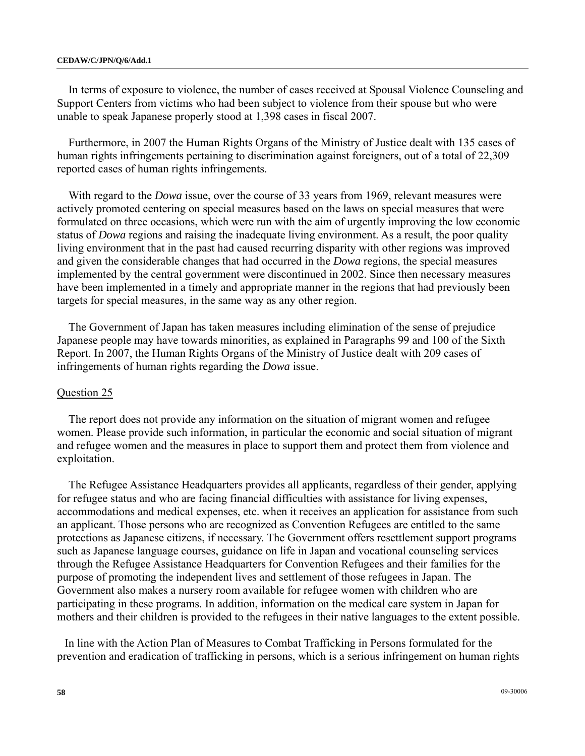### **CEDAW/C/JPN/Q/6/Add.1**

In terms of exposure to violence, the number of cases received at Spousal Violence Counseling and Support Centers from victims who had been subject to violence from their spouse but who were unable to speak Japanese properly stood at 1,398 cases in fiscal 2007.

Furthermore, in 2007 the Human Rights Organs of the Ministry of Justice dealt with 135 cases of human rights infringements pertaining to discrimination against foreigners, out of a total of 22,309 reported cases of human rights infringements.

With regard to the *Dowa* issue, over the course of 33 years from 1969, relevant measures were actively promoted centering on special measures based on the laws on special measures that were formulated on three occasions, which were run with the aim of urgently improving the low economic status of *Dowa* regions and raising the inadequate living environment. As a result, the poor quality living environment that in the past had caused recurring disparity with other regions was improved and given the considerable changes that had occurred in the *Dowa* regions, the special measures implemented by the central government were discontinued in 2002. Since then necessary measures have been implemented in a timely and appropriate manner in the regions that had previously been targets for special measures, in the same way as any other region.

The Government of Japan has taken measures including elimination of the sense of prejudice Japanese people may have towards minorities, as explained in Paragraphs 99 and 100 of the Sixth Report. In 2007, the Human Rights Organs of the Ministry of Justice dealt with 209 cases of infringements of human rights regarding the *Dowa* issue.

### Question 25

The report does not provide any information on the situation of migrant women and refugee women. Please provide such information, in particular the economic and social situation of migrant and refugee women and the measures in place to support them and protect them from violence and exploitation.

The Refugee Assistance Headquarters provides all applicants, regardless of their gender, applying for refugee status and who are facing financial difficulties with assistance for living expenses, accommodations and medical expenses, etc. when it receives an application for assistance from such an applicant. Those persons who are recognized as Convention Refugees are entitled to the same protections as Japanese citizens, if necessary. The Government offers resettlement support programs such as Japanese language courses, guidance on life in Japan and vocational counseling services through the Refugee Assistance Headquarters for Convention Refugees and their families for the purpose of promoting the independent lives and settlement of those refugees in Japan. The Government also makes a nursery room available for refugee women with children who are participating in these programs. In addition, information on the medical care system in Japan for mothers and their children is provided to the refugees in their native languages to the extent possible.

In line with the Action Plan of Measures to Combat Trafficking in Persons formulated for the prevention and eradication of trafficking in persons, which is a serious infringement on human rights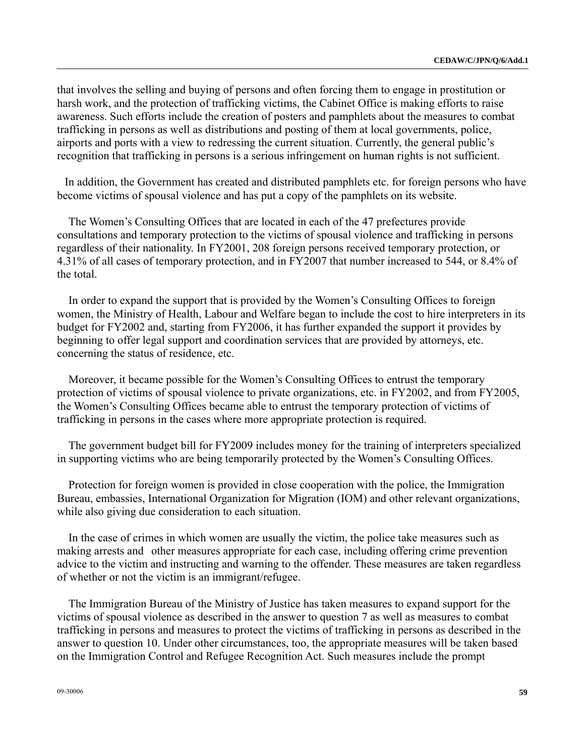that involves the selling and buying of persons and often forcing them to engage in prostitution or harsh work, and the protection of trafficking victims, the Cabinet Office is making efforts to raise awareness. Such efforts include the creation of posters and pamphlets about the measures to combat trafficking in persons as well as distributions and posting of them at local governments, police, airports and ports with a view to redressing the current situation. Currently, the general public's recognition that trafficking in persons is a serious infringement on human rights is not sufficient.

In addition, the Government has created and distributed pamphlets etc. for foreign persons who have become victims of spousal violence and has put a copy of the pamphlets on its website.

The Women's Consulting Offices that are located in each of the 47 prefectures provide consultations and temporary protection to the victims of spousal violence and trafficking in persons regardless of their nationality. In FY2001, 208 foreign persons received temporary protection, or 4.31% of all cases of temporary protection, and in FY2007 that number increased to 544, or 8.4% of the total.

In order to expand the support that is provided by the Women's Consulting Offices to foreign women, the Ministry of Health, Labour and Welfare began to include the cost to hire interpreters in its budget for FY2002 and, starting from FY2006, it has further expanded the support it provides by beginning to offer legal support and coordination services that are provided by attorneys, etc. concerning the status of residence, etc.

Moreover, it became possible for the Women's Consulting Offices to entrust the temporary protection of victims of spousal violence to private organizations, etc. in FY2002, and from FY2005, the Women's Consulting Offices became able to entrust the temporary protection of victims of trafficking in persons in the cases where more appropriate protection is required.

The government budget bill for FY2009 includes money for the training of interpreters specialized in supporting victims who are being temporarily protected by the Women's Consulting Offices.

Protection for foreign women is provided in close cooperation with the police, the Immigration Bureau, embassies, International Organization for Migration (IOM) and other relevant organizations, while also giving due consideration to each situation.

In the case of crimes in which women are usually the victim, the police take measures such as making arrests and other measures appropriate for each case, including offering crime prevention advice to the victim and instructing and warning to the offender. These measures are taken regardless of whether or not the victim is an immigrant/refugee.

The Immigration Bureau of the Ministry of Justice has taken measures to expand support for the victims of spousal violence as described in the answer to question 7 as well as measures to combat trafficking in persons and measures to protect the victims of trafficking in persons as described in the answer to question 10. Under other circumstances, too, the appropriate measures will be taken based on the Immigration Control and Refugee Recognition Act. Such measures include the prompt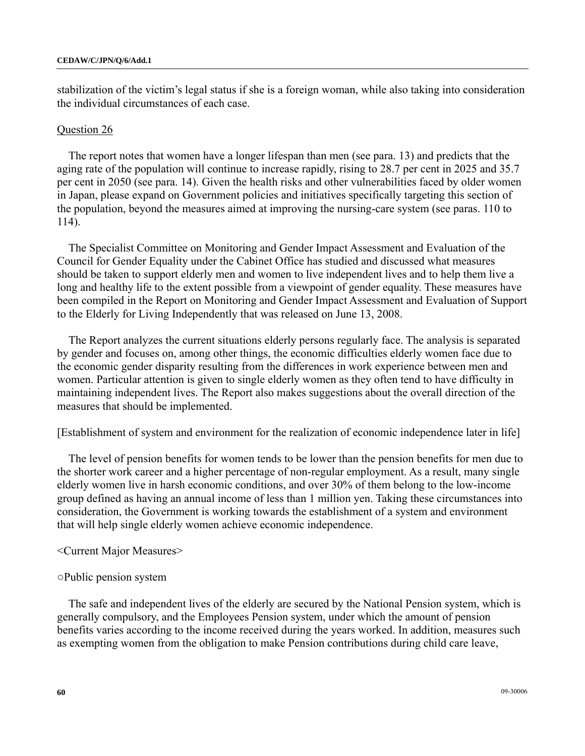stabilization of the victim's legal status if she is a foreign woman, while also taking into consideration the individual circumstances of each case.

### Question 26

The report notes that women have a longer lifespan than men (see para. 13) and predicts that the aging rate of the population will continue to increase rapidly, rising to 28.7 per cent in 2025 and 35.7 per cent in 2050 (see para. 14). Given the health risks and other vulnerabilities faced by older women in Japan, please expand on Government policies and initiatives specifically targeting this section of the population, beyond the measures aimed at improving the nursing-care system (see paras. 110 to 114).

The Specialist Committee on Monitoring and Gender Impact Assessment and Evaluation of the Council for Gender Equality under the Cabinet Office has studied and discussed what measures should be taken to support elderly men and women to live independent lives and to help them live a long and healthy life to the extent possible from a viewpoint of gender equality. These measures have been compiled in the Report on Monitoring and Gender Impact Assessment and Evaluation of Support to the Elderly for Living Independently that was released on June 13, 2008.

The Report analyzes the current situations elderly persons regularly face. The analysis is separated by gender and focuses on, among other things, the economic difficulties elderly women face due to the economic gender disparity resulting from the differences in work experience between men and women. Particular attention is given to single elderly women as they often tend to have difficulty in maintaining independent lives. The Report also makes suggestions about the overall direction of the measures that should be implemented.

[Establishment of system and environment for the realization of economic independence later in life]

The level of pension benefits for women tends to be lower than the pension benefits for men due to the shorter work career and a higher percentage of non-regular employment. As a result, many single elderly women live in harsh economic conditions, and over 30% of them belong to the low-income group defined as having an annual income of less than 1 million yen. Taking these circumstances into consideration, the Government is working towards the establishment of a system and environment that will help single elderly women achieve economic independence.

### <Current Major Measures>

### ○Public pension system

The safe and independent lives of the elderly are secured by the National Pension system, which is generally compulsory, and the Employees Pension system, under which the amount of pension benefits varies according to the income received during the years worked. In addition, measures such as exempting women from the obligation to make Pension contributions during child care leave,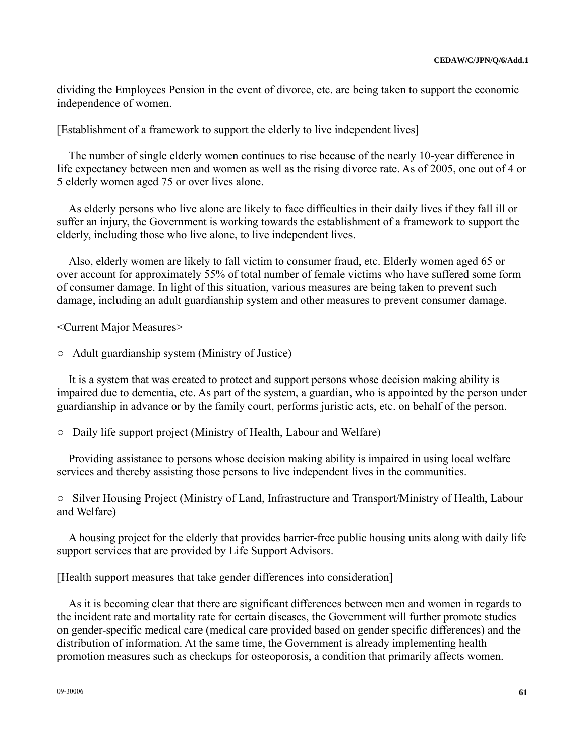dividing the Employees Pension in the event of divorce, etc. are being taken to support the economic independence of women.

[Establishment of a framework to support the elderly to live independent lives]

The number of single elderly women continues to rise because of the nearly 10-year difference in life expectancy between men and women as well as the rising divorce rate. As of 2005, one out of 4 or 5 elderly women aged 75 or over lives alone.

As elderly persons who live alone are likely to face difficulties in their daily lives if they fall ill or suffer an injury, the Government is working towards the establishment of a framework to support the elderly, including those who live alone, to live independent lives.

Also, elderly women are likely to fall victim to consumer fraud, etc. Elderly women aged 65 or over account for approximately 55% of total number of female victims who have suffered some form of consumer damage. In light of this situation, various measures are being taken to prevent such damage, including an adult guardianship system and other measures to prevent consumer damage.

<Current Major Measures>

○ Adult guardianship system (Ministry of Justice)

It is a system that was created to protect and support persons whose decision making ability is impaired due to dementia, etc. As part of the system, a guardian, who is appointed by the person under guardianship in advance or by the family court, performs juristic acts, etc. on behalf of the person.

○ Daily life support project (Ministry of Health, Labour and Welfare)

Providing assistance to persons whose decision making ability is impaired in using local welfare services and thereby assisting those persons to live independent lives in the communities.

○ Silver Housing Project (Ministry of Land, Infrastructure and Transport/Ministry of Health, Labour and Welfare)

A housing project for the elderly that provides barrier-free public housing units along with daily life support services that are provided by Life Support Advisors.

[Health support measures that take gender differences into consideration]

As it is becoming clear that there are significant differences between men and women in regards to the incident rate and mortality rate for certain diseases, the Government will further promote studies on gender-specific medical care (medical care provided based on gender specific differences) and the distribution of information. At the same time, the Government is already implementing health promotion measures such as checkups for osteoporosis, a condition that primarily affects women.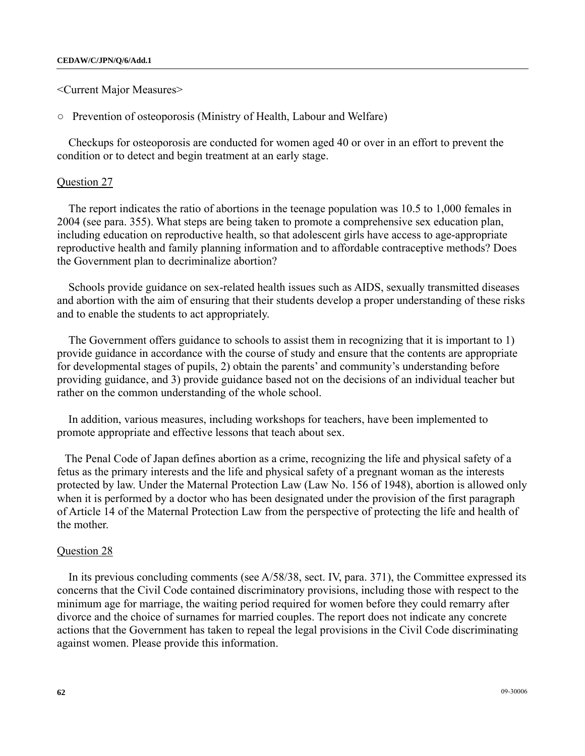<Current Major Measures>

○ Prevention of osteoporosis (Ministry of Health, Labour and Welfare)

Checkups for osteoporosis are conducted for women aged 40 or over in an effort to prevent the condition or to detect and begin treatment at an early stage.

### Question 27

The report indicates the ratio of abortions in the teenage population was 10.5 to 1,000 females in 2004 (see para. 355). What steps are being taken to promote a comprehensive sex education plan, including education on reproductive health, so that adolescent girls have access to age-appropriate reproductive health and family planning information and to affordable contraceptive methods? Does the Government plan to decriminalize abortion?

Schools provide guidance on sex-related health issues such as AIDS, sexually transmitted diseases and abortion with the aim of ensuring that their students develop a proper understanding of these risks and to enable the students to act appropriately.

The Government offers guidance to schools to assist them in recognizing that it is important to 1) provide guidance in accordance with the course of study and ensure that the contents are appropriate for developmental stages of pupils, 2) obtain the parents' and community's understanding before providing guidance, and 3) provide guidance based not on the decisions of an individual teacher but rather on the common understanding of the whole school.

In addition, various measures, including workshops for teachers, have been implemented to promote appropriate and effective lessons that teach about sex.

The Penal Code of Japan defines abortion as a crime, recognizing the life and physical safety of a fetus as the primary interests and the life and physical safety of a pregnant woman as the interests protected by law. Under the Maternal Protection Law (Law No. 156 of 1948), abortion is allowed only when it is performed by a doctor who has been designated under the provision of the first paragraph of Article 14 of the Maternal Protection Law from the perspective of protecting the life and health of the mother.

### Question 28

In its previous concluding comments (see A/58/38, sect. IV, para. 371), the Committee expressed its concerns that the Civil Code contained discriminatory provisions, including those with respect to the minimum age for marriage, the waiting period required for women before they could remarry after divorce and the choice of surnames for married couples. The report does not indicate any concrete actions that the Government has taken to repeal the legal provisions in the Civil Code discriminating against women. Please provide this information.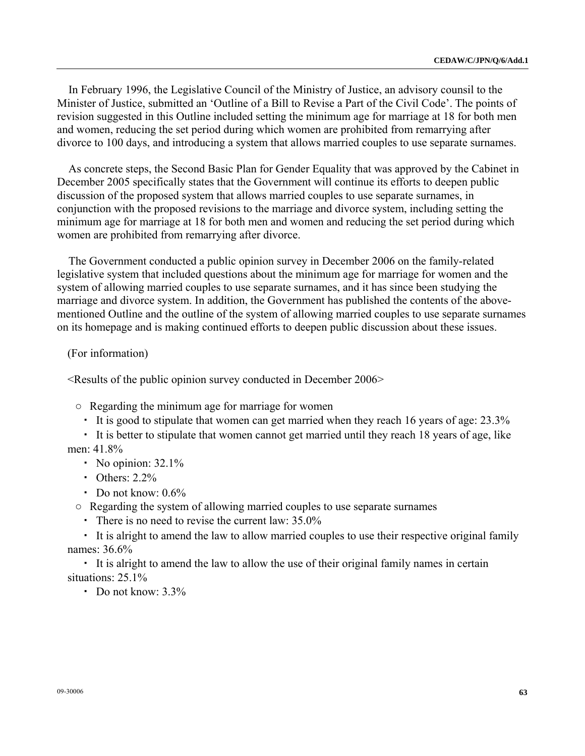In February 1996, the Legislative Council of the Ministry of Justice, an advisory counsil to the Minister of Justice, submitted an 'Outline of a Bill to Revise a Part of the Civil Code'. The points of revision suggested in this Outline included setting the minimum age for marriage at 18 for both men and women, reducing the set period during which women are prohibited from remarrying after divorce to 100 days, and introducing a system that allows married couples to use separate surnames.

As concrete steps, the Second Basic Plan for Gender Equality that was approved by the Cabinet in December 2005 specifically states that the Government will continue its efforts to deepen public discussion of the proposed system that allows married couples to use separate surnames, in conjunction with the proposed revisions to the marriage and divorce system, including setting the minimum age for marriage at 18 for both men and women and reducing the set period during which women are prohibited from remarrying after divorce.

The Government conducted a public opinion survey in December 2006 on the family-related legislative system that included questions about the minimum age for marriage for women and the system of allowing married couples to use separate surnames, and it has since been studying the marriage and divorce system. In addition, the Government has published the contents of the abovementioned Outline and the outline of the system of allowing married couples to use separate surnames on its homepage and is making continued efforts to deepen public discussion about these issues.

### (For information)

 $\leq$ Results of the public opinion survey conducted in December 2006 $\geq$ 

○ Regarding the minimum age for marriage for women

・ It is good to stipulate that women can get married when they reach 16 years of age: 23.3%

 ・ It is better to stipulate that women cannot get married until they reach 18 years of age, like men: 41.8%

- No opinion:  $32.1\%$
- ・ Others: 2.2%
- Do not know:  $0.6\%$
- Regarding the system of allowing married couples to use separate surnames
	- ・ There is no need to revise the current law: 35.0%

 ・ It is alright to amend the law to allow married couples to use their respective original family names: 36.6%

 ・ It is alright to amend the law to allow the use of their original family names in certain situations: 25.1%

・ Do not know: 3.3%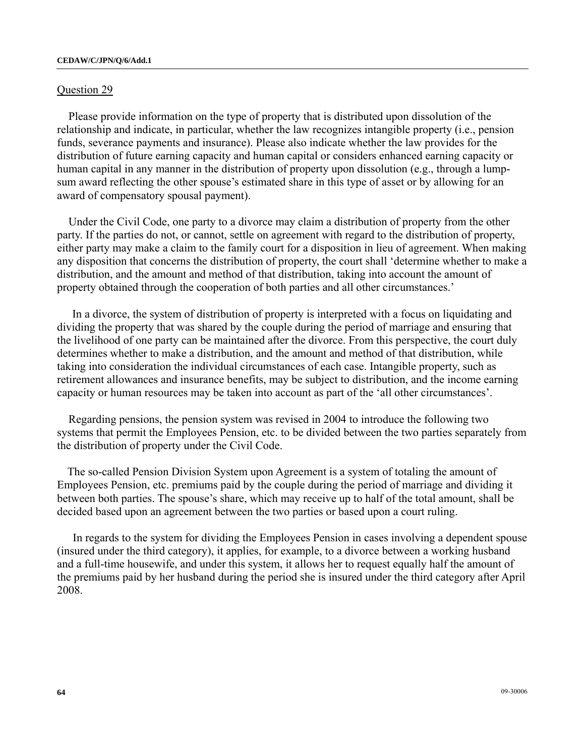### Question 29

Please provide information on the type of property that is distributed upon dissolution of the relationship and indicate, in particular, whether the law recognizes intangible property (i.e., pension funds, severance payments and insurance). Please also indicate whether the law provides for the distribution of future earning capacity and human capital or considers enhanced earning capacity or human capital in any manner in the distribution of property upon dissolution (e.g., through a lumpsum award reflecting the other spouse's estimated share in this type of asset or by allowing for an award of compensatory spousal payment).

Under the Civil Code, one party to a divorce may claim a distribution of property from the other party. If the parties do not, or cannot, settle on agreement with regard to the distribution of property, either party may make a claim to the family court for a disposition in lieu of agreement. When making any disposition that concerns the distribution of property, the court shall 'determine whether to make a distribution, and the amount and method of that distribution, taking into account the amount of property obtained through the cooperation of both parties and all other circumstances.'

 In a divorce, the system of distribution of property is interpreted with a focus on liquidating and dividing the property that was shared by the couple during the period of marriage and ensuring that the livelihood of one party can be maintained after the divorce. From this perspective, the court duly determines whether to make a distribution, and the amount and method of that distribution, while taking into consideration the individual circumstances of each case. Intangible property, such as retirement allowances and insurance benefits, may be subject to distribution, and the income earning capacity or human resources may be taken into account as part of the 'all other circumstances'.

Regarding pensions, the pension system was revised in 2004 to introduce the following two systems that permit the Employees Pension, etc. to be divided between the two parties separately from the distribution of property under the Civil Code.

 The so-called Pension Division System upon Agreement is a system of totaling the amount of Employees Pension, etc. premiums paid by the couple during the period of marriage and dividing it between both parties. The spouse's share, which may receive up to half of the total amount, shall be decided based upon an agreement between the two parties or based upon a court ruling.

In regards to the system for dividing the Employees Pension in cases involving a dependent spouse (insured under the third category), it applies, for example, to a divorce between a working husband and a full-time housewife, and under this system, it allows her to request equally half the amount of the premiums paid by her husband during the period she is insured under the third category after April 2008.